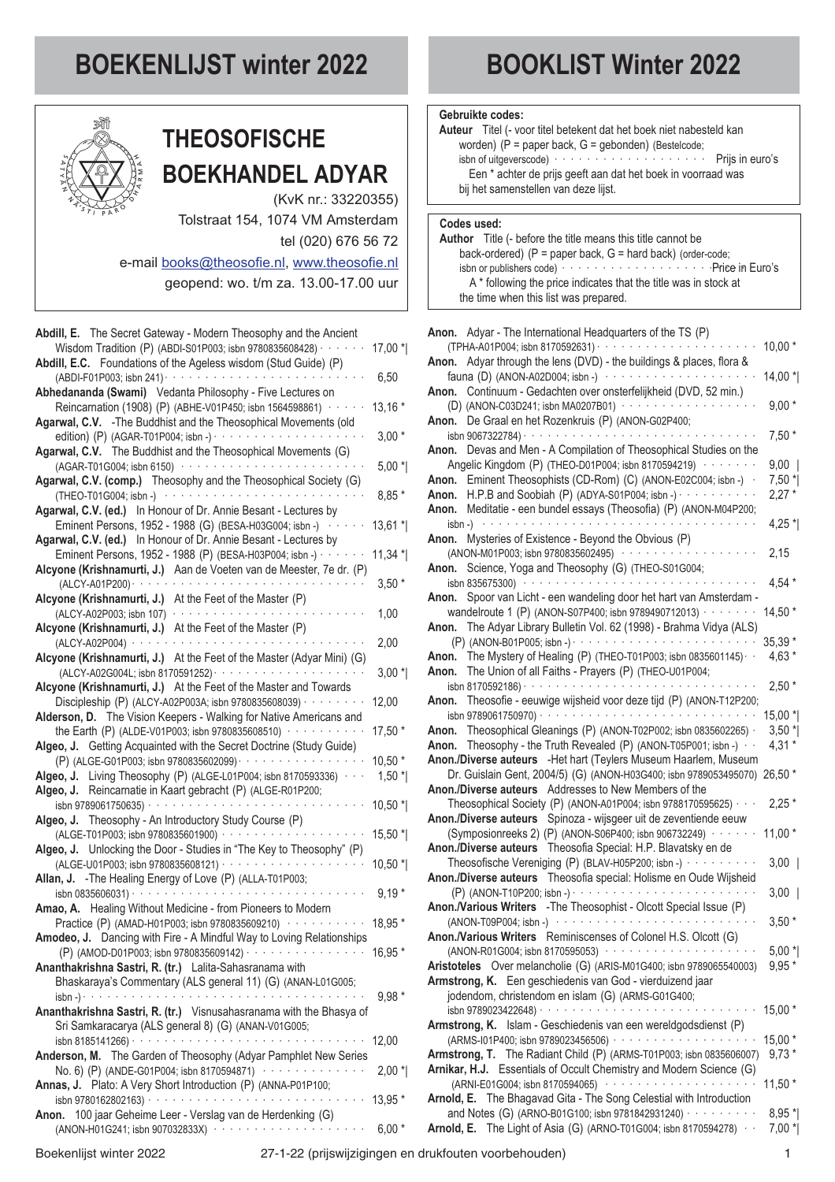# **BOEKENLIJST winter 2022 BOOKLIST Winter 2022**



## **THEOSOFISCHE BOEKHANDEL ADYAR**

(KvK nr.: 33220355)

Tolstraat 154, 1074 VM Amsterdam tel (020) 676 56 72

e-mail [books@theosofie.nl](mailto:books@theosofie.nl), [www.theosofie.nl](http://www.theosofie.nl)

geopend: wo. t/m za. 13.00-17.00 uur

| Abdill, E. The Secret Gateway - Modern Theosophy and the Ancient                                                                  |           |
|-----------------------------------------------------------------------------------------------------------------------------------|-----------|
| Wisdom Tradition (P) (ABDI-S01P003; isbn 9780835608428) · · · · · · ·                                                             | 17,00 *   |
| Abdill, E.C. Foundations of the Ageless wisdom (Stud Guide) (P)                                                                   |           |
| (ABDI-F01P003; isbn 241) · ·<br>$\alpha$ , and $\alpha$ , and $\alpha$ , and $\alpha$ , and $\alpha$                              | 6,50      |
| Abhedananda (Swami) Vedanta Philosophy - Five Lectures on                                                                         |           |
| Reincarnation (1908) (P) (ABHE-V01P450; isbn 1564598861) · · · ·                                                                  | $13,16*$  |
| Agarwal, C.V. - The Buddhist and the Theosophical Movements (old                                                                  |           |
|                                                                                                                                   | $3,00*$   |
| Agarwal, C.V. The Buddhist and the Theosophical Movements (G)                                                                     |           |
| (AGAR-T01G004; isbn 6150) ···············                                                                                         | $5,00*$   |
| Agarwal, C.V. (comp.) Theosophy and the Theosophical Society (G)                                                                  |           |
| والمتواصل والمتواط والمتواط والمتواط<br>(THEO-T01G004; isbn -)                                                                    | 8,85 *    |
| Agarwal, C.V. (ed.) In Honour of Dr. Annie Besant - Lectures by                                                                   |           |
| Eminent Persons, 1952 - 1988 (G) (BESA-H03G004; isbn -) · ·                                                                       | $13,61*$  |
| Agarwal, C.V. (ed.) In Honour of Dr. Annie Besant - Lectures by                                                                   |           |
| Eminent Persons, 1952 - 1988 (P) (BESA-H03P004; isbn -) · · · · · ·                                                               | $11,34$ * |
| Alcyone (Krishnamurti, J.) Aan de Voeten van de Meester, 7e dr. (P)                                                               |           |
|                                                                                                                                   | $3,50*$   |
| Alcyone (Krishnamurti, J.) At the Feet of the Master (P)                                                                          |           |
|                                                                                                                                   | 1,00      |
| Alcyone (Krishnamurti, J.) At the Feet of the Master (P)                                                                          |           |
| (ALCY-A02P004) · · · · · · · · · · · · · · · · · ·                                                                                | 2,00      |
| Alcyone (Krishnamurti, J.) At the Feet of the Master (Adyar Mini) (G)                                                             |           |
| (ALCY-A02G004L; isbn 8170591252) · · · · · · · · · · · · · · · · · ·                                                              | $3,00*$   |
| Alcyone (Krishnamurti, J.) At the Feet of the Master and Towards                                                                  |           |
| Discipleship (P) (ALCY-A02P003A; isbn 9780835608039) · · · · · ·                                                                  | 12,00     |
| Alderson, D. The Vision Keepers - Walking for Native Americans and                                                                |           |
| the Earth (P) (ALDE-V01P003; isbn 9780835608510) $\cdots$                                                                         | 17,50 *   |
| Algeo, J. Getting Acquainted with the Secret Doctrine (Study Guide)<br>(P) (ALGE-G01P003; isbn 9780835602099) ··················· | 10,50 *   |
| Algeo, J. Living Theosophy (P) (ALGE-L01P004; isbn 8170593336) $\cdots$                                                           | $1,50$ *  |
| Algeo, J. Reincarnatie in Kaart gebracht (P) (ALGE-R01P200;                                                                       |           |
| isbn 9789061750635) · · · · · · · · · · · · · · · · · ·                                                                           | $10,50$ * |
| Algeo, J. Theosophy - An Introductory Study Course (P)                                                                            |           |
| (ALGE-T01P003; isbn 9780835601900) ···········                                                                                    | 15,50 *   |
| Algeo, J. Unlocking the Door - Studies in "The Key to Theosophy" (P)                                                              |           |
|                                                                                                                                   | 10,50 *   |
| Allan, J. - The Healing Energy of Love (P) (ALLA-T01P003;                                                                         |           |
| isbn 0835606031) $\cdots$<br>and a series of                                                                                      | $9,19*$   |
| Amao, A. Healing Without Medicine - from Pioneers to Modern                                                                       |           |
| Practice (P) (AMAD-H01P003; isbn 9780835609210) · · · · · · ·                                                                     | 18,95 *   |
| Amodeo, J. Dancing with Fire - A Mindful Way to Loving Relationships                                                              |           |
| (P) (AMOD-D01P003; isbn 9780835609142) · · · · · · · · · · · · · · · ·                                                            | 16,95 *   |
| Ananthakrishna Sastri, R. (tr.) Lalita-Sahasranama with                                                                           |           |
| Bhaskaraya's Commentary (ALS general 11) (G) (ANAN-L01G005;                                                                       |           |
| $\frac{1}{15}$                                                                                                                    | $9.98*$   |
| Ananthakrishna Sastri, R. (tr.) Visnusahasranama with the Bhasya of                                                               |           |
| Sri Samkaracarya (ALS general 8) (G) (ANAN-V01G005;                                                                               |           |
|                                                                                                                                   | 12,00     |
| Anderson, M. The Garden of Theosophy (Adyar Pamphlet New Series                                                                   |           |
| No. 6) (P) (ANDE-G01P004; isbn 8170594871)                                                                                        | $2,00*$   |
| Annas, J. Plato: A Very Short Introduction (P) (ANNA-P01P100;                                                                     |           |
|                                                                                                                                   | 13,95 *   |
| Anon. 100 jaar Geheime Leer - Verslag van de Herdenking (G)                                                                       |           |
| (ANON-H01G241; isbn 907032833X) ······················                                                                            | $6,00*$   |

#### **Gebruikte codes:**

| Auteur Titel (- voor titel betekent dat het boek niet nabesteld kan |  |
|---------------------------------------------------------------------|--|
| worden) (P = paper back, G = gebonden) (Bestelcode;                 |  |
| isbn of uitgeverscode) $\cdots$ Prijs in euro's                     |  |
| Een * achter de prijs geeft aan dat het boek in voorraad was        |  |
| bij het samenstellen van deze lijst.                                |  |
|                                                                     |  |

### **Codes used:**

**Author** Title (- before the title means this title cannot be back-ordered) (P = paper back, G = hard back) (order-code; isbn or publishers code) ······················· Price in Euro's A \* following the price indicates that the title was in stock at the time when this list was prepared.

| Anon. Adyar - The International Headquarters of the TS (P)                                                                                                                                                                     |          |
|--------------------------------------------------------------------------------------------------------------------------------------------------------------------------------------------------------------------------------|----------|
|                                                                                                                                                                                                                                | $10,00*$ |
| Adyar through the lens (DVD) - the buildings & places, flora &<br>Anon.                                                                                                                                                        |          |
| fauna (D) (ANON-A02D004; isbn -)                                                                                                                                                                                               | 14,00 *  |
| Continuum - Gedachten over onsterfelijkheid (DVD, 52 min.)<br>Anon.                                                                                                                                                            |          |
| (D) (ANON-C03D241; isbn MA0207B01) ···················                                                                                                                                                                         | $9,00*$  |
| De Graal en het Rozenkruis (P) (ANON-G02P400;<br>Anon.                                                                                                                                                                         |          |
|                                                                                                                                                                                                                                | $7,50*$  |
| Devas and Men - A Compilation of Theosophical Studies on the<br>Anon.                                                                                                                                                          |          |
| Angelic Kingdom (P) (THEO-D01P004; isbn 8170594219) ········                                                                                                                                                                   | $9,00$   |
| Eminent Theosophists (CD-Rom) (C) (ANON-E02C004; isbn -) .<br>Anon.                                                                                                                                                            | $7,50*$  |
| Anon. H.P.B and Soobiah $(P)$ (ADYA-S01P004; isbn -) $\cdots$                                                                                                                                                                  | $2,27*$  |
| Meditatie - een bundel essays (Theosofia) (P) (ANON-M04P200;<br>Anon.                                                                                                                                                          |          |
| isbn -)                                                                                                                                                                                                                        | $4,25$ * |
| Mysteries of Existence - Beyond the Obvious (P)<br>Anon.                                                                                                                                                                       |          |
| (ANON-M01P003; isbn 9780835602495) ···········                                                                                                                                                                                 | 2,15     |
| Science, Yoga and Theosophy (G) (THEO-S01G004;<br>Anon.                                                                                                                                                                        |          |
|                                                                                                                                                                                                                                | $4,54*$  |
|                                                                                                                                                                                                                                |          |
| Spoor van Licht - een wandeling door het hart van Amsterdam -<br>Anon.                                                                                                                                                         |          |
| wandelroute 1 (P) (ANON-S07P400; isbn 9789490712013) · · · · · · · ·                                                                                                                                                           | 14,50 *  |
| The Adyar Library Bulletin Vol. 62 (1998) - Brahma Vidya (ALS)<br>Anon.                                                                                                                                                        |          |
| $(P)$ (ANON-B01P005; isbn -) $\cdots$ $\cdots$ $\cdots$ $\cdots$ $\cdots$ $\cdots$ $\cdots$                                                                                                                                    | $35,39*$ |
| The Mystery of Healing (P) (THEO-T01P003; isbn 0835601145) $\cdot$<br>Anon.                                                                                                                                                    | $4,63*$  |
| Anon. The Union of all Faiths - Prayers (P) (THEO-U01P004;                                                                                                                                                                     |          |
|                                                                                                                                                                                                                                | $2,50*$  |
| Anon. Theosofie - eeuwige wijsheid voor deze tijd (P) (ANON-T12P200;                                                                                                                                                           |          |
| isbn 9789061750970) ·                                                                                                                                                                                                          | 15,00 *  |
| Anon. Theosophical Gleanings (P) (ANON-T02P002; isbn 0835602265) ·                                                                                                                                                             | $3,50$ * |
| <b>Anon.</b> Theosophy - the Truth Revealed (P) (ANON-T05P001; isbn -) $\cdot$                                                                                                                                                 | $4,31*$  |
| Anon./Diverse auteurs - Het hart (Teylers Museum Haarlem, Museum                                                                                                                                                               |          |
| Dr. Guislain Gent, 2004/5) (G) (ANON-H03G400; isbn 9789053495070)                                                                                                                                                              | 26,50 *  |
| Anon./Diverse auteurs Addresses to New Members of the                                                                                                                                                                          |          |
| Theosophical Society (P) (ANON-A01P004; isbn 9788170595625) · · ·                                                                                                                                                              | $2,25*$  |
| Anon./Diverse auteurs Spinoza - wijsgeer uit de zeventiende eeuw                                                                                                                                                               |          |
| (Symposionreeks 2) (P) (ANON-S06P400; isbn 906732249) · · · · · ·                                                                                                                                                              | $11,00*$ |
| Anon./Diverse auteurs Theosofia Special: H.P. Blavatsky en de                                                                                                                                                                  |          |
| Theosofische Vereniging (P) (BLAV-H05P200; isbn -) · · · · · · · · · ·                                                                                                                                                         | $3,00$   |
| Anon./Diverse auteurs Theosofia special: Holisme en Oude Wijsheid                                                                                                                                                              |          |
| $(P)$ (ANON-T10P200; isbn -) $\cdot \cdot \cdot \cdot \cdot \cdot \cdot \cdot \cdot \cdot \cdot \cdot \cdot \cdot \cdot \cdot \cdot \cdot$                                                                                     | $3,00$   |
| -The Theosophist - Olcott Special Issue (P)<br><b>Anon./Various Writers</b>                                                                                                                                                    |          |
| $(ANON-T09P004; isbn -)$                                                                                                                                                                                                       | $3,50*$  |
| Anon./Various Writers Reminiscenses of Colonel H.S. Olcott (G)                                                                                                                                                                 |          |
| (ANON-R01G004; isbn 8170595053) · · · · · · · · · · · · · · · · · ·                                                                                                                                                            | $5,00*$  |
| Aristoteles Over melancholie (G) (ARIS-M01G400; isbn 9789065540003)                                                                                                                                                            | $9,95*$  |
| Armstrong, K. Een geschiedenis van God - vierduizend jaar                                                                                                                                                                      |          |
| jodendom, christendom en islam (G) (ARMS-G01G400;                                                                                                                                                                              |          |
|                                                                                                                                                                                                                                | 15,00 *  |
| Armstrong, K. Islam - Geschiedenis van een wereldgodsdienst (P)                                                                                                                                                                |          |
|                                                                                                                                                                                                                                | $15,00*$ |
| Armstrong, T. The Radiant Child (P) (ARMS-T01P003; isbn 0835606007)                                                                                                                                                            | $9,73*$  |
| Arnikar, H.J. Essentials of Occult Chemistry and Modern Science (G)                                                                                                                                                            |          |
| (ARNI-E01G004; isbn 8170594065) (and the state of the state of the state of the state of the state of the state of the state of the state of the state of the state of the state of the state of the state of the state of the | $11,50*$ |
| Arnold, E. The Bhagavad Gita - The Song Celestial with Introduction                                                                                                                                                            |          |
| and Notes (G) (ARNO-B01G100; isbn 9781842931240) · · · · · · · · · ·                                                                                                                                                           | $8,95*$  |
| The Light of Asia (G) (ARNO-T01G004; isbn 8170594278) · ·<br>Arnold, E.                                                                                                                                                        | $7,00*$  |
|                                                                                                                                                                                                                                |          |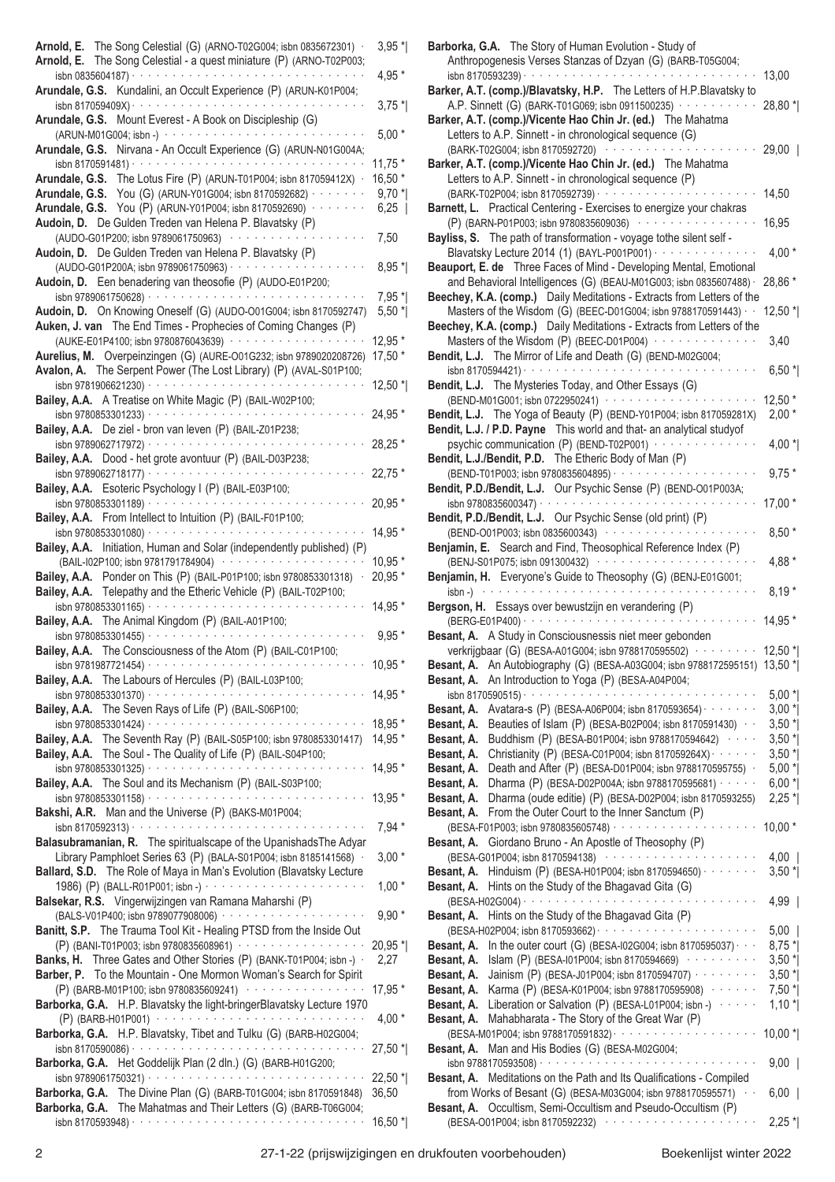| Arnold, E. The Song Celestial (G) (ARNO-T02G004; isbn 0835672301) .<br>Arnold, E. The Song Celestial - a quest miniature (P) (ARNO-T02P003; | $3,95*$  |
|---------------------------------------------------------------------------------------------------------------------------------------------|----------|
| Arundale, G.S. Kundalini, an Occult Experience (P) (ARUN-K01P004;                                                                           | 4,95 *   |
|                                                                                                                                             | $3,75*$  |
| Arundale, G.S. Mount Everest - A Book on Discipleship (G)                                                                                   | $5,00*$  |
| Arundale, G.S. Nirvana - An Occult Experience (G) (ARUN-N01G004A;                                                                           | $11.75*$ |
| Arundale, G.S. The Lotus Fire (P) (ARUN-T01P004; isbn 817059412X) ·                                                                         | $16,50*$ |
| Arundale, G.S. You (G) (ARUN-Y01G004; isbn 8170592682) · · · · · · · ·                                                                      |          |
|                                                                                                                                             | $9,70*$  |
| Arundale, G.S. You (P) (ARUN-Y01P004; isbn 8170592690) · · · · · · ·                                                                        | 6,25     |
| Audoin, D. De Gulden Treden van Helena P. Blavatsky (P)                                                                                     |          |
| (AUDO-G01P200; isbn 9789061750963)<br>.                                                                                                     | 7,50     |
| Audoin, D. De Gulden Treden van Helena P. Blavatsky (P)                                                                                     |          |
|                                                                                                                                             | $8,95*$  |
| Audoin, D. Een benadering van theosofie (P) (AUDO-E01P200;                                                                                  |          |
|                                                                                                                                             | $7,95*$  |
| Audoin, D. On Knowing Oneself (G) (AUDO-O01G004; isbn 8170592747)                                                                           | $5,50$ * |
| Auken, J. van The End Times - Prophecies of Coming Changes (P)                                                                              |          |
| (AUKE-E01P4100; isbn 9780876043639) ···················                                                                                     | 12,95 *  |
| Aurelius, M. Overpeinzingen (G) (AURE-001G232; isbn 9789020208726)                                                                          | 17,50 *  |
| Avalon, A. The Serpent Power (The Lost Library) (P) (AVAL-S01P100;                                                                          |          |
|                                                                                                                                             | 12,50 *  |
| Bailey, A.A. A Treatise on White Magic (P) (BAIL-W02P100;                                                                                   |          |
| isbn 9780853301233) $\cdots$                                                                                                                | 24,95 *  |
| Bailey, A.A. De ziel - bron van leven (P) (BAIL-Z01P238;                                                                                    |          |
|                                                                                                                                             | 28,25 *  |
| Bailey, A.A. Dood - het grote avontuur (P) (BAIL-D03P238;                                                                                   |          |
|                                                                                                                                             | $22,75*$ |
| Bailey, A.A. Esoteric Psychology I (P) (BAIL-E03P100;                                                                                       |          |
|                                                                                                                                             | $20,95*$ |
| Bailey, A.A. From Intellect to Intuition (P) (BAIL-F01P100;                                                                                 |          |
| isbn 9780853301080) $\cdots$                                                                                                                | 14,95 *  |
| Bailey, A.A. Initiation, Human and Solar (independently published) (P)                                                                      |          |
| (BAIL-I02P100; isbn 9781791784904)                                                                                                          | $10.95*$ |
| Bailey, A.A. Ponder on This (P) (BAIL-P01P100; isbn 9780853301318) .                                                                        | $20,95*$ |
| Bailey, A.A. Telepathy and the Etheric Vehicle (P) (BAIL-T02P100;                                                                           |          |
|                                                                                                                                             | 14,95 *  |
| Bailey, A.A. The Animal Kingdom (P) (BAIL-A01P100;<br>isbn 9780853301455) · · · · · · · · · ·                                               | $9,95*$  |
| Bailey, A.A. The Consciousness of the Atom (P) (BAIL-C01P100;                                                                               |          |
|                                                                                                                                             | 10,95 *  |
| Bailey, A.A. The Labours of Hercules (P) (BAIL-L03P100;                                                                                     |          |
|                                                                                                                                             | 14,95 *  |
| Bailey, A.A. The Seven Rays of Life (P) (BAIL-S06P100;                                                                                      |          |
|                                                                                                                                             | 18,95 *  |
| Bailey, A.A. The Seventh Ray (P) (BAIL-S05P100; isbn 9780853301417)                                                                         | 14,95 *  |
| Bailey, A.A. The Soul - The Quality of Life (P) (BAIL-S04P100;                                                                              |          |
|                                                                                                                                             | 14,95 *  |
| Bailey, A.A. The Soul and its Mechanism (P) (BAIL-S03P100;                                                                                  |          |
|                                                                                                                                             | 13,95 *  |
| Bakshi, A.R. Man and the Universe (P) (BAKS-M01P004;                                                                                        |          |
|                                                                                                                                             | $7,94*$  |
| Balasubramanian, R. The spiritualscape of the Upanishads The Adyar                                                                          |          |
| Library Pamphloet Series 63 (P) (BALA-S01P004; isbn 8185141568) ·                                                                           | $3,00*$  |
| Ballard, S.D. The Role of Maya in Man's Evolution (Blavatsky Lecture                                                                        |          |
|                                                                                                                                             | $1,00*$  |
| Balsekar, R.S. Vingerwijzingen van Ramana Maharshi (P)                                                                                      |          |
| (BALS-V01P400; isbn 9789077908006) ····················                                                                                     | $9,90*$  |
| Banitt, S.P. The Trauma Tool Kit - Healing PTSD from the Inside Out                                                                         |          |
| (P) (BANI-T01P003; isbn 9780835608961) ·················                                                                                    | 20,95 *  |
| Banks, H. Three Gates and Other Stories (P) (BANK-T01P004; isbn -) ·                                                                        | 2,27     |
| Barber, P. To the Mountain - One Mormon Woman's Search for Spirit                                                                           |          |
| (P) (BARB-M01P100; isbn 9780835609241) ················                                                                                     | 17,95 *  |
| Barborka, G.A. H.P. Blavatsky the light-bringerBlavatsky Lecture 1970                                                                       |          |
|                                                                                                                                             | $4,00*$  |
| Barborka, G.A. H.P. Blavatsky, Tibet and Tulku (G) (BARB-H02G004;                                                                           |          |
|                                                                                                                                             | 27,50 *  |
| Barborka, G.A. Het Goddelijk Plan (2 dln.) (G) (BARB-H01G200;                                                                               |          |
|                                                                                                                                             |          |
|                                                                                                                                             | 22,50 *  |
| Barborka, G.A. The Divine Plan (G) (BARB-T01G004; isbn 8170591848)                                                                          | 36,50    |
| Barborka, G.A. The Mahatmas and Their Letters (G) (BARB-T06G004;                                                                            | 16,50 *  |

| Barborka, G.A. The Story of Human Evolution - Study of<br>Anthropogenesis Verses Stanzas of Dzyan (G) (BARB-T05G004;                           |             |
|------------------------------------------------------------------------------------------------------------------------------------------------|-------------|
|                                                                                                                                                | 13,00       |
| Barker, A.T. (comp.)/Blavatsky, H.P. The Letters of H.P.Blavatsky to<br>A.P. Sinnett (G) (BARK-T01G069; isbn 0911500235) · · · · · · · · · · · | 28,80 *     |
| Barker, A.T. (comp.)/Vicente Hao Chin Jr. (ed.) The Mahatma                                                                                    |             |
| Letters to A.P. Sinnett - in chronological sequence (G)<br>(BARK-T02G004; isbn 8170592720) ·············                                       | $29,00$     |
| Barker, A.T. (comp.)/Vicente Hao Chin Jr. (ed.) The Mahatma                                                                                    |             |
| Letters to A.P. Sinnett - in chronological sequence (P)                                                                                        |             |
| Barnett, L. Practical Centering - Exercises to energize your chakras                                                                           | 14,50       |
| (P) (BARN-P01P003; isbn 9780835609036) ·················                                                                                       | 16,95       |
| Bayliss, S. The path of transformation - voyage tothe silent self -                                                                            |             |
| Blavatsky Lecture 2014 (1) (BAYL-P001P001) · · · · · · · · · · · · · ·<br>Beauport, E. de Three Faces of Mind - Developing Mental, Emotional   | $4,00*$     |
| and Behavioral Intelligences (G) (BEAU-M01G003; isbn 0835607488) ·                                                                             | 28,86 *     |
| Beechey, K.A. (comp.) Daily Meditations - Extracts from Letters of the                                                                         |             |
| Masters of the Wisdom (G) (BEEC-D01G004; isbn 9788170591443) · ·<br>Beechey, K.A. (comp.) Daily Meditations - Extracts from Letters of the     | $12,50$ *   |
| Masters of the Wisdom (P) (BEEC-D01P004) ··············                                                                                        | 3,40        |
| Bendit, L.J. The Mirror of Life and Death (G) (BEND-M02G004;                                                                                   |             |
| Bendit, L.J. The Mysteries Today, and Other Essays (G)                                                                                         | $6,50*$     |
| (BEND-M01G001; isbn 0722950241) · · · · · · · · · · · · · · · ·                                                                                | $12,50*$    |
| Bendit, L.J. The Yoga of Beauty (P) (BEND-Y01P004; isbn 817059281X)<br>Bendit, L.J. / P.D. Payne This world and that- an analytical studyof    | $2,00*$     |
| psychic communication (P) (BEND-T02P001) · · · · · · · · · · · · · ·                                                                           | 4,00 $^*$   |
| Bendit, L.J./Bendit, P.D. The Etheric Body of Man (P)                                                                                          |             |
| Bendit, P.D./Bendit, L.J. Our Psychic Sense (P) (BEND-001P003A;                                                                                | $9,75*$     |
|                                                                                                                                                | $17,00*$    |
| Bendit, P.D./Bendit, L.J. Our Psychic Sense (old print) (P)                                                                                    |             |
| (BEND-O01P003; isbn 0835600343) ················<br>Benjamin, E. Search and Find, Theosophical Reference Index (P)                             | $8,50*$     |
| (BENJ-S01P075; isbn 091300432) ······················                                                                                          | 4,88 $*$    |
| Benjamin, H. Everyone's Guide to Theosophy (G) (BENJ-E01G001;<br>$\mathsf{isbn}\text{-}\rangle$                                                |             |
| Bergson, H. Essays over bewustzijn en verandering (P)                                                                                          | $8,19*$     |
| Besant, A. A Study in Consciousnessis niet meer gebonden                                                                                       | 14,95 *     |
| verkrijgbaar (G) (BESA-A01G004; isbn 9788170595502) ········ 12,50 *                                                                           |             |
| Besant, A. An Autobiography (G) (BESA-A03G004; isbn 9788172595151) 13,50 *                                                                     |             |
| An Introduction to Yoga (P) (BESA-A04P004;<br>Besant, A.<br>isbn 8170590515) $\cdots$<br>$\alpha$ , $\alpha$ , $\alpha$ , $\alpha$ , $\alpha$  | $5,00*$     |
| Avatara-s (P) (BESA-A06P004; isbn 8170593654) · · · · · · · ·<br>Besant, A.                                                                    | $3,00*$     |
| Beauties of Islam (P) (BESA-B02P004; isbn 8170591430) · ·<br>Besant, A.                                                                        | $3,50$ *    |
| Buddhism (P) (BESA-B01P004; isbn 9788170594642) · · · ·<br>Besant, A.                                                                          |             |
|                                                                                                                                                | $3,50$ *    |
| Christianity (P) (BESA-C01P004; isbn 817059264X) · · · · · · ·<br>Besant, A.                                                                   | $3,50$ *    |
| Death and After (P) (BESA-D01P004; isbn 9788170595755) .<br>Besant, A.                                                                         | $5,00*$     |
| Dharma (P) (BESA-D02P004A; isbn 9788170595681) · · · · · ·<br>Besant, A.                                                                       | $6,00*$     |
| Dharma (oude editie) (P) (BESA-D02P004; isbn 8170593255)<br>Besant, A.<br>From the Outer Court to the Inner Sanctum (P)<br>Besant, A.          | $2,25$ *    |
|                                                                                                                                                | $10,00*$    |
| Giordano Bruno - An Apostle of Theosophy (P)<br>Besant, A.                                                                                     |             |
| (BESA-G01P004; isbn 8170594138) ·····················                                                                                          | $4,00$      |
| Hinduism (P) (BESA-H01P004; isbn 8170594650) · · · · · · · ·<br>Besant, A.<br>Hints on the Study of the Bhagavad Gita (G)<br>Besant, A.        | $3,50$ *    |
|                                                                                                                                                | $4,99$      |
| Hints on the Study of the Bhagavad Gita (P)<br>Besant, A.                                                                                      | $5,00$      |
| In the outer court (G) (BESA-I02G004; isbn 8170595037) $\cdots$<br>Besant, A.                                                                  | $8,75*$     |
| Islam (P) (BESA-I01P004; isbn 8170594669) ··········<br>Besant, A.                                                                             | $3,50$ *    |
| Jainism (P) (BESA-J01P004; isbn 8170594707) · · · · · · · · ·<br>Besant, A.                                                                    | $3,50$ *    |
| Karma (P) (BESA-K01P004; isbn 9788170595908) ·······<br>Besant, A.                                                                             | $7,50$ $^*$ |
| Liberation or Salvation (P) (BESA-L01P004; isbn -)<br>Besant, A.                                                                               | $1,10*$     |
| Mahabharata - The Story of the Great War (P)<br>Besant, A.                                                                                     |             |
| Man and His Bodies (G) (BESA-M02G004;<br>Besant, A.                                                                                            | $10,00*$    |
|                                                                                                                                                | $9,00$      |
| Besant, A. Meditations on the Path and Its Qualifications - Compiled<br>from Works of Besant (G) (BESA-M03G004; isbn 9788170595571) · ·        | $6,00$      |
| Occultism, Semi-Occultism and Pseudo-Occultism (P)<br>Besant, A.<br>(BESA-O01P004; isbn 8170592232) ·····················                      | $2,25$ *    |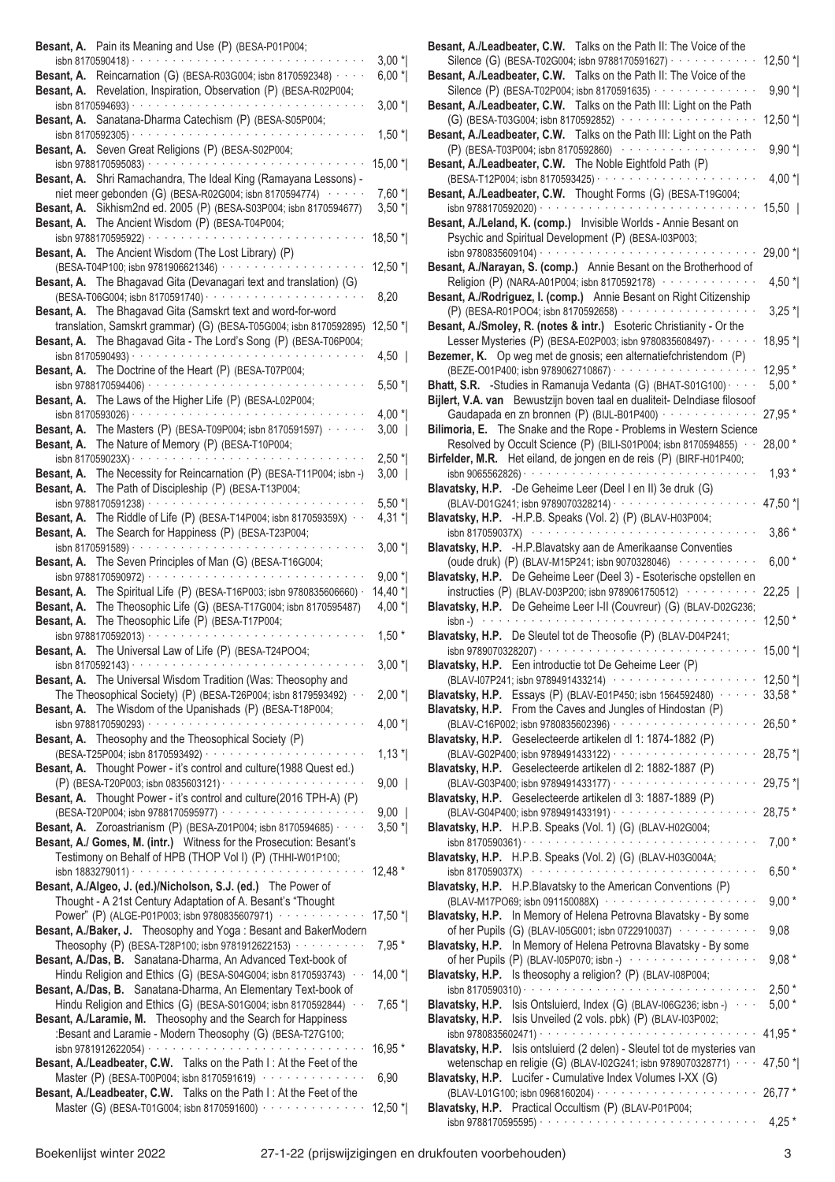| Besant, A. Pain its Meaning and Use (P) (BESA-P01P004;                                                                                                                                                            |                    |
|-------------------------------------------------------------------------------------------------------------------------------------------------------------------------------------------------------------------|--------------------|
| isbn 8170590418) · ·<br>the contract of the contract of the<br>Besant, A. Reincarnation (G) (BESA-R03G004; isbn 8170592348) · ·                                                                                   | $3,00*$<br>$6,00*$ |
| Besant, A. Revelation, Inspiration, Observation (P) (BESA-R02P004;                                                                                                                                                |                    |
| isbn 8170594693) ·                                                                                                                                                                                                | $3,00*$            |
| Besant, A. Sanatana-Dharma Catechism (P) (BESA-S05P004;<br>isbn 8170592305) $\cdot \cdot \cdot \cdot \cdot \cdot \cdot \cdot \cdot \cdot \cdot \cdot \cdot \cdot \cdot \cdot \cdot \cdot$                         | $1,50$ *           |
| Besant, A. Seven Great Religions (P) (BESA-S02P004;                                                                                                                                                               |                    |
| isbn 9788170595083) · · · · · · · · · · · · · · · ·                                                                                                                                                               | 15,00 *            |
| Besant, A. Shri Ramachandra, The Ideal King (Ramayana Lessons) -<br>niet meer gebonden (G) (BESA-R02G004; isbn 8170594774) ······                                                                                 | $7,60*$            |
| Besant, A. Sikhism2nd ed. 2005 (P) (BESA-S03P004; isbn 8170594677)                                                                                                                                                | $3,50$ *           |
| Besant, A. The Ancient Wisdom (P) (BESA-T04P004;<br>and a series and a series                                                                                                                                     |                    |
| isbn 9788170595922) ·<br>Besant, A. The Ancient Wisdom (The Lost Library) (P)                                                                                                                                     | 18,50 *            |
| (BESA-T04P100; isbn 9781906621346) · · · · · · · · ·                                                                                                                                                              | 12,50 *            |
| Besant, A. The Bhagavad Gita (Devanagari text and translation) (G)<br>(BESA-T06G004; isbn 8170591740) · · · · · · · · · · · · · · · ·                                                                             |                    |
| Besant, A. The Bhagavad Gita (Samskrt text and word-for-word                                                                                                                                                      | 8,20               |
| translation, Samskrt grammar) (G) (BESA-T05G004; isbn 8170592895)                                                                                                                                                 | 12,50 *            |
| Besant, A. The Bhagavad Gita - The Lord's Song (P) (BESA-T06P004;<br>isbn 8170590493) ·<br>and a series and a series of                                                                                           | $4,50$             |
| Besant, A. The Doctrine of the Heart (P) (BESA-T07P004;                                                                                                                                                           |                    |
| Besant, A. The Laws of the Higher Life (P) (BESA-L02P004;                                                                                                                                                         | $5,50$ *           |
|                                                                                                                                                                                                                   | $4,00*$            |
| Besant, A. The Masters (P) (BESA-T09P004; isbn 8170591597) · ·                                                                                                                                                    | $3,00$             |
| Besant, A. The Nature of Memory (P) (BESA-T10P004;<br>isbn 817059023X) ·<br>the contract of the contract of the                                                                                                   | $2,50$ *           |
| Besant, A. The Necessity for Reincarnation (P) (BESA-T11P004; isbn -)                                                                                                                                             | 3,00               |
| Besant, A. The Path of Discipleship (P) (BESA-T13P004;<br>والمتواط والمتواط والمتواط والمتواط والمتواط<br>isbn 9788170591238) · ·                                                                                 | $5,50$ *           |
| The Riddle of Life (P) (BESA-T14P004; isbn 817059359X) ·<br>Besant, A.                                                                                                                                            | 4,31 *             |
| The Search for Happiness (P) (BESA-T23P004;<br>Besant, A.                                                                                                                                                         |                    |
| $\frac{1}{15}$ is bn 8170591589) $\cdot \cdot \cdot \cdot \cdot \cdot \cdot \cdot \cdot \cdot \cdot \cdot \cdot \cdot \cdot \cdot \cdot \cdot \cdot$<br>Besant, A. The Seven Principles of Man (G) (BESA-T16G004; | $3,00*$            |
|                                                                                                                                                                                                                   | $9,00*$            |
| The Spiritual Life (P) (BESA-T16P003; isbn 9780835606660) ·<br>Besant, A.<br>Besant, A. The Theosophic Life (G) (BESA-T17G004; isbn 8170595487)                                                                   | 14,40 *<br>$4,00*$ |
| Besant, A. The Theosophic Life (P) (BESA-T17P004;                                                                                                                                                                 |                    |
| isbn 9788170592013) · ·<br>Besant, A. The Universal Law of Life (P) (BESA-T24POO4;                                                                                                                                | $1,50*$            |
|                                                                                                                                                                                                                   | $3,00*$            |
| Besant, A. The Universal Wisdom Tradition (Was: Theosophy and                                                                                                                                                     |                    |
| The Theosophical Society) (P) (BESA-T26P004; isbn 8179593492) · ·<br>Besant, A. The Wisdom of the Upanishads (P) (BESA-T18P004;                                                                                   | $2,00*$            |
|                                                                                                                                                                                                                   | 4,00 $^*$          |
| Besant, A. Theosophy and the Theosophical Society (P)                                                                                                                                                             | $1,13*$            |
| Besant, A. Thought Power - it's control and culture(1988 Quest ed.)                                                                                                                                               |                    |
|                                                                                                                                                                                                                   | $9,00$             |
| Besant, A. Thought Power - it's control and culture(2016 TPH-A) (P)<br>(BESA-T20P004; isbn 9788170595977) ····················                                                                                    | $9,00$             |
| Besant, A. Zoroastrianism (P) (BESA-Z01P004; isbn 8170594685) · · · ·                                                                                                                                             | $3,50$ *           |
| Besant, A./ Gomes, M. (intr.) Witness for the Prosecution: Besant's<br>Testimony on Behalf of HPB (THOP Vol I) (P) (THHI-W01P100;                                                                                 |                    |
|                                                                                                                                                                                                                   | 12,48 *            |
| Besant, A./Algeo, J. (ed.)/Nicholson, S.J. (ed.) The Power of<br>Thought - A 21st Century Adaptation of A. Besant's "Thought                                                                                      |                    |
| Power" (P) (ALGE-P01P003; isbn 9780835607971) ············                                                                                                                                                        | 17,50 *            |
| Besant, A./Baker, J. Theosophy and Yoga: Besant and BakerModern                                                                                                                                                   |                    |
| Theosophy (P) (BESA-T28P100; isbn 9781912622153) · · · · · · · · · ·<br>Besant, A./Das, B. Sanatana-Dharma, An Advanced Text-book of                                                                              | $7,95*$            |
| Hindu Religion and Ethics (G) (BESA-S04G004; isbn 8170593743) · ·                                                                                                                                                 | $14,00*$           |
| Besant, A./Das, B. Sanatana-Dharma, An Elementary Text-book of                                                                                                                                                    |                    |
| Hindu Religion and Ethics (G) (BESA-S01G004; isbn 8170592844) · ·<br>Besant, A./Laramie, M. Theosophy and the Search for Happiness                                                                                | $7,65*$            |
| :Besant and Laramie - Modern Theosophy (G) (BESA-T27G100;                                                                                                                                                         |                    |
| Besant, A./Leadbeater, C.W. Talks on the Path I: At the Feet of the                                                                                                                                               | 16,95 *            |
| Master (P) (BESA-T00P004; isbn 8170591619) ···············                                                                                                                                                        | 6,90               |
| Besant, A./Leadbeater, C.W. Talks on the Path I: At the Feet of the<br>Master (G) (BESA-T01G004; isbn 8170591600) ···············                                                                                 | $12,50$ $*$        |
|                                                                                                                                                                                                                   |                    |

|                                                                                                                                                                                                                               | $12,50$ * |
|-------------------------------------------------------------------------------------------------------------------------------------------------------------------------------------------------------------------------------|-----------|
| Besant, A./Leadbeater, C.W. Talks on the Path II: The Voice of the<br>Silence (P) (BESA-T02P004; isbn 8170591635) · · · · · · · · · · · · · · ·                                                                               | $9,90*$   |
| Besant, A./Leadbeater, C.W. Talks on the Path III: Light on the Path                                                                                                                                                          |           |
| (G) (BESA-T03G004; isbn 8170592852) ····················                                                                                                                                                                      | 12,50 $*$ |
| Besant, A./Leadbeater, C.W. Talks on the Path III: Light on the Path                                                                                                                                                          |           |
| (P) (BESA-T03P004; isbn 8170592860) ················                                                                                                                                                                          | $9,90*$   |
| Besant, A./Leadbeater, C.W. The Noble Eightfold Path (P)                                                                                                                                                                      |           |
| Thought Forms (G) (BESA-T19G004;<br>Besant, A./Leadbeater, C.W.                                                                                                                                                               | $4,00*$   |
| $\alpha$ , and a second contract of the second contract of $\alpha$<br>isbn 9788170592020) · · ·                                                                                                                              | $15,50$   |
| Besant, A./Leland, K. (comp.) Invisible Worlds - Annie Besant on                                                                                                                                                              |           |
| Psychic and Spiritual Development (P) (BESA-I03P003;                                                                                                                                                                          |           |
|                                                                                                                                                                                                                               | $29,00*$  |
| Besant, A./Narayan, S. (comp.) Annie Besant on the Brotherhood of<br>Religion (P) (NARA-A01P004; isbn 8170592178) ··············                                                                                              | 4,50 $^*$ |
| Besant, A./Rodriguez, I. (comp.) Annie Besant on Right Citizenship                                                                                                                                                            |           |
|                                                                                                                                                                                                                               | $3,25$ *  |
| Besant, A./Smoley, R. (notes & intr.) Esoteric Christianity - Or the                                                                                                                                                          |           |
| Lesser Mysteries (P) (BESA-E02P003; isbn 9780835608497) · · · · · · ·                                                                                                                                                         | 18,95 *   |
| Bezemer, K. Op weg met de gnosis; een alternatiefchristendom (P)                                                                                                                                                              | 12,95 *   |
| Bhatt, S.R. -Studies in Ramanuja Vedanta (G) (BHAT-S01G100) · · · ·                                                                                                                                                           | $5,00*$   |
| Bijlert, V.A. van Bewustzijn boven taal en dualiteit- Delndiase filosoof                                                                                                                                                      |           |
| Gaudapada en zn bronnen (P) (BIJL-B01P400) ·············                                                                                                                                                                      | 27,95 *   |
| Bilimoria, E. The Snake and the Rope - Problems in Western Science                                                                                                                                                            |           |
| Resolved by Occult Science (P) (BILI-S01P004; isbn 8170594855) · ·                                                                                                                                                            | $28,00*$  |
| Birfelder, M.R. Het eiland, de jongen en de reis (P) (BIRF-H01P400;                                                                                                                                                           | $1,93*$   |
| Blavatsky, H.P. - De Geheime Leer (Deel I en II) 3e druk (G)                                                                                                                                                                  |           |
| (BLAV-D01G241; isbn 9789070328214) · · · · · · · · · · · · · · · ·                                                                                                                                                            | 47,50 *   |
| Blavatsky, H.P. - H.P.B. Speaks (Vol. 2) (P) (BLAV-H03P004;                                                                                                                                                                   |           |
| isbn 817059037X) (and a set of the set of the set of the set of the set of the set of the set of the set of the                                                                                                               | $3,86*$   |
| Blavatsky, H.P. - H.P. Blavatsky aan de Amerikaanse Conventies<br>(oude druk) (P) (BLAV-M15P241; isbn 9070328046) ···········                                                                                                 | $6,00*$   |
| Blavatsky, H.P. De Geheime Leer (Deel 3) - Esoterische opstellen en                                                                                                                                                           |           |
| instructies (P) (BLAV-D03P200; isbn 9789061750512) ··········                                                                                                                                                                 | 22,25     |
| Blavatsky, H.P. De Geheime Leer I-II (Couvreur) (G) (BLAV-D02G236;                                                                                                                                                            |           |
| $\mathsf{isbn}$ -) $\cdots \cdots \cdots \cdots \cdots \cdots \cdots$                                                                                                                                                         | $12,50*$  |
| Blavatsky, H.P. De Sleutel tot de Theosofie (P) (BLAV-D04P241;<br>isbn 9789070328207) · · · · · · ·                                                                                                                           | $15,00*$  |
| Blavatsky, H.P. Een introductie tot De Geheime Leer (P)                                                                                                                                                                       |           |
| (BLAV-I07P241; isbn 9789491433214) ···················                                                                                                                                                                        | 12,50 *   |
| <b>Blavatsky, H.P.</b> Essays (P) (BLAV-E01P450; isbn 1564592480) $\cdots$ 33,58 *                                                                                                                                            |           |
| Blavatsky, H.P. From the Caves and Jungles of Hindostan (P)                                                                                                                                                                   |           |
|                                                                                                                                                                                                                               | 26,50 *   |
|                                                                                                                                                                                                                               |           |
| Blavatsky, H.P. Geselecteerde artikelen dl 1: 1874-1882 (P)                                                                                                                                                                   |           |
| Blavatsky, H.P. Geselecteerde artikelen dl 2: 1882-1887 (P)                                                                                                                                                                   | 28,75 *   |
| (BLAV-G03P400; isbn 9789491433177) · · · · · · · · · · · · · ·                                                                                                                                                                | $29,75$ * |
| Blavatsky, H.P. Geselecteerde artikelen dl 3: 1887-1889 (P)                                                                                                                                                                   |           |
| (BLAV-G04P400; isbn 9789491433191) · · · · · · · · · · · · · · · · ·                                                                                                                                                          | 28,75 *   |
| Blavatsky, H.P. H.P.B. Speaks (Vol. 1) (G) (BLAV-H02G004;                                                                                                                                                                     |           |
| isbn 8170590361) $\cdots$<br>Blavatsky, H.P. H.P.B. Speaks (Vol. 2) (G) (BLAV-H03G004A;                                                                                                                                       | $7,00*$   |
| isbn 817059037X) (and contact the contract of the contract of the contract of the contract of the contract of the contract of the contract of the contract of the contract of the contract of the contract of the contract of | $6,50*$   |
| Blavatsky, H.P. H.P. Blavatsky to the American Conventions (P)                                                                                                                                                                |           |
| (BLAV-M17PO69; isbn 091150088X) ·····················                                                                                                                                                                         | $9,00*$   |
| Blavatsky, H.P. In Memory of Helena Petrovna Blavatsky - By some                                                                                                                                                              |           |
| of her Pupils (G) (BLAV-I05G001; isbn 0722910037)<br>Blavatsky, H.P. In Memory of Helena Petrovna Blavatsky - By some                                                                                                         | 9,08      |
| of her Pupils (P) (BLAV-I05P070; isbn -) $\cdots$                                                                                                                                                                             | $9,08*$   |
| Blavatsky, H.P. Is theosophy a religion? (P) (BLAV-I08P004;                                                                                                                                                                   |           |
| isbn 8170590310) $\cdots$                                                                                                                                                                                                     | $2,50*$   |
|                                                                                                                                                                                                                               | $5,00*$   |
|                                                                                                                                                                                                                               | 41,95 *   |
| Blavatsky, H.P. Isis Ontsluierd, Index (G) (BLAV-106G236; isbn -)<br>Blavatsky, H.P. Isis Unveiled (2 vols. pbk) (P) (BLAV-I03P002;<br>Blavatsky, H.P. Isis ontsluierd (2 delen) - Sleutel tot de mysteries van               |           |
| wetenschap en religie (G) (BLAV-I02G241; isbn 9789070328771) · · · ·                                                                                                                                                          | 47,50 *   |
| Blavatsky, H.P. Lucifer - Cumulative Index Volumes I-XX (G)                                                                                                                                                                   |           |
|                                                                                                                                                                                                                               | $26,77*$  |
| Blavatsky, H.P. Practical Occultism (P) (BLAV-P01P004;                                                                                                                                                                        | $4,25*$   |

**Besant, A./Leadbeater, C.W.** Talks on the Path II: The Voice of the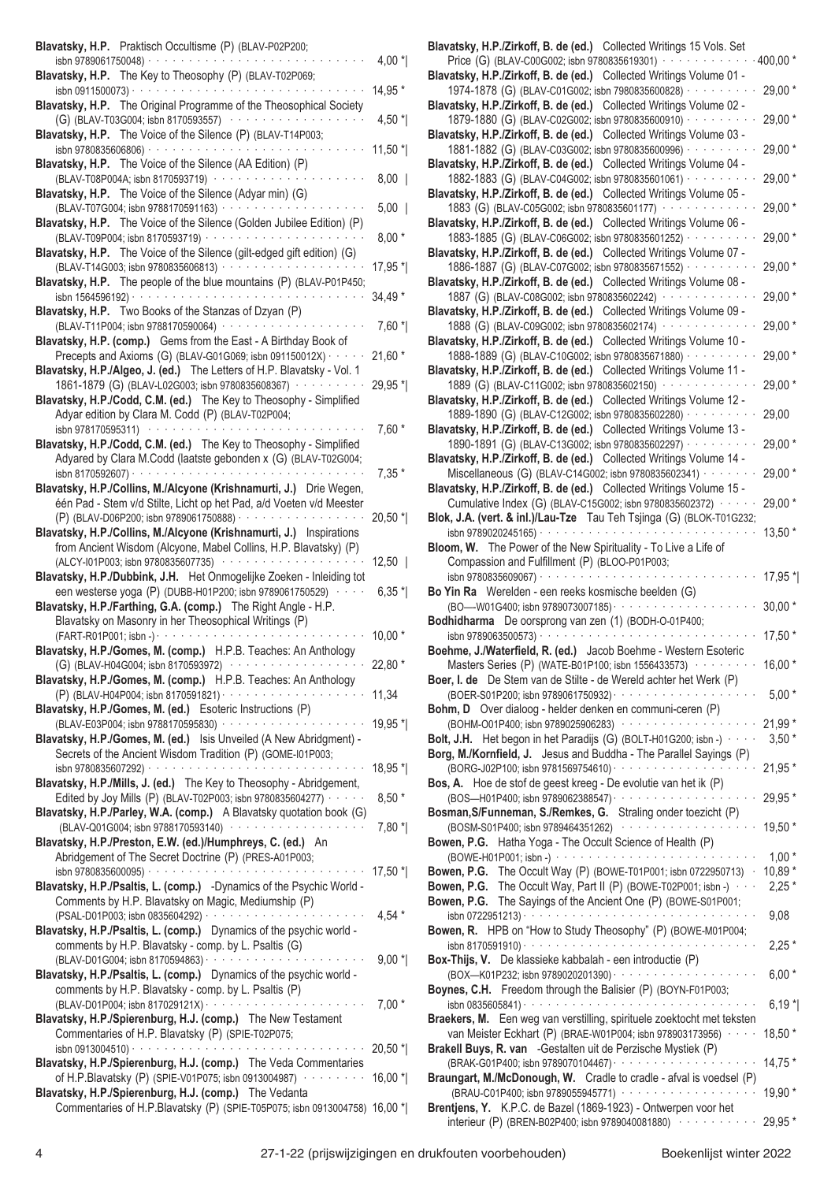| Blavatsky, H.P. Praktisch Occultisme (P) (BLAV-P02P200;                                                                                                                                                                       |           |
|-------------------------------------------------------------------------------------------------------------------------------------------------------------------------------------------------------------------------------|-----------|
| isbn 9789061750048) · · · · · · · · · ·<br>Blavatsky, H.P. The Key to Theosophy (P) (BLAV-T02P069;                                                                                                                            | 4,00 $*$  |
| isbn 0911500073) $\cdots$                                                                                                                                                                                                     | 14,95 *   |
| Blavatsky, H.P. The Original Programme of the Theosophical Society<br>(G) (BLAV-T03G004; isbn 8170593557)<br>$\alpha$ , and $\alpha$ , and $\alpha$ , and $\alpha$                                                            | 4,50 $^*$ |
| Blavatsky, H.P. The Voice of the Silence (P) (BLAV-T14P003;<br>isbn 9780835606806) · · · · · · · · · · · · · · · · ·                                                                                                          | 11,50 *   |
| Blavatsky, H.P. The Voice of the Silence (AA Edition) (P)                                                                                                                                                                     |           |
| (BLAV-T08P004A; isbn 8170593719) ·········<br>Blavatsky, H.P. The Voice of the Silence (Adyar min) (G)                                                                                                                        | $8,00$    |
| (BLAV-T07G004; isbn 9788170591163) · · · · · · · · · · · ·                                                                                                                                                                    | $5,00$    |
| Blavatsky, H.P. The Voice of the Silence (Golden Jubilee Edition) (P)<br>(BLAV-T09P004; isbn 8170593719)<br>$\mathcal{A}$ , and $\mathcal{A}$ , and $\mathcal{A}$ , and $\mathcal{A}$ , and $\mathcal{A}$ , and $\mathcal{A}$ | $8,00*$   |
| Blavatsky, H.P. The Voice of the Silence (gilt-edged gift edition) (G)                                                                                                                                                        |           |
| (BLAV-T14G003; isbn 9780835606813) · · · · · · · · · · · · · · · · ·<br>Blavatsky, H.P. The people of the blue mountains (P) (BLAV-P01P450;                                                                                   | 17,95 *   |
| isbn 1564596192) $\cdots$                                                                                                                                                                                                     | 34,49 *   |
| Blavatsky, H.P. Two Books of the Stanzas of Dzyan (P)<br>(BLAV-T11P004; isbn 9788170590064) ············                                                                                                                      | $7,60*$   |
| Blavatsky, H.P. (comp.) Gems from the East - A Birthday Book of<br>Precepts and Axioms (G) (BLAV-G01G069; isbn 091150012X) · · · · ·                                                                                          | $21,60*$  |
| Blavatsky, H.P./Algeo, J. (ed.) The Letters of H.P. Blavatsky - Vol. 1                                                                                                                                                        |           |
| 1861-1879 (G) (BLAV-L02G003; isbn 9780835608367) · · · · · · · · · ·<br>Blavatsky, H.P./Codd, C.M. (ed.) The Key to Theosophy - Simplified                                                                                    | 29,95 *   |
| Adyar edition by Clara M. Codd (P) (BLAV-T02P004;                                                                                                                                                                             |           |
| isbn 978170595311)<br>Blavatsky, H.P./Codd, C.M. (ed.) The Key to Theosophy - Simplified                                                                                                                                      | $7,60*$   |
| Adyared by Clara M.Codd (laatste gebonden x (G) (BLAV-T02G004;                                                                                                                                                                |           |
| isbn 8170592607) ·<br>the contract of the contract of the<br>$\mathcal{A}$ , and $\mathcal{A}$ , and $\mathcal{A}$ , and<br>Blavatsky, H.P./Collins, M./Alcyone (Krishnamurti, J.) Drie Wegen,                                | $7,35*$   |
| één Pad - Stem v/d Stilte, Licht op het Pad, a/d Voeten v/d Meester                                                                                                                                                           |           |
| (P) (BLAV-D06P200; isbn 9789061750888) · · · · · · · · · · · · · · · ·<br>Blavatsky, H.P./Collins, M./Alcyone (Krishnamurti, J.) Inspirations                                                                                 | 20,50 *   |
| from Ancient Wisdom (Alcyone, Mabel Collins, H.P. Blavatsky) (P)<br>(ALCY-I01P003; isbn 9780835607735) ·················                                                                                                      | $12,50$   |
| Blavatsky, H.P./Dubbink, J.H. Het Onmogelijke Zoeken - Inleiding tot                                                                                                                                                          |           |
| een westerse yoga (P) (DUBB-H01P200; isbn 9789061750529) · · · · ·<br>Blavatsky, H.P./Farthing, G.A. (comp.) The Right Angle - H.P.                                                                                           | $6,35*$   |
| Blavatsky on Masonry in her Theosophical Writings (P)                                                                                                                                                                         |           |
| (FART-R01P001; isbn -) · · ·<br>Blavatsky, H.P./Gomes, M. (comp.) H.P.B. Teaches: An Anthology                                                                                                                                | $10,00*$  |
| (G) (BLAV-H04G004; isbn 8170593972) ···············                                                                                                                                                                           | 22,80 *   |
| Blavatsky, H.P./Gomes, M. (comp.) H.P.B. Teaches: An Anthology                                                                                                                                                                | 11,34     |
| Blavatsky, H.P./Gomes, M. (ed.) Esoteric Instructions (P)                                                                                                                                                                     |           |
| (BLAV-E03P004; isbn 9788170595830) · · · · · · · · · · · · · · · ·<br>Blavatsky, H.P./Gomes, M. (ed.) Isis Unveiled (A New Abridgment) -                                                                                      | 19,95 *   |
| Secrets of the Ancient Wisdom Tradition (P) (GOME-I01P003;<br>$\alpha$ , and $\alpha$ , and $\alpha$ , and $\alpha$ , and $\alpha$ , and $\alpha$ , and $\alpha$ , and $\alpha$<br>isbn 9780835607292) ·                      | 18,95 *   |
| Blavatsky, H.P./Mills, J. (ed.) The Key to Theosophy - Abridgement,                                                                                                                                                           |           |
| Edited by Joy Mills (P) (BLAV-T02P003; isbn 9780835604277) · · · · ·<br>Blavatsky, H.P./Parley, W.A. (comp.) A Blavatsky quotation book (G)                                                                                   | $8,50*$   |
| (BLAV-Q01G004; isbn 9788170593140) ·············                                                                                                                                                                              | $7,80*$   |
| Blavatsky, H.P./Preston, E.W. (ed.)/Humphreys, C. (ed.) An<br>Abridgement of The Secret Doctrine (P) (PRES-A01P003;                                                                                                           |           |
| والمتواط والمتواط والمتواط والمتواط والمتواطئ<br>isbn 9780835600095) ·                                                                                                                                                        | 17,50 *   |
| Blavatsky, H.P./Psaltis, L. (comp.) -Dynamics of the Psychic World -<br>Comments by H.P. Blavatsky on Magic, Mediumship (P)                                                                                                   |           |
| Blavatsky, H.P./Psaltis, L. (comp.) Dynamics of the psychic world -                                                                                                                                                           | 4,54 $*$  |
| comments by H.P. Blavatsky - comp. by L. Psaltis (G)                                                                                                                                                                          |           |
| (BLAV-D01G004; isbn 8170594863) · · · · · · · · · · · · · · ·<br>Blavatsky, H.P./Psaltis, L. (comp.) Dynamics of the psychic world -                                                                                          | $9,00*$   |
| comments by H.P. Blavatsky - comp. by L. Psaltis (P)                                                                                                                                                                          |           |
| $\alpha$ , and a sequence of the sequence of the sequence of $\alpha$<br>(BLAV-D01P004; isbn 817029121X) ·<br>Blavatsky, H.P./Spierenburg, H.J. (comp.) The New Testament                                                     | $7,00*$   |
| Commentaries of H.P. Blavatsky (P) (SPIE-T02P075;<br>and the company of the                                                                                                                                                   |           |
| isbn 0913004510) · · · · · · · · · · · ·<br>Blavatsky, H.P./Spierenburg, H.J. (comp.) The Veda Commentaries                                                                                                                   | $20,50$ * |
| of H.P.Blavatsky (P) (SPIE-V01P075; isbn 0913004987) · · · · · · · · ·<br>Blavatsky, H.P./Spierenburg, H.J. (comp.) The Vedanta                                                                                               | $16,00*$  |
| Commentaries of H.P.Blavatsky (P) (SPIE-T05P075; isbn 0913004758) 16,00 *                                                                                                                                                     |           |

| Blavatsky, H.P./Zirkoff, B. de (ed.) Collected Writings 15 Vols. Set                                                                                                                                         |                    |
|--------------------------------------------------------------------------------------------------------------------------------------------------------------------------------------------------------------|--------------------|
| Price (G) (BLAV-C00G002; isbn 9780835619301) · · · · · · · · · · · · ·                                                                                                                                       | $.400,00*$         |
| Blavatsky, H.P./Zirkoff, B. de (ed.) Collected Writings Volume 01 -<br>1974-1878 (G) (BLAV-C01G002; isbn 7980835600828) · · · · · · · · ·                                                                    | 29,00 *            |
| Blavatsky, H.P./Zirkoff, B. de (ed.) Collected Writings Volume 02 -                                                                                                                                          |                    |
| 1879-1880 (G) (BLAV-C02G002; isbn 9780835600910) · · · · · · · · ·                                                                                                                                           | 29,00 *            |
| Blavatsky, H.P./Zirkoff, B. de (ed.) Collected Writings Volume 03 -                                                                                                                                          |                    |
| 1881-1882 (G) (BLAV-C03G002; isbn 9780835600996) · · · · · · · · ·                                                                                                                                           | 29,00 *            |
| Blavatsky, H.P./Zirkoff, B. de (ed.) Collected Writings Volume 04 -                                                                                                                                          |                    |
| 1882-1883 (G) (BLAV-C04G002; isbn 9780835601061) · · · · · · · · ·<br>Blavatsky, H.P./Zirkoff, B. de (ed.) Collected Writings Volume 05 -                                                                    | 29,00 *            |
| 1883 (G) (BLAV-C05G002; isbn 9780835601177) ·············                                                                                                                                                    | 29,00 *            |
| Blavatsky, H.P./Zirkoff, B. de (ed.) Collected Writings Volume 06 -                                                                                                                                          |                    |
| 1883-1885 (G) (BLAV-C06G002; isbn 9780835601252) · · · · · · · · ·                                                                                                                                           | 29,00 *            |
| Blavatsky, H.P./Zirkoff, B. de (ed.) Collected Writings Volume 07 -                                                                                                                                          |                    |
| 1886-1887 (G) (BLAV-C07G002; isbn 9780835671552) · · · · · · ·<br>Blavatsky, H.P./Zirkoff, B. de (ed.) Collected Writings Volume 08 -                                                                        | 29,00 *            |
| 1887 (G) (BLAV-C08G002; isbn 9780835602242) ············                                                                                                                                                     | 29,00 *            |
| Blavatsky, H.P./Zirkoff, B. de (ed.) Collected Writings Volume 09 -                                                                                                                                          |                    |
| 1888 (G) (BLAV-C09G002; isbn 9780835602174) ·············                                                                                                                                                    | 29,00 *            |
| Blavatsky, H.P./Zirkoff, B. de (ed.) Collected Writings Volume 10 -                                                                                                                                          |                    |
| 1888-1889 (G) (BLAV-C10G002; isbn 9780835671880) · · · · · · · · ·<br>Blavatsky, H.P./Zirkoff, B. de (ed.) Collected Writings Volume 11 -                                                                    | 29,00 *            |
| 1889 (G) (BLAV-C11G002; isbn 9780835602150) ··········                                                                                                                                                       | 29,00 *            |
| Blavatsky, H.P./Zirkoff, B. de (ed.) Collected Writings Volume 12 -                                                                                                                                          |                    |
| 1889-1890 (G) (BLAV-C12G002; isbn 9780835602280) · · · · · · · · ·                                                                                                                                           | 29,00              |
| Blavatsky, H.P./Zirkoff, B. de (ed.) Collected Writings Volume 13 -                                                                                                                                          |                    |
| 1890-1891 (G) (BLAV-C13G002; isbn 9780835602297) · · · · · · · · ·                                                                                                                                           | 29,00 *            |
| Blavatsky, H.P./Zirkoff, B. de (ed.) Collected Writings Volume 14 -<br>Miscellaneous (G) (BLAV-C14G002; isbn 9780835602341) · · · · · · ·                                                                    | 29,00 *            |
| Blavatsky, H.P./Zirkoff, B. de (ed.) Collected Writings Volume 15 -                                                                                                                                          |                    |
| Cumulative Index (G) (BLAV-C15G002; isbn 9780835602372) · · · · · ·                                                                                                                                          | 29,00 *            |
| Blok, J.A. (vert. & inl.)/Lau-Tze Tau Teh Tsjinga (G) (BLOK-T01G232;                                                                                                                                         |                    |
|                                                                                                                                                                                                              | 13,50 *            |
| Bloom, W. The Power of the New Spirituality - To Live a Life of<br>Compassion and Fulfillment (P) (BLOO-P01P003;                                                                                             |                    |
| $\alpha$ , and a set of the set of the set of the set of the set of the set of the $\alpha$<br>isbn 9780835609067) · ·                                                                                       |                    |
|                                                                                                                                                                                                              |                    |
|                                                                                                                                                                                                              | $17,95*$           |
| Bo Yin Ra Werelden - een reeks kosmische beelden (G)<br>(BO-W01G400; isbn 9789073007185) · · · · · · · · · · · · · · ·                                                                                       | $30,00*$           |
| Bodhidharma De oorsprong van zen (1) (BODH-O-01P400;                                                                                                                                                         |                    |
| isbn 9789063500573) · · · · · · · · · · · · · · ·                                                                                                                                                            | 17,50 *            |
| Boehme, J./Waterfield, R. (ed.) Jacob Boehme - Western Esoteric                                                                                                                                              |                    |
| Masters Series (P) (WATE-B01P100; isbn 1556433573) ·········<br>Boer, I. de De Stem van de Stilte - de Wereld achter het Werk (P)                                                                            | $16,00*$           |
|                                                                                                                                                                                                              | $5.00*$            |
| Bohm, D Over dialoog - helder denken en communi-ceren (P)                                                                                                                                                    |                    |
| (BOHM-O01P400; isbn 9789025906283) ·················                                                                                                                                                         | $21,99*$           |
| Bolt, J.H. Het begon in het Paradijs (G) (BOLT-H01G200; isbn -) with a                                                                                                                                       | $3,50*$            |
| Borg, M./Kornfield, J. Jesus and Buddha - The Parallel Sayings (P)                                                                                                                                           |                    |
| <b>Bos, A.</b> Hoe de stof de geest kreeg - De evolutie van het ik (P)                                                                                                                                       | 21,95 *            |
| (BOS-H01P400; isbn 9789062388547) · · · · · · · · · · · · · · · ·                                                                                                                                            | 29,95 *            |
| Bosman, S/Funneman, S./Remkes, G. Straling onder toezicht (P)                                                                                                                                                |                    |
| (BOSM-S01P400; isbn 9789464351262) ··················                                                                                                                                                        | 19,50 *            |
| Bowen, P.G. Hatha Yoga - The Occult Science of Health (P)                                                                                                                                                    |                    |
|                                                                                                                                                                                                              | $1,00*$<br>10,89 * |
| <b>Bowen, P.G.</b> The Occult Way (P) (BOWE-T01P001; isbn 0722950713)   ·<br><b>Bowen, P.G.</b> The Occult Way, Part II (P) (BOWE-T02P001; isbn -)   ·  · ·                                                  | $2,25*$            |
|                                                                                                                                                                                                              |                    |
| Bowen, P.G. The Sayings of the Ancient One (P) (BOWE-S01P001;                                                                                                                                                | 9,08               |
| Bowen, R. HPB on "How to Study Theosophy" (P) (BOWE-M01P004;                                                                                                                                                 |                    |
| Box-Thijs, V. De klassieke kabbalah - een introductie (P)                                                                                                                                                    | $2,25*$            |
|                                                                                                                                                                                                              | $6,00*$            |
| Boynes, C.H. Freedom through the Balisier (P) (BOYN-F01P003;                                                                                                                                                 |                    |
| $\sin 0835605841)$                                                                                                                                                                                           | $6,19*$            |
|                                                                                                                                                                                                              | $18,50*$           |
| Braekers, M. Een weg van verstilling, spirituele zoektocht met teksten<br>van Meister Eckhart (P) (BRAE-W01P004; isbn 978903173956) · · · ·<br>Brakell Buys, R. van - Gestalten uit de Perzische Mystiek (P) |                    |
| (BRAK-G01P400; isbn 9789070104467) ·····················                                                                                                                                                     | $14,75*$           |
| Braungart, M./McDonough, W. Cradle to cradle - afval is voedsel (P)                                                                                                                                          |                    |
| (BRAU-C01P400; isbn 9789055945771) ···················<br>Brentjens, Y. K.P.C. de Bazel (1869-1923) - Ontwerpen voor het                                                                                     | 19,90 *            |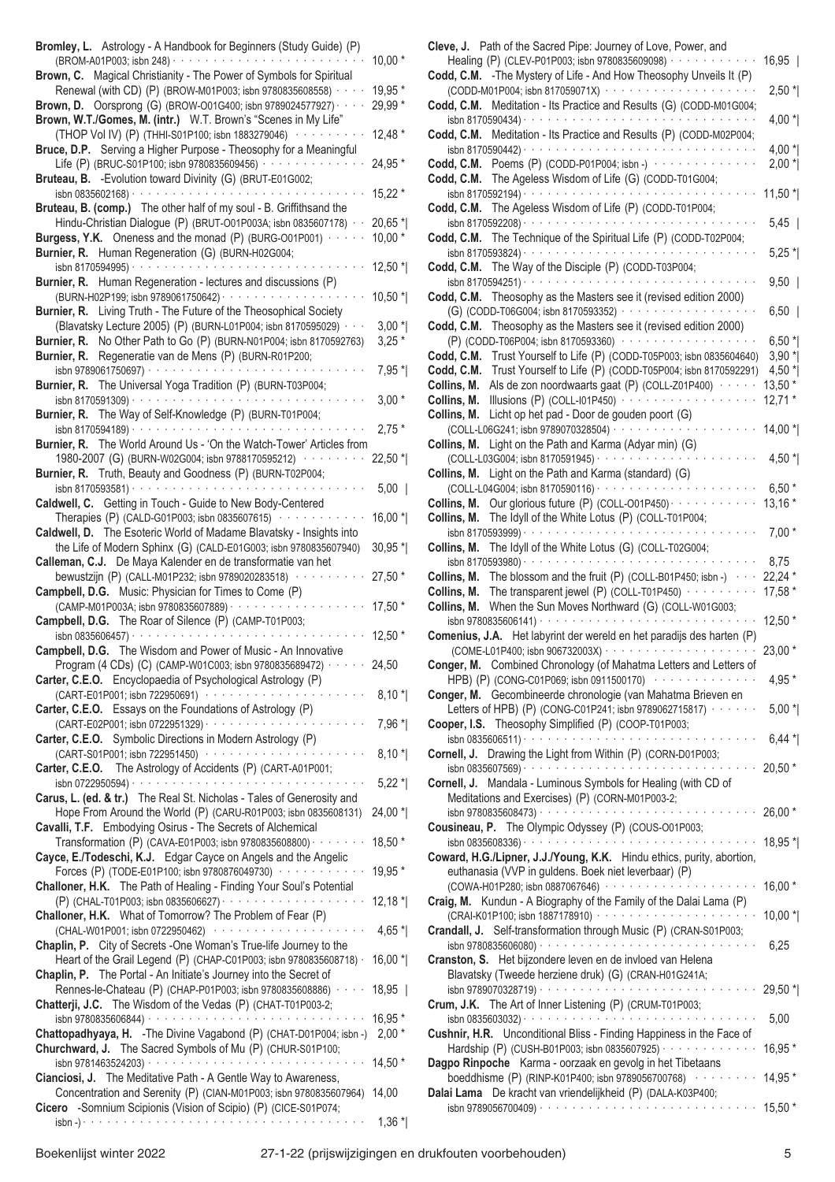| Bromley, L. Astrology - A Handbook for Beginners (Study Guide) (P)<br>(BROM-A01P003; isbn 248) · · · · · · · · · · · ·                                | $10,00*$            |
|-------------------------------------------------------------------------------------------------------------------------------------------------------|---------------------|
| Brown, C. Magical Christianity - The Power of Symbols for Spiritual                                                                                   |                     |
| Renewal (with CD) (P) (BROW-M01P003; isbn 9780835608558) · · · ·                                                                                      | 19,95 *             |
| Brown, D. Oorsprong (G) (BROW-001G400; isbn 9789024577927) · · ·<br>Brown, W.T./Gomes, M. (intr.) W.T. Brown's "Scenes in My Life"                    | 29,99 *             |
| (THOP Vol IV) (P) (THHI-S01P100; isbn 1883279046) ········                                                                                            | $12,48*$            |
| Bruce, D.P. Serving a Higher Purpose - Theosophy for a Meaningful                                                                                     |                     |
| Life (P) (BRUC-S01P100; isbn 9780835609456) · · · · · · · · ·<br>Bruteau, B. - Evolution toward Divinity (G) (BRUT-E01G002;                           | 24,95 *             |
| isbn 0835602168) $\cdots$                                                                                                                             | 15,22 *             |
| Bruteau, B. (comp.) The other half of my soul - B. Griffithsand the                                                                                   |                     |
| Hindu-Christian Dialogue (P) (BRUT-O01P003A; isbn 0835607178) · ·<br>Burgess, Y.K. Oneness and the monad (P) (BURG-001P001)                           | 20,65 *<br>$10,00*$ |
| Burnier, R. Human Regeneration (G) (BURN-H02G004;                                                                                                     |                     |
|                                                                                                                                                       | 12,50 *             |
| Burnier, R. Human Regeneration - lectures and discussions (P)<br>(BURN-H02P199; isbn 9789061750642) · · · · · · · · · · · · ·                         |                     |
| Burnier, R. Living Truth - The Future of the Theosophical Society                                                                                     | $10,50*$            |
| (Blavatsky Lecture 2005) (P) (BURN-L01P004; isbn 8170595029) ·                                                                                        | $3,00*$             |
| Burnier, R. No Other Path to Go (P) (BURN-N01P004; isbn 8170592763)                                                                                   | $3,25*$             |
| Burnier, R. Regeneratie van de Mens (P) (BURN-R01P200;                                                                                                | 7,95 *              |
| Burnier, R. The Universal Yoga Tradition (P) (BURN-T03P004;                                                                                           |                     |
| isbn 8170591309) $\cdots$                                                                                                                             | $3,00*$             |
| Burnier, R. The Way of Self-Knowledge (P) (BURN-T01P004;                                                                                              | $2,75*$             |
| Burnier, R. The World Around Us - 'On the Watch-Tower' Articles from                                                                                  |                     |
| 1980-2007 (G) (BURN-W02G004; isbn 9788170595212)                                                                                                      | 22,50 *             |
| Burnier, R. Truth, Beauty and Goodness (P) (BURN-T02P004;<br>isbn 8170593581) $\cdots$ $\cdots$ $\cdots$ $\cdots$ $\cdots$ $\cdots$ $\cdots$ $\cdots$ | $5,00$              |
| Caldwell, C. Getting in Touch - Guide to New Body-Centered                                                                                            |                     |
| Therapies (P) (CALD-G01P003; isbn 0835607615) $\cdots$                                                                                                | $16,00*$            |
| Caldwell, D. The Esoteric World of Madame Blavatsky - Insights into<br>the Life of Modern Sphinx (G) (CALD-E01G003; isbn 9780835607940)               | $30,95$ *           |
| Calleman, C.J. De Maya Kalender en de transformatie van het                                                                                           |                     |
| bewustzijn (P) (CALL-M01P232; isbn 9789020283518) · · · ·                                                                                             | 27,50 *             |
| Campbell, D.G. Music: Physician for Times to Come (P)<br>(CAMP-M01P003A; isbn 9780835607889) · · · · · · · · · · · · · ·                              | 17,50 *             |
| Campbell, D.G. The Roar of Silence (P) (CAMP-T01P003;                                                                                                 |                     |
| isbn 0835606457) $\cdots$                                                                                                                             | 12,50 *             |
| Campbell, D.G. The Wisdom and Power of Music - An Innovative<br>Program (4 CDs) (C) (CAMP-W01C003; isbn 9780835689472) · · · · · ·                    | 24,50               |
| Carter, C.E.O. Encyclopaedia of Psychological Astrology (P)                                                                                           |                     |
| (CART-E01P001; isbn 722950691) ············                                                                                                           | $8,10*$             |
| Carter, C.E.O. Essays on the Foundations of Astrology (P)<br>(CART-E02P001; isbn 0722951329) · · · · · · · · · · · · · · ·                            |                     |
| Carter, C.E.O. Symbolic Directions in Modern Astrology (P)                                                                                            | 7,96 *              |
| (CART-S01P001; isbn 722951450) ··················                                                                                                     | $8,10*$             |
| Carter, C.E.O. The Astrology of Accidents (P) (CART-A01P001;                                                                                          |                     |
| Carus, L. (ed. & tr.) The Real St. Nicholas - Tales of Generosity and                                                                                 | $5,22*$             |
| Hope From Around the World (P) (CARU-R01P003; isbn 0835608131)                                                                                        | 24,00 *             |
| Cavalli, T.F. Embodying Osirus - The Secrets of Alchemical                                                                                            |                     |
| Transformation (P) (CAVA-E01P003; isbn 9780835608800) $\cdots$<br>Cayce, E./Todeschi, K.J. Edgar Cayce on Angels and the Angelic                      | 18,50 *             |
| Forces (P) (TODE-E01P100; isbn 9780876049730) ············                                                                                            | 19,95 *             |
| Challoner, H.K. The Path of Healing - Finding Your Soul's Potential                                                                                   |                     |
| Challoner, H.K. What of Tomorrow? The Problem of Fear (P)                                                                                             | $12,18*$            |
| (CHAL-W01P001; isbn 0722950462)                                                                                                                       | $4,65*$             |
| Chaplin, P. City of Secrets - One Woman's True-life Journey to the                                                                                    |                     |
| Heart of the Grail Legend (P) (CHAP-C01P003; isbn 9780835608718) ·<br>Chaplin, P. The Portal - An Initiate's Journey into the Secret of               | 16,00 *             |
| Rennes-le-Chateau (P) (CHAP-P01P003; isbn 9780835608886) · ·                                                                                          | 18,95               |
| Chatterji, J.C. The Wisdom of the Vedas (P) (CHAT-T01P003-2;                                                                                          |                     |
| Chattopadhyaya, H. - The Divine Vagabond (P) (CHAT-D01P004; isbn -)                                                                                   | 16,95 *<br>$2,00*$  |
| Churchward, J. The Sacred Symbols of Mu (P) (CHUR-S01P100;                                                                                            |                     |
|                                                                                                                                                       | $14,50*$            |
| Cianciosi, J. The Meditative Path - A Gentle Way to Awareness,<br>Concentration and Serenity (P) (CIAN-M01P003; isbn 9780835607964)                   | 14,00               |
| Cicero -Somnium Scipionis (Vision of Scipio) (P) (CICE-S01P074;                                                                                       |                     |
|                                                                                                                                                       | $1,36*$             |

| Healing (P) (CLEV-P01P003; isbn 9780835609098) · · · · · · · · · · · · ·                                                                                                                                                                                                                                                                                                                                                                                                                                                                                                                                                                                                         | $16,95$   |
|----------------------------------------------------------------------------------------------------------------------------------------------------------------------------------------------------------------------------------------------------------------------------------------------------------------------------------------------------------------------------------------------------------------------------------------------------------------------------------------------------------------------------------------------------------------------------------------------------------------------------------------------------------------------------------|-----------|
| Codd, C.M. - The Mystery of Life - And How Theosophy Unveils It (P)                                                                                                                                                                                                                                                                                                                                                                                                                                                                                                                                                                                                              |           |
| (CODD-M01P004; isbn 817059071X) ·····················                                                                                                                                                                                                                                                                                                                                                                                                                                                                                                                                                                                                                            | $2,50$ *  |
| Codd, C.M. Meditation - Its Practice and Results (G) (CODD-M01G004;                                                                                                                                                                                                                                                                                                                                                                                                                                                                                                                                                                                                              |           |
| Meditation - Its Practice and Results (P) (CODD-M02P004;<br>Codd, C.M.                                                                                                                                                                                                                                                                                                                                                                                                                                                                                                                                                                                                           | $4,00*$   |
|                                                                                                                                                                                                                                                                                                                                                                                                                                                                                                                                                                                                                                                                                  | 4,00 $^*$ |
| Codd, C.M. Poems $(P)$ (CODD-P01P004; isbn -) $\cdots$                                                                                                                                                                                                                                                                                                                                                                                                                                                                                                                                                                                                                           | $2,00*$   |
| Codd, C.M. The Ageless Wisdom of Life (G) (CODD-T01G004;                                                                                                                                                                                                                                                                                                                                                                                                                                                                                                                                                                                                                         |           |
| isbn 8170592194) $\cdots$                                                                                                                                                                                                                                                                                                                                                                                                                                                                                                                                                                                                                                                        | $11,50$ * |
| Codd, C.M. The Ageless Wisdom of Life (P) (CODD-T01P004;                                                                                                                                                                                                                                                                                                                                                                                                                                                                                                                                                                                                                         |           |
|                                                                                                                                                                                                                                                                                                                                                                                                                                                                                                                                                                                                                                                                                  | $5,45$    |
| Codd, C.M. The Technique of the Spiritual Life (P) (CODD-T02P004;                                                                                                                                                                                                                                                                                                                                                                                                                                                                                                                                                                                                                |           |
|                                                                                                                                                                                                                                                                                                                                                                                                                                                                                                                                                                                                                                                                                  | $5,25$ *  |
| The Way of the Disciple (P) (CODD-T03P004;<br>Codd, C.M.                                                                                                                                                                                                                                                                                                                                                                                                                                                                                                                                                                                                                         |           |
|                                                                                                                                                                                                                                                                                                                                                                                                                                                                                                                                                                                                                                                                                  | $9,50$    |
| Theosophy as the Masters see it (revised edition 2000)<br>Codd, C.M.                                                                                                                                                                                                                                                                                                                                                                                                                                                                                                                                                                                                             |           |
| (G) (CODD-T06G004; isbn 8170593352) ·<br>$\alpha$ , and $\alpha$ , and $\alpha$ , and $\alpha$ , and $\alpha$ , and $\alpha$                                                                                                                                                                                                                                                                                                                                                                                                                                                                                                                                                     | $6,50$    |
| Codd, C.M. Theosophy as the Masters see it (revised edition 2000)                                                                                                                                                                                                                                                                                                                                                                                                                                                                                                                                                                                                                |           |
| (P) (CODD-T06P004; isbn 8170593360) ···················                                                                                                                                                                                                                                                                                                                                                                                                                                                                                                                                                                                                                          | $6,50*$   |
| Trust Yourself to Life (P) (CODD-T05P003; isbn 0835604640)<br>Codd, C.M.                                                                                                                                                                                                                                                                                                                                                                                                                                                                                                                                                                                                         | $3,90*$   |
| Codd, C.M.<br>Trust Yourself to Life (P) (CODD-T05P004; isbn 8170592291)                                                                                                                                                                                                                                                                                                                                                                                                                                                                                                                                                                                                         | 4,50 $^*$ |
| Collins, M.<br>Als de zon noordwaarts gaat (P) (COLL-Z01P400) · · · · · ·                                                                                                                                                                                                                                                                                                                                                                                                                                                                                                                                                                                                        | $13,50*$  |
| Illusions (P) (COLL-I01P450) $\cdots$<br>Collins, M.                                                                                                                                                                                                                                                                                                                                                                                                                                                                                                                                                                                                                             | $12,71*$  |
| Collins, M.<br>Licht op het pad - Door de gouden poort (G)                                                                                                                                                                                                                                                                                                                                                                                                                                                                                                                                                                                                                       |           |
| (COLL-L06G241; isbn 9789070328504) ···················                                                                                                                                                                                                                                                                                                                                                                                                                                                                                                                                                                                                                           | $14,00*$  |
| Light on the Path and Karma (Adyar min) (G)<br>Collins, M.                                                                                                                                                                                                                                                                                                                                                                                                                                                                                                                                                                                                                       |           |
| Light on the Path and Karma (standard) (G)<br>Collins, M.                                                                                                                                                                                                                                                                                                                                                                                                                                                                                                                                                                                                                        | $4,50*$   |
| (COLL-L04G004; isbn 8170590116) · · · · · · · · · · · · · · ·                                                                                                                                                                                                                                                                                                                                                                                                                                                                                                                                                                                                                    | $6,50*$   |
| Our glorious future (P) (COLL-O01P450) · · · · · · · · · · ·<br>Collins, M.                                                                                                                                                                                                                                                                                                                                                                                                                                                                                                                                                                                                      | $13,16*$  |
| The Idyll of the White Lotus (P) (COLL-T01P004;<br>Collins, M.                                                                                                                                                                                                                                                                                                                                                                                                                                                                                                                                                                                                                   |           |
|                                                                                                                                                                                                                                                                                                                                                                                                                                                                                                                                                                                                                                                                                  | $7,00*$   |
| The Idyll of the White Lotus (G) (COLL-T02G004;<br>Collins, M.                                                                                                                                                                                                                                                                                                                                                                                                                                                                                                                                                                                                                   |           |
|                                                                                                                                                                                                                                                                                                                                                                                                                                                                                                                                                                                                                                                                                  | 8,75      |
| The blossom and the fruit (P) (COLL-B01P450; isbn -) $\cdot$<br>Collins, M.                                                                                                                                                                                                                                                                                                                                                                                                                                                                                                                                                                                                      | $22,24*$  |
| The transparent jewel (P) (COLL-T01P450) $\cdots$<br>Collins, M.                                                                                                                                                                                                                                                                                                                                                                                                                                                                                                                                                                                                                 | 17,58 *   |
| When the Sun Moves Northward (G) (COLL-W01G003;<br>Collins, M.                                                                                                                                                                                                                                                                                                                                                                                                                                                                                                                                                                                                                   |           |
|                                                                                                                                                                                                                                                                                                                                                                                                                                                                                                                                                                                                                                                                                  |           |
|                                                                                                                                                                                                                                                                                                                                                                                                                                                                                                                                                                                                                                                                                  | $12,50*$  |
|                                                                                                                                                                                                                                                                                                                                                                                                                                                                                                                                                                                                                                                                                  |           |
| (COME-L01P400; isbn 906732003X) · · · · · · · · · · · · · · · ·                                                                                                                                                                                                                                                                                                                                                                                                                                                                                                                                                                                                                  | 23,00 *   |
|                                                                                                                                                                                                                                                                                                                                                                                                                                                                                                                                                                                                                                                                                  |           |
| HPB) (P) (CONG-C01P069; isbn 0911500170) (and the control of the control of the control of the control of the control of the control of the control of the control of the control of the control of the control of the control                                                                                                                                                                                                                                                                                                                                                                                                                                                   | $4,95*$   |
|                                                                                                                                                                                                                                                                                                                                                                                                                                                                                                                                                                                                                                                                                  |           |
| Letters of HPB) (P) (CONG-C01P241; isbn 9789062715817) · · · · · ·                                                                                                                                                                                                                                                                                                                                                                                                                                                                                                                                                                                                               | $5,00*$   |
|                                                                                                                                                                                                                                                                                                                                                                                                                                                                                                                                                                                                                                                                                  |           |
|                                                                                                                                                                                                                                                                                                                                                                                                                                                                                                                                                                                                                                                                                  | $6,44*$   |
|                                                                                                                                                                                                                                                                                                                                                                                                                                                                                                                                                                                                                                                                                  |           |
|                                                                                                                                                                                                                                                                                                                                                                                                                                                                                                                                                                                                                                                                                  | $20,50*$  |
|                                                                                                                                                                                                                                                                                                                                                                                                                                                                                                                                                                                                                                                                                  |           |
| Meditations and Exercises) (P) (CORN-M01P003-2;                                                                                                                                                                                                                                                                                                                                                                                                                                                                                                                                                                                                                                  |           |
|                                                                                                                                                                                                                                                                                                                                                                                                                                                                                                                                                                                                                                                                                  | $26,00*$  |
|                                                                                                                                                                                                                                                                                                                                                                                                                                                                                                                                                                                                                                                                                  | 18,95 *   |
|                                                                                                                                                                                                                                                                                                                                                                                                                                                                                                                                                                                                                                                                                  |           |
| euthanasia (VVP in guldens. Boek niet leverbaar) (P)                                                                                                                                                                                                                                                                                                                                                                                                                                                                                                                                                                                                                             |           |
| (COWA-H01P280; isbn 0887067646) · · · · · · · · · · · · · · · ·                                                                                                                                                                                                                                                                                                                                                                                                                                                                                                                                                                                                                  | 16,00 *   |
|                                                                                                                                                                                                                                                                                                                                                                                                                                                                                                                                                                                                                                                                                  |           |
|                                                                                                                                                                                                                                                                                                                                                                                                                                                                                                                                                                                                                                                                                  | $10,00*$  |
|                                                                                                                                                                                                                                                                                                                                                                                                                                                                                                                                                                                                                                                                                  |           |
| Comenius, J.A. Het labyrint der wereld en het paradijs des harten (P)<br>Conger, M. Combined Chronology (of Mahatma Letters and Letters of<br>Conger, M. Gecombineerde chronologie (van Mahatma Brieven en<br>Cooper, I.S. Theosophy Simplified (P) (COOP-T01P003;<br>Cornell, J. Drawing the Light from Within (P) (CORN-D01P003;<br>Cornell, J. Mandala - Luminous Symbols for Healing (with CD of<br>Cousineau, P. The Olympic Odyssey (P) (COUS-001P003;<br>Coward, H.G./Lipner, J.J./Young, K.K. Hindu ethics, purity, abortion,<br>Craig, M. Kundun - A Biography of the Family of the Dalai Lama (P)<br>Crandall, J. Self-transformation through Music (P) (CRAN-S01P003; | 6,25      |
| Cranston, S. Het bijzondere leven en de invloed van Helena                                                                                                                                                                                                                                                                                                                                                                                                                                                                                                                                                                                                                       |           |
| Blavatsky (Tweede herziene druk) (G) (CRAN-H01G241A;                                                                                                                                                                                                                                                                                                                                                                                                                                                                                                                                                                                                                             |           |
|                                                                                                                                                                                                                                                                                                                                                                                                                                                                                                                                                                                                                                                                                  | $29,50$ * |
| Crum, J.K. The Art of Inner Listening (P) (CRUM-T01P003;                                                                                                                                                                                                                                                                                                                                                                                                                                                                                                                                                                                                                         |           |
|                                                                                                                                                                                                                                                                                                                                                                                                                                                                                                                                                                                                                                                                                  | 5,00      |
| Cushnir, H.R. Unconditional Bliss - Finding Happiness in the Face of                                                                                                                                                                                                                                                                                                                                                                                                                                                                                                                                                                                                             |           |
| Hardship (P) (CUSH-B01P003; isbn 0835607925) · · · · · · · · · · · · · ·                                                                                                                                                                                                                                                                                                                                                                                                                                                                                                                                                                                                         | $16,95*$  |
| boeddhisme (P) (RINP-K01P400; isbn 9789056700768) www.www.                                                                                                                                                                                                                                                                                                                                                                                                                                                                                                                                                                                                                       | 14,95 *   |
| Dagpo Rinpoche Karma - oorzaak en gevolg in het Tibetaans<br>Dalai Lama De kracht van vriendelijkheid (P) (DALA-K03P400;                                                                                                                                                                                                                                                                                                                                                                                                                                                                                                                                                         |           |
|                                                                                                                                                                                                                                                                                                                                                                                                                                                                                                                                                                                                                                                                                  | 15,50 *   |

**Cleve, J.** Path of the Sacred Pipe: Journey of Love, Power, and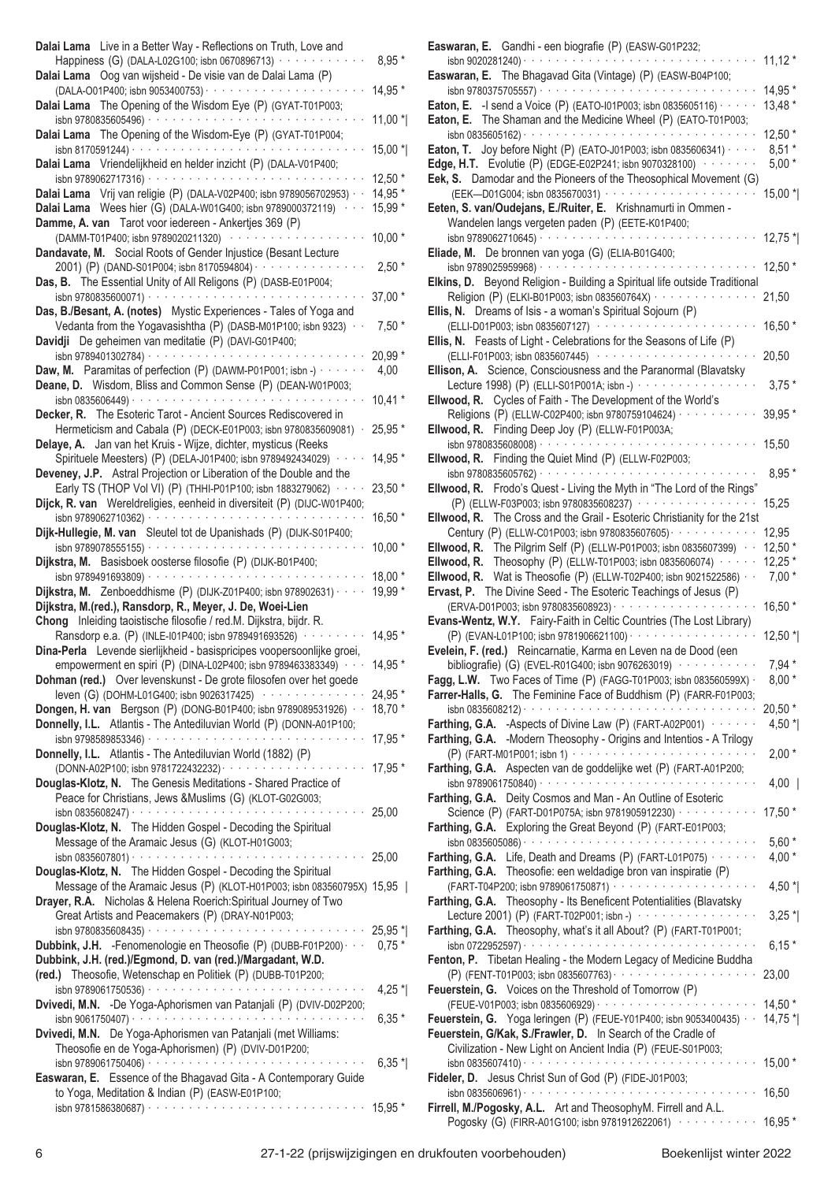| Dalai Lama Live in a Better Way - Reflections on Truth, Love and<br>Happiness (G) (DALA-L02G100; isbn 0670896713) · · · · · · · ·                                                                    | $8,95*$            |
|------------------------------------------------------------------------------------------------------------------------------------------------------------------------------------------------------|--------------------|
| Dalai Lama Oog van wijsheid - De visie van de Dalai Lama (P)                                                                                                                                         | 14,95 *            |
| Dalai Lama The Opening of the Wisdom Eye (P) (GYAT-T01P003;<br>Dalai Lama The Opening of the Wisdom-Eye (P) (GYAT-T01P004;                                                                           | 11,00 *            |
| isbn 8170591244) $\cdots$<br>Dalai Lama Vriendelijkheid en helder inzicht (P) (DALA-V01P400;                                                                                                         | 15,00 *            |
| isbn 9789062717316) $\cdots$                                                                                                                                                                         | $12,50*$           |
| Dalai Lama Vrij van religie (P) (DALA-V02P400; isbn 9789056702953) · ·<br>Dalai Lama Wees hier (G) (DALA-W01G400; isbn 9789000372119)<br>Damme, A. van Tarot voor iedereen - Ankertjes 369 (P)       | 14,95 *<br>15,99 * |
| (DAMM-T01P400; isbn 9789020211320)<br>.                                                                                                                                                              | $10,00*$           |
| Dandavate, M. Social Roots of Gender Injustice (Besant Lecture<br>2001) (P) (DAND-S01P004; isbn 8170594804) · · · · · · · · · · ·<br>Das, B. The Essential Unity of All Religons (P) (DASB-E01P004;  | $2,50*$            |
| isbn 9780835600071) · · · · · · · · · · · · · · · · · ·<br>Das, B./Besant, A. (notes) Mystic Experiences - Tales of Yoga and                                                                         | 37,00 *            |
| Vedanta from the Yogavasishtha (P) (DASB-M01P100; isbn 9323) · ·<br>Davidji De geheimen van meditatie (P) (DAVI-G01P400;                                                                             | $7,50*$            |
| $\alpha$ , and $\alpha$ , and $\alpha$ , and $\alpha$ , and $\alpha$ , and $\alpha$ , and $\alpha$ , and $\alpha$<br>isbn 9789401302784) ·                                                           | $20,99*$           |
| Daw, M. Paramitas of perfection (P) (DAWM-P01P001; isbn -) $\cdots$<br>Deane, D. Wisdom, Bliss and Common Sense (P) (DEAN-W01P003;                                                                   | 4,00<br>$10,41*$   |
| Decker, R. The Esoteric Tarot - Ancient Sources Rediscovered in                                                                                                                                      |                    |
| Hermeticism and Cabala (P) (DECK-E01P003; isbn 9780835609081) ·<br>Delaye, A. Jan van het Kruis - Wijze, dichter, mysticus (Reeks                                                                    | 25,95 *            |
| Spirituele Meesters) (P) (DELA-J01P400; isbn 9789492434029)<br>Deveney, J.P. Astral Projection or Liberation of the Double and the                                                                   | 14,95 *            |
| Early TS (THOP Vol VI) (P) (THHI-P01P100; isbn 1883279062) · · · ·<br>Dijck, R. van Wereldreligies, eenheid in diversiteit (P) (DIJC-W01P400;                                                        | 23,50 *            |
| Dijk-Hullegie, M. van Sleutel tot de Upanishads (P) (DIJK-S01P400;                                                                                                                                   | $16,50*$           |
| Dijkstra, M. Basisboek oosterse filosofie (P) (DIJK-B01P400;                                                                                                                                         | $10,00*$           |
|                                                                                                                                                                                                      | $18,00*$           |
| Dijkstra, M. Zenboeddhisme (P) (DIJK-Z01P400; isbn 978902631) · ·<br>Dijkstra, M.(red.), Ransdorp, R., Meyer, J. De, Woei-Lien<br>Chong Inleiding taoistische filosofie / red.M. Dijkstra, bijdr. R. | 19,99 *            |
| Ransdorp e.a. (P) (INLE-I01P400; isbn 9789491693526) · · · · ·<br>Dina-Perla Levende sierlijkheid - basispricipes voopersoonlijke groei,                                                             | 14,95 *            |
| empowerment en spiri (P) (DINA-L02P400; isbn 9789463383349) · · ·                                                                                                                                    | 14,95 *            |
| Dohman (red.) Over levenskunst - De grote filosofen over het goede<br>leven (G) (DOHM-L01G400; isbn 9026317425) ···············                                                                      | 24,95 *            |
| Dongen, H. van Bergson (P) (DONG-B01P400; isbn 9789089531926) · ·                                                                                                                                    | $18,70*$           |
| Donnelly, I.L. Atlantis - The Antediluvian World (P) (DONN-A01P100;                                                                                                                                  |                    |
| Donnelly, I.L. Atlantis - The Antediluvian World (1882) (P)                                                                                                                                          | 17,95 *            |
| Douglas-Klotz, N. The Genesis Meditations - Shared Practice of<br>Peace for Christians, Jews &Muslims (G) (KLOT-G02G003;                                                                             |                    |
|                                                                                                                                                                                                      |                    |
| Douglas-Klotz, N. The Hidden Gospel - Decoding the Spiritual<br>Message of the Aramaic Jesus (G) (KLOT-H01G003;                                                                                      |                    |
|                                                                                                                                                                                                      |                    |
| Douglas-Klotz, N. The Hidden Gospel - Decoding the Spiritual<br>Message of the Aramaic Jesus (P) (KLOT-H01P003; isbn 083560795X) 15,95                                                               |                    |
| Drayer, R.A. Nicholas & Helena Roerich: Spiritual Journey of Two<br>Great Artists and Peacemakers (P) (DRAY-N01P003;                                                                                 |                    |
| Dubbink, J.H. - Fenomenologie en Theosofie (P) (DUBB-F01P200) · · · 0,75 *                                                                                                                           |                    |
| Dubbink, J.H. (red.)/Egmond, D. van (red.)/Margadant, W.D.<br>(red.) Theosofie, Wetenschap en Politiek (P) (DUBB-T01P200;                                                                            |                    |
| Dvivedi, M.N. -De Yoga-Aphorismen van Patanjali (P) (DVIV-D02P200;                                                                                                                                   | 4,25 $^*$          |
|                                                                                                                                                                                                      | $6,35*$            |
| Dvivedi, M.N. De Yoga-Aphorismen van Patanjali (met Williams:<br>Theosofie en de Yoga-Aphorismen) (P) (DVIV-D01P200;                                                                                 |                    |
|                                                                                                                                                                                                      | $6,35*$            |
| Easwaran, E. Essence of the Bhagavad Gita - A Contemporary Guide<br>to Yoga, Meditation & Indian (P) (EASW-E01P100;                                                                                  |                    |
|                                                                                                                                                                                                      |                    |

| Easwaran, E. Gandhi - een biografie (P) (EASW-G01P232;                                                                                       |                   |
|----------------------------------------------------------------------------------------------------------------------------------------------|-------------------|
| isbn 9020281240) · ·                                                                                                                         | $11,12*$          |
| Easwaran, E. The Bhagavad Gita (Vintage) (P) (EASW-B04P100;                                                                                  |                   |
|                                                                                                                                              | 14,95 *           |
| <b>Eaton, E.</b> - I send a Voice (P) (EATO-101P003; isbn 0835605116) $\cdots$                                                               | $13,48*$          |
| Eaton, E. The Shaman and the Medicine Wheel (P) (EATO-T01P003;                                                                               |                   |
|                                                                                                                                              | $12,50*$          |
| Eaton, T. Joy before Night (P) (EATO-J01P003; isbn 0835606341) $\cdots$                                                                      | $8,51*$           |
| <b>Edge, H.T.</b> Evolutie (P) (EDGE-E02P241; isbn 9070328100) $\cdots$<br>Eek, S. Damodar and the Pioneers of the Theosophical Movement (G) | $5,00*$           |
|                                                                                                                                              | $15,00*$          |
| Eeten, S. van/Oudejans, E./Ruiter, E. Krishnamurti in Ommen -                                                                                |                   |
| Wandelen langs vergeten paden (P) (EETE-K01P400;                                                                                             |                   |
| isbn 9789062710645) · · · · · · · · · · · · · · · · ·                                                                                        | $12,75$ *         |
| Eliade, M. De bronnen van yoga (G) (ELIA-B01G400;                                                                                            |                   |
|                                                                                                                                              | 12,50 *           |
| Elkins, D. Beyond Religion - Building a Spiritual life outside Traditional                                                                   |                   |
| Religion (P) (ELKI-B01P003; isbn 083560764X) · · · · · · · · · ·                                                                             | 21,50             |
| Ellis, N. Dreams of Isis - a woman's Spiritual Sojourn (P)                                                                                   |                   |
| (ELLI-D01P003; isbn 0835607127) ··················                                                                                           | 16,50 *           |
| Ellis, N. Feasts of Light - Celebrations for the Seasons of Life (P)                                                                         |                   |
| (ELLI-F01P003; isbn 0835607445) ·················                                                                                            | 20,50             |
| Ellison, A. Science, Consciousness and the Paranormal (Blavatsky                                                                             |                   |
| Lecture 1998) (P) (ELLI-S01P001A; isbn -) · · · · · · · · · · · · · · · · ·                                                                  | $3,75*$           |
| Ellwood, R. Cycles of Faith - The Development of the World's                                                                                 |                   |
| Religions (P) (ELLW-C02P400; isbn 9780759104624) · · · · · · · ·                                                                             | 39,95 *           |
| Ellwood, R. Finding Deep Joy (P) (ELLW-F01P003A;                                                                                             |                   |
|                                                                                                                                              | 15,50             |
| Ellwood, R. Finding the Quiet Mind (P) (ELLW-F02P003;                                                                                        |                   |
|                                                                                                                                              | $8,95*$           |
| Ellwood, R. Frodo's Quest - Living the Myth in "The Lord of the Rings"                                                                       |                   |
| (P) (ELLW-F03P003; isbn 9780835608237) · · · · · · · · · · · · · · · ·                                                                       | 15,25             |
| Ellwood, R. The Cross and the Grail - Esoteric Christianity for the 21st                                                                     |                   |
| Century (P) (ELLW-C01P003; isbn 9780835607605) · · · · · · · · · · · ·                                                                       | 12,95<br>$12,50*$ |
| Ellwood, R. The Pilgrim Self (P) (ELLW-P01P003; isbn 0835607399) · ·<br>Ellwood, R. Theosophy (P) (ELLW-T01P003; isbn 0835606074) $\cdots$   | $12,25*$          |
| Ellwood, R. Wat is Theosofie (P) (ELLW-T02P400; isbn 9021522586) · ·                                                                         | $7,00*$           |
| Ervast, P. The Divine Seed - The Esoteric Teachings of Jesus (P)                                                                             |                   |
| (ERVA-D01P003; isbn 9780835608923) · · · · · · · · · · · · ·                                                                                 | 16,50 *           |
| Evans-Wentz, W.Y. Fairy-Faith in Celtic Countries (The Lost Library)                                                                         |                   |
| (P) (EVAN-L01P100; isbn 9781906621100) · · · · · · · · · · · · · · · · · ·                                                                   | $12,50$ *         |
| Evelein, F. (red.) Reincarnatie, Karma en Leven na de Dood (een                                                                              |                   |
| bibliografie) (G) (EVEL-R01G400; isbn 9076263019) ··········                                                                                 | $7,94*$           |
| Fagg, L.W. Two Faces of Time (P) (FAGG-T01P003; isbn 083560599X) $\cdot$                                                                     | $8,00*$           |
| Farrer-Halls, G. The Feminine Face of Buddhism (P) (FARR-F01P003;                                                                            |                   |
|                                                                                                                                              | $20,50*$          |
| Farthing, G.A. - Aspects of Divine Law (P) (FART-A02P001) ·······                                                                            | 4,50 $^*$         |
| Farthing, G.A. -Modern Theosophy - Origins and Intentios - A Trilogy                                                                         |                   |
| $(P)$ (FART-M01P001; isbn 1) $\cdots$ $\cdots$ $\cdots$ $\cdots$ $\cdots$ $\cdots$ $\cdots$ $\cdots$                                         | $2,00*$           |
| Farthing, G.A. Aspecten van de goddelijke wet (P) (FART-A01P200;                                                                             |                   |
|                                                                                                                                              | $4,00$            |
| Farthing, G.A. Deity Cosmos and Man - An Outline of Esoteric                                                                                 |                   |
| Science (P) (FART-D01P075A; isbn 9781905912230) · · · · · · · · · · ·                                                                        | 17,50 *           |
| Farthing, G.A. Exploring the Great Beyond (P) (FART-E01P003;                                                                                 | $5,60*$           |
| Farthing, G.A. Life, Death and Dreams (P) (FART-L01P075) · · · · · ·                                                                         | $4,00*$           |
| Farthing, G.A. Theosofie: een weldadige bron van inspiratie (P)                                                                              |                   |
|                                                                                                                                              | 4,50 $^*$         |
| Farthing, G.A. Theosophy - Its Beneficent Potentialities (Blavatsky                                                                          |                   |
| Lecture 2001) (P) (FART-T02P001; isbn -) ·················                                                                                   | $3,25$ *          |
| Farthing, G.A. Theosophy, what's it all About? (P) (FART-T01P001;                                                                            |                   |
|                                                                                                                                              | $6,15*$           |
| Fenton, P. Tibetan Healing - the Modern Legacy of Medicine Buddha                                                                            |                   |
|                                                                                                                                              | 23,00             |
| Feuerstein, G. Voices on the Threshold of Tomorrow (P)                                                                                       |                   |
| (FEUE-V01P003; isbn 0835606929) · · · · · · · · · · · · · · · · · ·                                                                          |                   |
| Feuerstein, G. Yoga leringen (P) (FEUE-Y01P400; isbn 9053400435) $\cdot$                                                                     | $14,50*$          |
| Feuerstein, G/Kak, S./Frawler, D. In Search of the Cradle of                                                                                 | $14,75$ *         |
|                                                                                                                                              |                   |
| Civilization - New Light on Ancient India (P) (FEUE-S01P003;                                                                                 |                   |
| $\frac{1}{15}$ 0835607410) $\cdots$ $\cdots$ $\cdots$ $\cdots$ $\cdots$ $\cdots$ $\cdots$ $\cdots$ $\cdots$                                  | $15,00*$          |
| Fideler, D. Jesus Christ Sun of God (P) (FIDE-J01P003;                                                                                       |                   |
|                                                                                                                                              | 16,50             |
| Firrell, M./Pogosky, A.L. Art and TheosophyM. Firrell and A.L.<br>Pogosky (G) (FIRR-A01G100; isbn 9781912622061) ········ 16,95 *            |                   |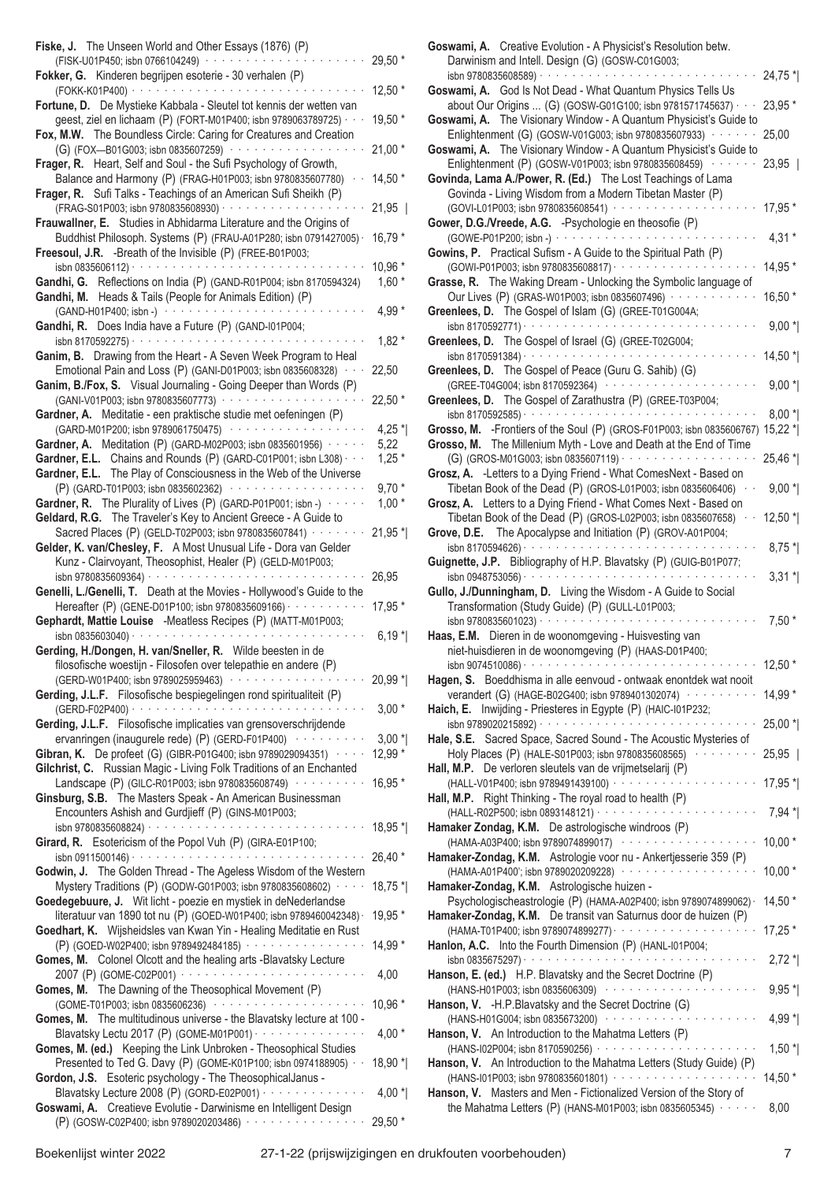| Fiske, J. The Unseen World and Other Essays (1876) (P)<br>(FISK-U01P450; isbn 0766104249) ············                                                                                                                                                                                                         |                    |
|----------------------------------------------------------------------------------------------------------------------------------------------------------------------------------------------------------------------------------------------------------------------------------------------------------------|--------------------|
| Fokker, G. Kinderen begrijpen esoterie - 30 verhalen (P)                                                                                                                                                                                                                                                       | 29,50 *            |
| Fortune, D. De Mystieke Kabbala - Sleutel tot kennis der wetten van                                                                                                                                                                                                                                            | $12,50*$           |
| geest, ziel en lichaam (P) (FORT-M01P400; isbn 9789063789725) · · ·<br>Fox, M.W. The Boundless Circle: Caring for Creatures and Creation                                                                                                                                                                       | $19,50*$           |
| (G) (FOX-B01G003; isbn 0835607259) ··················<br>Frager, R. Heart, Self and Soul - the Sufi Psychology of Growth,                                                                                                                                                                                      | $21,00*$           |
| Balance and Harmony (P) (FRAG-H01P003; isbn 9780835607780)<br>Frager, R. Sufi Talks - Teachings of an American Sufi Sheikh (P)                                                                                                                                                                                 | $14,50*$           |
|                                                                                                                                                                                                                                                                                                                | $21,95$            |
| Frauwallner, E. Studies in Abhidarma Literature and the Origins of<br>Buddhist Philosoph. Systems (P) (FRAU-A01P280; isbn 0791427005) ·<br>Freesoul, J.R. -Breath of the Invisible (P) (FREE-B01P003;                                                                                                          | 16,79 *            |
| $\frac{1}{15}$ 0835606112) $\cdots$ $\cdots$ $\cdots$ $\cdots$ $\cdots$ $\cdots$ $\cdots$ $\cdots$<br>Gandhi, G. Reflections on India (P) (GAND-R01P004; isbn 8170594324)<br>Gandhi, M. Heads & Tails (People for Animals Edition) (P)                                                                         | 10,96 *<br>$1,60*$ |
|                                                                                                                                                                                                                                                                                                                | 4,99 $*$           |
| Gandhi, R. Does India have a Future (P) (GAND-I01P004;<br>and a series of the contract of the contract of the contract of the contract of the contract of the contract of the contract of the contract of the contract of the contract of the contract of the contract of the contract o<br>isbn 8170592275) · | $1,82*$            |
| Ganim, B. Drawing from the Heart - A Seven Week Program to Heal<br>Emotional Pain and Loss (P) (GANI-D01P003; isbn 0835608328) · · ·                                                                                                                                                                           | 22,50              |
| Ganim, B./Fox, S. Visual Journaling - Going Deeper than Words (P)<br>(GANI-V01P003; isbn 9780835607773) · · · · · · · · · · · · · · · · ·                                                                                                                                                                      | 22,50 *            |
| Gardner, A. Meditatie - een praktische studie met oefeningen (P)<br>(GARD-M01P200; isbn 9789061750475) ···················                                                                                                                                                                                     | 4,25 $*$           |
| Gardner, A. Meditation (P) (GARD-M02P003; isbn 0835601956) $\cdots$                                                                                                                                                                                                                                            | 5,22               |
| Gardner, E.L. Chains and Rounds (P) (GARD-C01P001; isbn L308) · · ·<br>Gardner, E.L. The Play of Consciousness in the Web of the Universe                                                                                                                                                                      | $1,25*$            |
| (P) (GARD-T01P003; isbn 0835602362) ···················                                                                                                                                                                                                                                                        | $9,70*$            |
| Gardner, R. The Plurality of Lives (P) (GARD-P01P001; isbn -) $\cdots$<br>Geldard, R.G. The Traveler's Key to Ancient Greece - A Guide to                                                                                                                                                                      | $1,00*$            |
| Sacred Places (P) (GELD-T02P003; isbn 9780835607841) · · · · ·<br>Gelder, K. van/Chesley, F. A Most Unusual Life - Dora van Gelder                                                                                                                                                                             | 21,95 *            |
| Kunz - Clairvoyant, Theosophist, Healer (P) (GELD-M01P003;                                                                                                                                                                                                                                                     | 26,95              |
| Genelli, L./Genelli, T. Death at the Movies - Hollywood's Guide to the                                                                                                                                                                                                                                         |                    |
| Hereafter (P) (GENE-D01P100; isbn 9780835609166) · · · · · · · · · · ·<br>Gephardt, Mattie Louise -Meatless Recipes (P) (MATT-M01P003;<br>isbn 0835603040) · · · · · · · ·                                                                                                                                     | 17,95 *<br>$6,19*$ |
| Gerding, H./Dongen, H. van/Sneller, R. Wilde beesten in de                                                                                                                                                                                                                                                     |                    |
|                                                                                                                                                                                                                                                                                                                |                    |
| filosofische woestijn - Filosofen over telepathie en andere (P)<br>(GERD-W01P400; isbn 9789025959463) (CERD-W01P400; isbn 9789025959463)                                                                                                                                                                       | 20,99 *            |
| Gerding, J.L.F. Filosofische bespiegelingen rond spiritualiteit (P)                                                                                                                                                                                                                                            | $3,00*$            |
| Gerding, J.L.F. Filosofische implicaties van grensoverschrijdende                                                                                                                                                                                                                                              |                    |
| ervanringen (inaugurele rede) (P) (GERD-F01P400) ··········<br>Gibran, K. De profeet (G) (GIBR-P01G400; isbn 9789029094351)<br>Gilchrist, C. Russian Magic - Living Folk Traditions of an Enchanted                                                                                                            | $3,00*$<br>12,99 * |
| Landscape (P) (GILC-R01P003; isbn 9780835608749) ··········<br>Ginsburg, S.B. The Masters Speak - An American Businessman                                                                                                                                                                                      | 16,95 *            |
| Encounters Ashish and Gurdjieff (P) (GINS-M01P003;<br>والمتحدث والمتحدة<br>Girard, R. Esotericism of the Popol Vuh (P) (GIRA-E01P100;                                                                                                                                                                          | 18,95 *            |
|                                                                                                                                                                                                                                                                                                                | 26,40 *            |
| Godwin, J. The Golden Thread - The Ageless Wisdom of the Western<br>Mystery Traditions (P) (GODW-G01P003; isbn 9780835608602) · · · ·<br>Goedegebuure, J. Wit licht - poezie en mystiek in deNederlandse                                                                                                       | $18,75*$           |
| literatuur van 1890 tot nu (P) (GOED-W01P400; isbn 9789460042348) ·<br>Goedhart, K. Wijsheidsles van Kwan Yin - Healing Meditatie en Rust                                                                                                                                                                      | 19,95 *            |
| (P) (GOED-W02P400; isbn 9789492484185) ···············                                                                                                                                                                                                                                                         | 14,99 *            |
| Gomes, M. Colonel Olcott and the healing arts -Blavatsky Lecture<br>2007 (P) (GOME-C02P001) ························                                                                                                                                                                                           | 4,00               |
| Gomes, M. The Dawning of the Theosophical Movement (P)<br>(GOME-T01P003; isbn 0835606236) ······················                                                                                                                                                                                               | 10,96 *            |
| Gomes, M. The multitudinous universe - the Blavatsky lecture at 100 -<br>Blavatsky Lectu 2017 (P) (GOME-M01P001) ················                                                                                                                                                                              | $4,00*$            |
| Gomes, M. (ed.) Keeping the Link Unbroken - Theosophical Studies<br>Presented to Ted G. Davy (P) (GOME-K01P100; isbn 0974188905) · ·<br>Gordon, J.S. Esoteric psychology - The TheosophicalJanus -                                                                                                             | 18,90 *            |
| Blavatsky Lecture 2008 (P) (GORD-E02P001) · · · · · · · · · · · · · · ·<br>Goswami, A. Creatieve Evolutie - Darwinisme en Intelligent Design                                                                                                                                                                   | 4,00 $^*$          |

| Goswami, A. Creative Evolution - A Physicist's Resolution betw.<br>Darwinism and Intell. Design (G) (GOSW-C01G003;                                                                                |           |
|---------------------------------------------------------------------------------------------------------------------------------------------------------------------------------------------------|-----------|
|                                                                                                                                                                                                   | 24,75 *   |
| Goswami, A. God Is Not Dead - What Quantum Physics Tells Us<br>about Our Origins  (G) (GOSW-G01G100; isbn 9781571745637) · · ·                                                                    | $23,95*$  |
| Goswami, A. The Visionary Window - A Quantum Physicist's Guide to                                                                                                                                 |           |
| Enlightenment (G) (GOSW-V01G003; isbn 9780835607933) · · · · · · ·<br>Goswami, A. The Visionary Window - A Quantum Physicist's Guide to                                                           | 25,00     |
| Enlightenment (P) (GOSW-V01P003; isbn 9780835608459) · · · · · · ·<br>Govinda, Lama A./Power, R. (Ed.) The Lost Teachings of Lama<br>Govinda - Living Wisdom from a Modern Tibetan Master (P)     | $23,95$   |
| (GOVI-L01P003; isbn 9780835608541) ·····················                                                                                                                                          | 17,95 *   |
| Gower, D.G./Vreede, A.G. - Psychologie en theosofie (P)                                                                                                                                           | $4,31*$   |
| Gowins, P. Practical Sufism - A Guide to the Spiritual Path (P)                                                                                                                                   | 14,95 *   |
| Grasse, R. The Waking Dream - Unlocking the Symbolic language of<br>Our Lives (P) (GRAS-W01P003; isbn 0835607496) · · · · · · · · · · · ·                                                         | 16,50 *   |
| Greenlees, D. The Gospel of Islam (G) (GREE-T01G004A;<br>$\sin 8170592771)$                                                                                                                       | $9,00*$   |
| Greenlees, D. The Gospel of Israel (G) (GREE-T02G004;                                                                                                                                             | 14,50 *   |
| Greenlees, D. The Gospel of Peace (Guru G. Sahib) (G)<br>(GREE-T04G004; isbn 8170592364) ·····················                                                                                    | $9,00*$   |
| Greenlees, D. The Gospel of Zarathustra (P) (GREE-T03P004;                                                                                                                                        | $8,00*$   |
| Grosso, M. - Frontiers of the Soul (P) (GROS-F01P003; isbn 0835606767) 15,22 *<br>Grosso, M. The Millenium Myth - Love and Death at the End of Time                                               |           |
| Grosz, A. - Letters to a Dying Friend - What ComesNext - Based on                                                                                                                                 | 25,46 *   |
| Tibetan Book of the Dead (P) (GROS-L01P003; isbn 0835606406) · ·<br>Grosz, A. Letters to a Dying Friend - What Comes Next - Based on                                                              | $9,00*$   |
| Tibetan Book of the Dead (P) (GROS-L02P003; isbn 0835607658) $\cdots$<br>Grove, D.E. The Apocalypse and Initiation (P) (GROV-A01P004;                                                             | $12,50$ * |
| Guignette, J.P. Bibliography of H.P. Blavatsky (P) (GUIG-B01P077;                                                                                                                                 | $8,75*$   |
| Gullo, J./Dunningham, D. Living the Wisdom - A Guide to Social                                                                                                                                    | $3,31*$   |
| Transformation (Study Guide) (P) (GULL-L01P003;<br>$\alpha$ , $\alpha$ , $\alpha$ , $\alpha$ , $\alpha$ , $\alpha$ , $\alpha$<br>isbn 9780835601023) · · · · · · · · · · · · · · ·                | $7,50*$   |
| Haas, E.M. Dieren in de woonomgeving - Huisvesting van<br>niet-huisdieren in de woonomgeving (P) (HAAS-D01P400;                                                                                   |           |
| isbn 9074510086) · · · · · · · · · · ·                                                                                                                                                            | $12,50*$  |
| Hagen, S. Boeddhisma in alle eenvoud - ontwaak enontdek wat nooit<br>verandert (G) (HAGE-B02G400; isbn 9789401302074) ··········<br>Haich, E. Inwijding - Priesteres in Egypte (P) (HAIC-I01P232; | 14,99 *   |
|                                                                                                                                                                                                   | 25,00 *   |
| Hale, S.E. Sacred Space, Sacred Sound - The Acoustic Mysteries of<br>Holy Places (P) (HALE-S01P003; isbn 9780835608565)                                                                           | 25,95     |
| Hall, M.P. De verloren sleutels van de vrijmetselarij (P)<br>(HALL-V01P400; isbn 9789491439100) ····················                                                                              | 17,95 *   |
| Hall, M.P. Right Thinking - The royal road to health (P)                                                                                                                                          | $7,94*$   |
| Hamaker Zondag, K.M. De astrologische windroos (P)<br>(HAMA-A03P400; isbn 9789074899017) ····················                                                                                     | $10,00*$  |
| Hamaker-Zondag, K.M. Astrologie voor nu - Ankertjesserie 359 (P)<br>(HAMA-A01P400'; isbn 9789020209228) ····················                                                                      | $10,00*$  |
| Hamaker-Zondag, K.M. Astrologische huizen -<br>Psychologischeastrologie (P) (HAMA-A02P400; isbn 9789074899062) ·                                                                                  | 14,50 *   |
| Hamaker-Zondag, K.M. De transit van Saturnus door de huizen (P)                                                                                                                                   | 17,25 *   |
| Hanlon, A.C. Into the Fourth Dimension (P) (HANL-I01P004;                                                                                                                                         | $2,72*$   |
| Hanson, E. (ed.) H.P. Blavatsky and the Secret Doctrine (P)<br>(HANS-H01P003; isbn 0835606309) ·····················                                                                              | $9,95*$   |
| Hanson, V. - H.P. Blavatsky and the Secret Doctrine (G)<br>(HANS-H01G004; isbn 0835673200) ·····················                                                                                  | 4,99 *    |
| Hanson, V. An Introduction to the Mahatma Letters (P)                                                                                                                                             | $1,50$ *  |
| Hanson, V. An Introduction to the Mahatma Letters (Study Guide) (P)                                                                                                                               |           |
|                                                                                                                                                                                                   | $14,50*$  |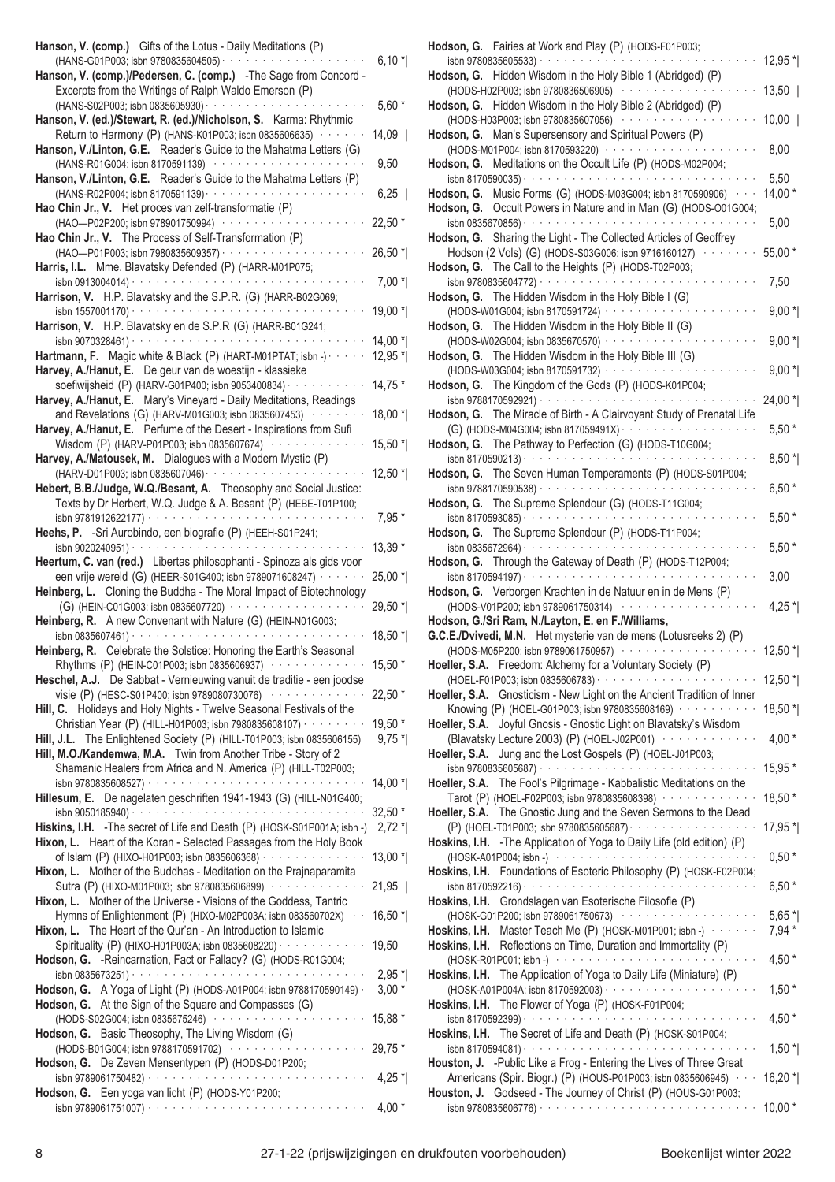| Hanson, V. (comp.) Gifts of the Lotus - Daily Meditations (P)                                                                           |                    |
|-----------------------------------------------------------------------------------------------------------------------------------------|--------------------|
| (HANS-G01P003; isbn 9780835604505) · · · · · · · · · · · · · · · ·                                                                      | $6,10*$            |
| Hanson, V. (comp.)/Pedersen, C. (comp.) -The Sage from Concord -                                                                        |                    |
| Excerpts from the Writings of Ralph Waldo Emerson (P)                                                                                   |                    |
| (HANS-S02P003; isbn 0835605930) · · · · · · · · · · · · · · · · · ·                                                                     | $5,60*$            |
| Hanson, V. (ed.)/Stewart, R. (ed.)/Nicholson, S. Karma: Rhythmic<br>Return to Harmony (P) (HANS-K01P003; isbn 0835606635) · · · · · · · | $14,09$            |
| Hanson, V./Linton, G.E. Reader's Guide to the Mahatma Letters (G)                                                                       |                    |
| (HANS-R01G004; isbn 8170591139) ·················                                                                                       | 9,50               |
| Hanson, V./Linton, G.E. Reader's Guide to the Mahatma Letters (P)                                                                       |                    |
| (HANS-R02P004; isbn 8170591139) · · · · · · · · · · · · · · · ·                                                                         | 6,25               |
| Hao Chin Jr., V. Het proces van zelf-transformatie (P)                                                                                  |                    |
| (HAO-P02P200; isbn 978901750994) ··············                                                                                         | 22,50 *            |
| Hao Chin Jr., V. The Process of Self-Transformation (P)                                                                                 |                    |
| (HAO-P01P003; isbn 7980835609357) · · · · · · · · · · · · · ·                                                                           | $26,50*$           |
| Harris, I.L. Mme. Blavatsky Defended (P) (HARR-M01P075;                                                                                 |                    |
| isbn 0913004014) $\cdots$                                                                                                               | $7,00*$            |
| Harrison, V. H.P. Blavatsky and the S.P.R. (G) (HARR-B02G069;                                                                           |                    |
|                                                                                                                                         | 19,00 *            |
| Harrison, V. H.P. Blavatsky en de S.P.R (G) (HARR-B01G241;                                                                              |                    |
| Hartmann, F. Magic white & Black (P) (HART-M01PTAT; isbn -)                                                                             | 14,00 *<br>12,95 * |
| Harvey, A./Hanut, E. De geur van de woestijn - klassieke                                                                                |                    |
| soefiwijsheid (P) (HARV-G01P400; isbn 9053400834) · · · ·                                                                               | 14,75 *            |
| Harvey, A./Hanut, E. Mary's Vineyard - Daily Meditations, Readings                                                                      |                    |
| and Revelations (G) (HARV-M01G003; isbn 0835607453) ········                                                                            | 18,00 *            |
| Harvey, A./Hanut, E. Perfume of the Desert - Inspirations from Sufi                                                                     |                    |
| Wisdom (P) (HARV-P01P003; isbn 0835607674) ············                                                                                 | 15,50 *            |
| Harvey, A./Matousek, M. Dialogues with a Modern Mystic (P)                                                                              |                    |
| (HARV-D01P003; isbn 0835607046) ·····················                                                                                   | 12,50 *            |
| Hebert, B.B./Judge, W.Q./Besant, A. Theosophy and Social Justice:                                                                       |                    |
| Texts by Dr Herbert, W.Q. Judge & A. Besant (P) (HEBE-T01P100;                                                                          |                    |
|                                                                                                                                         | $7,95*$            |
| Heehs, P. - Sri Aurobindo, een biografie (P) (HEEH-S01P241;                                                                             |                    |
|                                                                                                                                         | 13,39 *            |
| Heertum, C. van (red.) Libertas philosophanti - Spinoza als gids voor                                                                   |                    |
| een vrije wereld (G) (HEER-S01G400; isbn 9789071608247) · · · · · ·                                                                     | 25,00 *            |
| Heinberg, L. Cloning the Buddha - The Moral Impact of Biotechnology                                                                     |                    |
| (G) (HEIN-C01G003; isbn 0835607720) ···················                                                                                 | $29,50*$           |
| Heinberg, R. A new Convenant with Nature (G) (HEIN-N01G003;                                                                             |                    |
| isbn 0835607461) $\cdots$                                                                                                               | 18,50 *            |
| Heinberg, R. Celebrate the Solstice: Honoring the Earth's Seasonal                                                                      |                    |
| Rhythms (P) (HEIN-C01P003; isbn 0835606937) ············                                                                                | 15,50 *            |
| Heschel, A.J. De Sabbat - Vernieuwing vanuit de traditie - een joodse                                                                   |                    |
| visie (P) (HESC-S01P400; isbn 9789080730076) ··············                                                                             | 22,50 *            |
| Hill, C. Holidays and Holy Nights - Twelve Seasonal Festivals of the                                                                    |                    |
| Christian Year (P) (HILL-H01P003; isbn 7980835608107) · · · · · · · · ·                                                                 | 19,50 *            |
| Hill, J.L. The Enlightened Society (P) (HILL-T01P003; isbn 0835606155)                                                                  | $9,75$ *           |
| Hill, M.O./Kandemwa, M.A. Twin from Another Tribe - Story of 2<br>Shamanic Healers from Africa and N. America (P) (HILL-T02P003;        |                    |
|                                                                                                                                         | $14,00*$           |
| Hillesum, E. De nagelaten geschriften 1941-1943 (G) (HILL-N01G400;                                                                      |                    |
|                                                                                                                                         | $32,50*$           |
| Hiskins, I.H. - The secret of Life and Death (P) (HOSK-S01P001A; isbn -)                                                                | $2,72*$            |
| Hixon, L. Heart of the Koran - Selected Passages from the Holy Book                                                                     |                    |
| of Islam (P) (HIXO-H01P003; isbn 0835606368) · · · · · · · · · · · · · · ·                                                              | 13,00 *            |
| Hixon, L. Mother of the Buddhas - Meditation on the Prajnaparamita                                                                      |                    |
| Sutra (P) (HIXO-M01P003; isbn 9780835606899) ··············                                                                             | 21,95              |
| Hixon, L. Mother of the Universe - Visions of the Goddess, Tantric                                                                      |                    |
| Hymns of Enlightenment (P) (HIXO-M02P003A; isbn 083560702X) · ·                                                                         | 16,50 *            |
| Hixon, L. The Heart of the Qur'an - An Introduction to Islamic                                                                          |                    |
| Spirituality (P) (HIXO-H01P003A; isbn 0835608220) · · · · · · · · · · · ·                                                               | 19,50              |
| Hodson, G. - Reincarnation, Fact or Fallacy? (G) (HODS-R01G004;                                                                         |                    |
|                                                                                                                                         | $2,95*$            |
| Hodson, G. A Yoga of Light (P) (HODS-A01P004; isbn 9788170590149) ·                                                                     | $3,00*$            |
| Hodson, G. At the Sign of the Square and Compasses (G)                                                                                  |                    |
| (HODS-S02G004; isbn 0835675246) ······················                                                                                  | 15,88 *            |
| Hodson, G. Basic Theosophy, The Living Wisdom (G)                                                                                       |                    |
|                                                                                                                                         |                    |
| Hodson, G. De Zeven Mensentypen (P) (HODS-D01P200;                                                                                      |                    |
|                                                                                                                                         | $4,25$ *           |
|                                                                                                                                         |                    |
| Hodson, G. Een yoga van licht (P) (HODS-Y01P200;                                                                                        | $4,00*$            |

| Hodson, G. Fairies at Work and Play (P) (HODS-F01P003;                                                                            |                     |
|-----------------------------------------------------------------------------------------------------------------------------------|---------------------|
| Hodson, G. Hidden Wisdom in the Holy Bible 1 (Abridged) (P)                                                                       | $12,95$ *           |
| (HODS-H02P003; isbn 9780836506905)                                                                                                | $13,50$             |
| Hodson, G. Hidden Wisdom in the Holy Bible 2 (Abridged) (P)                                                                       |                     |
| (HODS-H03P003; isbn 9780835607056) ············<br>Hodson, G. Man's Supersensory and Spiritual Powers (P)                         | $10,00$             |
| (HODS-M01P004; isbn 8170593220) ···············                                                                                   | 8,00                |
| Hodson, G. Meditations on the Occult Life (P) (HODS-M02P004;                                                                      |                     |
| Hodson, G. Music Forms (G) (HODS-M03G004; isbn 8170590906) · · ·                                                                  | 5,50<br>$14,00*$    |
| Hodson, G. Occult Powers in Nature and in Man (G) (HODS-001G004;                                                                  |                     |
| $\sin 0835670856)$                                                                                                                | 5,00                |
| Hodson, G. Sharing the Light - The Collected Articles of Geoffrey<br>Hodson (2 Vols) (G) (HODS-S03G006; isbn 9716160127) ········ | 55,00 *             |
| Hodson, G. The Call to the Heights (P) (HODS-T02P003;                                                                             |                     |
|                                                                                                                                   | 7,50                |
| Hodson, G. The Hidden Wisdom in the Holy Bible I (G)<br>(HODS-W01G004; isbn 8170591724) ·························                 | $9,00*$             |
| Hodson, G. The Hidden Wisdom in the Holy Bible II (G)                                                                             |                     |
| (HODS-W02G004; isbn 0835670570) ·····················                                                                             | $9,00*$             |
| Hodson, G. The Hidden Wisdom in the Holy Bible III (G)<br>(HODS-W03G004; isbn 8170591732) ·····················                   | $9,00*$             |
| Hodson, G. The Kingdom of the Gods (P) (HODS-K01P004;                                                                             |                     |
|                                                                                                                                   | 24,00 *             |
| Hodson, G. The Miracle of Birth - A Clairvoyant Study of Prenatal Life                                                            | $5,50*$             |
| Hodson, G. The Pathway to Perfection (G) (HODS-T10G004;                                                                           |                     |
| isbn 8170590213) ·                                                                                                                | $8,50*$             |
| Hodson, G. The Seven Human Temperaments (P) (HODS-S01P004;                                                                        | $6,50*$             |
| Hodson, G. The Supreme Splendour (G) (HODS-T11G004;                                                                               |                     |
|                                                                                                                                   | $5,50*$             |
| Hodson, G. The Supreme Splendour (P) (HODS-T11P004;                                                                               | $5,50*$             |
| Hodson, G. Through the Gateway of Death (P) (HODS-T12P004;                                                                        |                     |
|                                                                                                                                   |                     |
|                                                                                                                                   | 3,00                |
| Hodson, G. Verborgen Krachten in de Natuur en in de Mens (P)                                                                      |                     |
| (HODS-V01P200; isbn 9789061750314) ················                                                                               | 4,25 $*$            |
| Hodson, G./Sri Ram, N./Layton, E. en F./Williams,<br>G.C.E./Dvivedi, M.N. Het mysterie van de mens (Lotusreeks 2) (P)             |                     |
| (HODS-M05P200; isbn 9789061750957) ·················                                                                              | 12,50 $*$           |
| Hoeller, S.A. Freedom: Alchemy for a Voluntary Society (P)                                                                        |                     |
| Hoeller, S.A. Gnosticism - New Light on the Ancient Tradition of Inner                                                            | 12,50 *             |
| Knowing (P) (HOEL-G01P003; isbn 9780835608169) ···········                                                                        | 18,50 *             |
| Hoeller, S.A. Joyful Gnosis - Gnostic Light on Blavatsky's Wisdom                                                                 |                     |
| (Blavatsky Lecture 2003) (P) (HOEL-J02P001) ·············<br>Hoeller, S.A. Jung and the Lost Gospels (P) (HOEL-J01P003;           | 4,00 $*$            |
|                                                                                                                                   | 15,95 *             |
| Hoeller, S.A. The Fool's Pilgrimage - Kabbalistic Meditations on the                                                              |                     |
| Tarot (P) (HOEL-F02P003; isbn 9780835608398)<br>Hoeller, S.A. The Gnostic Jung and the Seven Sermons to the Dead                  | 18,50 *             |
| (P) (HOEL-T01P003; isbn 9780835605687) · · · · · · · · · · · · · · · · · ·                                                        | 17,95 *             |
| Hoskins, I.H. - The Application of Yoga to Daily Life (old edition) (P)                                                           |                     |
| (HOSK-A01P004; isbn -) ····························<br>Hoskins, I.H. Foundations of Esoteric Philosophy (P) (HOSK-F02P004;        | $0,50*$             |
|                                                                                                                                   | $6,50*$             |
| Hoskins, I.H. Grondslagen van Esoterische Filosofie (P)                                                                           |                     |
| (HOSK-G01P200; isbn 9789061750673) ···················<br>Hoskins, I.H. Master Teach Me (P) (HOSK-M01P001; isbn -) ·······        | $5,65$ *<br>$7,94*$ |
| Hoskins, I.H. Reflections on Time, Duration and Immortality (P)                                                                   |                     |
| (HOSK-R01P001; isbn -) ···························                                                                                | $4,50*$             |
| Hoskins, I.H. The Application of Yoga to Daily Life (Miniature) (P)                                                               | $1,50*$             |
| Hoskins, I.H. The Flower of Yoga (P) (HOSK-F01P004;                                                                               |                     |
|                                                                                                                                   | $4,50*$             |
| Hoskins, I.H. The Secret of Life and Death (P) (HOSK-S01P004;                                                                     | $1,50$ *            |
| Houston, J. - Public Like a Frog - Entering the Lives of Three Great                                                              |                     |
| Americans (Spir. Biogr.) (P) (HOUS-P01P003; isbn 0835606945) · · ·                                                                | $16,20$ *           |
| Houston, J. Godseed - The Journey of Christ (P) (HOUS-G01P003;                                                                    | $10,00*$            |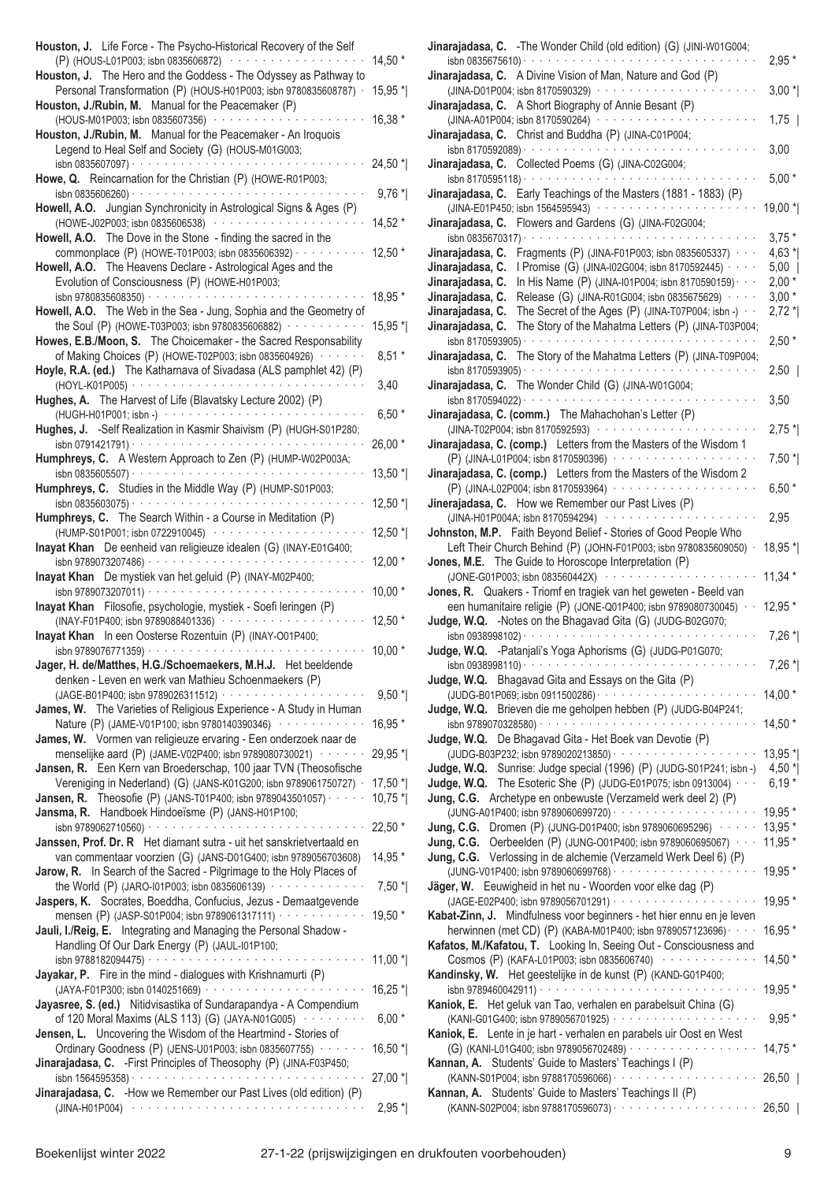| Houston, J. Life Force - The Psycho-Historical Recovery of the Self<br>(P) (HOUS-L01P003; isbn 0835606872) ···············                                                                       | 14,50 *             |
|--------------------------------------------------------------------------------------------------------------------------------------------------------------------------------------------------|---------------------|
| Houston, J. The Hero and the Goddess - The Odyssey as Pathway to<br>Personal Transformation (P) (HOUS-H01P003; isbn 9780835608787) ·                                                             | 15,95 *             |
| Houston, J./Rubin, M. Manual for the Peacemaker (P)<br>(HOUS-M01P003; isbn 0835607356) .<br>$\alpha$ , and $\alpha$ , and $\alpha$                                                               | 16,38 *             |
| Houston, J./Rubin, M. Manual for the Peacemaker - An Iroquois<br>Legend to Heal Self and Society (G) (HOUS-M01G003;                                                                              |                     |
| Howe, Q. Reincarnation for the Christian (P) (HOWE-R01P003;                                                                                                                                      | 24,50 *             |
|                                                                                                                                                                                                  | $9,76*$             |
| Howell, A.O. Jungian Synchronicity in Astrological Signs & Ages (P)<br>(HOWE-J02P003; isbn 0835606538) ··················<br>Howell, A.O. The Dove in the Stone - finding the sacred in the      | $14,52*$            |
| commonplace (P) (HOWE-T01P003; isbn 0835606392) · · · · ·<br>Howell, A.O. The Heavens Declare - Astrological Ages and the                                                                        | $12,50*$            |
| Evolution of Consciousness (P) (HOWE-H01P003;<br>isbn 9780835608350) $\cdots$                                                                                                                    | 18,95 *             |
| Howell, A.O. The Web in the Sea - Jung, Sophia and the Geometry of<br>the Soul (P) (HOWE-T03P003; isbn 9780835606882) · · · · · · · · · · ·                                                      | 15,95 *             |
| Howes, E.B./Moon, S. The Choicemaker - the Sacred Responsability                                                                                                                                 |                     |
| of Making Choices (P) (HOWE-T02P003; isbn 0835604926) · · · · · ·<br>Hoyle, R.A. (ed.) The Katharnava of Sivadasa (ALS pamphlet 42) (P)                                                          | $8,51*$             |
| Hughes, A. The Harvest of Life (Blavatsky Lecture 2002) (P)                                                                                                                                      | 3,40                |
| (HUGH-H01P001; isbn -) ·····················<br>Hughes, J. - Self Realization in Kasmir Shaivism (P) (HUGH-S01P280;                                                                              | $6,50*$             |
| $\frac{1}{15}$ isbn 0791421791) $\cdots$ $\cdots$ $\cdots$ $\cdots$ $\cdots$<br>Humphreys, C. A Western Approach to Zen (P) (HUMP-W02P003A;                                                      | 26,00 *             |
| Humphreys, C. Studies in the Middle Way (P) (HUMP-S01P003;                                                                                                                                       | $13,50*$            |
| Humphreys, C. The Search Within - a Course in Meditation (P)                                                                                                                                     | $12,50$ $*$         |
| (HUMP-S01P001; isbn 0722910045) ·················<br>Inayat Khan De eenheid van religieuze idealen (G) (INAY-E01G400;                                                                            | $12,50$ $*$         |
| Inayat Khan De mystiek van het geluid (P) (INAY-M02P400;                                                                                                                                         | $12,00*$            |
| a característica de la característica de la característica<br>isbn 9789073207011) ·<br>Inayat Khan Filosofie, psychologie, mystiek - Soefi leringen (P)                                          | $10,00*$            |
| (INAY-F01P400; isbn 9789088401336) ···········                                                                                                                                                   | $12,50*$            |
| Inayat Khan In een Oosterse Rozentuin (P) (INAY-001P400;                                                                                                                                         | $10,00*$            |
| Jager, H. de/Matthes, H.G./Schoemaekers, M.H.J. Het beeldende<br>denken - Leven en werk van Mathieu Schoenmaekers (P)                                                                            |                     |
|                                                                                                                                                                                                  | $9,50*$             |
| James, W. The Varieties of Religious Experience - A Study in Human<br>Nature (P) (JAME-V01P100; isbn 9780140390346) ············                                                                 | 16,95 *             |
| James, W. Vormen van religieuze ervaring - Een onderzoek naar de                                                                                                                                 |                     |
| menselijke aard (P) (JAME-V02P400; isbn 9789080730021) · · · · · · ·<br>Jansen, R. Een Kern van Broederschap, 100 jaar TVN (Theosofische                                                         | 29,95 *             |
| Vereniging in Nederland) (G) (JANS-K01G200; isbn 9789061750727) ·                                                                                                                                | $17,50$ *           |
| <b>Jansen, R.</b> Theosofie (P) (JANS-T01P400; isbn 9789043501057) $\cdots$<br>Jansma, R. Handboek Hindoeïsme (P) (JANS-H01P100;                                                                 | $10,75$ *           |
| isbn 9789062710560) $\cdots$                                                                                                                                                                     | 22,50 *             |
| Janssen, Prof. Dr. R Het diamant sutra - uit het sanskrietvertaald en                                                                                                                            |                     |
| van commentaar voorzien (G) (JANS-D01G400; isbn 9789056703608)<br>Jarow, R. In Search of the Sacred - Pilgrimage to the Holy Places of<br>the World (P) (JARO-101P003; isbn 0835606139) $\cdots$ | 14,95 *<br>$7,50$ * |
| Jaspers, K. Socrates, Boeddha, Confucius, Jezus - Demaatgevende<br>mensen (P) (JASP-S01P004; isbn 9789061317111) · · · · · · · · · · · · ·                                                       | 19,50 *             |
| Jauli, I./Reig, E. Integrating and Managing the Personal Shadow -<br>Handling Of Our Dark Energy (P) (JAUL-I01P100;                                                                              |                     |
| a dia anala anala a<br>isbn 9788182094475) · · · · · · · · · · · · · · ·<br>Jayakar, P. Fire in the mind - dialogues with Krishnamurti (P)                                                       | $11,00*$            |
| (JAYA-F01P300; isbn 0140251669) ·······················<br>Jayasree, S. (ed.) Nitidvisastika of Sundarapandya - A Compendium                                                                     | $16,25$ *           |
| of 120 Moral Maxims (ALS 113) (G) (JAYA-N01G005)<br>Jensen, L. Uncovering the Wisdom of the Heartmind - Stories of                                                                               | $6,00*$             |
| Ordinary Goodness (P) (JENS-U01P003; isbn 0835607755) · · · · · ·<br>Jinarajadasa, C. - First Principles of Theosophy (P) (JINA-F03P450;                                                         | $16,50$ *           |
|                                                                                                                                                                                                  | 27,00 *             |
| Jinarajadasa, C. - How we Remember our Past Lives (old edition) (P)<br>$(JINA-H01P004) \cdot \cdot \cdot \cdot \cdot \cdot \cdot \cdot \cdot \cdot \cdot \cdot \cdot$                            | $2,95$ *            |

| Jinarajadasa, C. - The Wonder Child (old edition) (G) (JINI-W01G004;                                                                                                                        |             |
|---------------------------------------------------------------------------------------------------------------------------------------------------------------------------------------------|-------------|
| isbn 0835675610) ·                                                                                                                                                                          | $2,95*$     |
| Jinarajadasa, C. A Divine Vision of Man, Nature and God (P)                                                                                                                                 |             |
| (JINA-D01P004; isbn 8170590329) · · · · · · · · · · · · · ·                                                                                                                                 | $3,00*$     |
| Jinarajadasa, C. A Short Biography of Annie Besant (P)<br>(JINA-A01P004; isbn 8170590264) ···········                                                                                       |             |
| Christ and Buddha (P) (JINA-C01P004;<br>Jinarajadasa, C.                                                                                                                                    | $1,75$      |
| isbn 8170592089) $\cdots$                                                                                                                                                                   | 3,00        |
| Collected Poems (G) (JINA-C02G004;<br>Jinarajadasa, C.                                                                                                                                      |             |
| isbn 8170595118) ·<br>the contract of the contract of the contract of                                                                                                                       | $5,00*$     |
| Early Teachings of the Masters (1881 - 1883) (P)<br>Jinarajadasa, C.                                                                                                                        |             |
| (JINA-E01P450; isbn 1564595943) ···············                                                                                                                                             | $19,00*$    |
| Flowers and Gardens (G) (JINA-F02G004;<br>Jinarajadasa, C.                                                                                                                                  |             |
| isbn 0835670317) ·                                                                                                                                                                          | $3,75*$     |
| Jinarajadasa, C.<br>Fragments (P) (JINA-F01P003; isbn 0835605337) · · ·                                                                                                                     | $4,63*$     |
| I Promise (G) (JINA-I02G004; isbn 8170592445) · · · ·<br>Jinarajadasa, C.                                                                                                                   | $5,00$      |
| In His Name (P) (JINA-101P004; isbn 8170590159) · · ·<br>Jinarajadasa, C.                                                                                                                   | $2,00*$     |
| Jinarajadasa, C.<br>Release (G) (JINA-R01G004; isbn 0835675629) · · · ·                                                                                                                     | $3,00*$     |
| The Secret of the Ages (P) (JINA-T07P004; isbn -) $\cdot$<br>Jinarajadasa, C.                                                                                                               | $2,72*$     |
| The Story of the Mahatma Letters (P) (JINA-T03P004;<br>Jinarajadasa, C.                                                                                                                     |             |
| والمتواط والمتواط والمتواط والمتواط والمتواط والمتواطئ<br>isbn 8170593905) $\cdots$                                                                                                         | $2,50*$     |
| The Story of the Mahatma Letters (P) (JINA-T09P004;<br>Jinarajadasa, C.<br>$\mathcal{L}$ , and a set of the set of the set of the set of the set of the $\mathcal{L}$<br>isbn 8170593905) · |             |
| The Wonder Child (G) (JINA-W01G004;<br>Jinarajadasa, C.                                                                                                                                     | $2,50$      |
|                                                                                                                                                                                             | 3,50        |
| Jinarajadasa, C. (comm.) The Mahachohan's Letter (P)                                                                                                                                        |             |
| (JINA-T02P004; isbn 8170592593) ·················                                                                                                                                           | $2,75$ *    |
| Jinarajadasa, C. (comp.) Letters from the Masters of the Wisdom 1                                                                                                                           |             |
| (P) (JINA-L01P004; isbn 8170590396) ··················                                                                                                                                      | $7,50$ *    |
| Jinarajadasa, C. (comp.) Letters from the Masters of the Wisdom 2                                                                                                                           |             |
| (P) (JINA-L02P004; isbn 8170593964) ···········                                                                                                                                             | $6,50*$     |
| Jinerajadasa, C. How we Remember our Past Lives (P)                                                                                                                                         |             |
| (JINA-H01P004A; isbn 8170594294) · · ·<br>$\alpha$ , $\alpha$ , $\alpha$ , $\alpha$ , $\alpha$ , $\alpha$                                                                                   | 2,95        |
| Johnston, M.P. Faith Beyond Belief - Stories of Good People Who                                                                                                                             |             |
| Left Their Church Behind (P) (JOHN-F01P003; isbn 9780835609050) ·                                                                                                                           | 18,95 *     |
| Jones, M.E. The Guide to Horoscope Interpretation (P)                                                                                                                                       |             |
| (JONE-G01P003; isbn 083560442X) ··············                                                                                                                                              | $11,34*$    |
| Jones, R. Quakers - Triomf en tragiek van het geweten - Beeld van<br>een humanitaire religie (P) (JONE-Q01P400; isbn 9789080730045) ·                                                       | 12,95 *     |
| Judge, W.Q. - Notes on the Bhagavad Gita (G) (JUDG-B02G070;                                                                                                                                 |             |
| isbn 0938998102) $\cdots$                                                                                                                                                                   | $7,26$ *    |
| Judge, W.Q. - Patanjali's Yoga Aphorisms (G) (JUDG-P01G070;                                                                                                                                 |             |
| isbn 0938998110) · · · · · · · · · · · · · · · · ·                                                                                                                                          | $7,26$ $^*$ |
| Judge, W.Q. Bhagavad Gita and Essays on the Gita (P)                                                                                                                                        |             |
|                                                                                                                                                                                             |             |
|                                                                                                                                                                                             | $14,00*$    |
| Judge, W.Q. Brieven die me geholpen hebben (P) (JUDG-B04P241;                                                                                                                               |             |
|                                                                                                                                                                                             | $14,50*$    |
| Judge, W.Q. De Bhagavad Gita - Het Boek van Devotie (P)                                                                                                                                     |             |
|                                                                                                                                                                                             | 13,95 *     |
| Judge, W.Q. Sunrise: Judge special (1996) (P) (JUDG-S01P241; isbn -)                                                                                                                        | 4,50 $^*$   |
| Judge, W.Q. The Esoteric She (P) (JUDG-E01P075; isbn 0913004)                                                                                                                               | $6,19*$     |
| Jung, C.G. Archetype en onbewuste (Verzameld werk deel 2) (P)                                                                                                                               |             |
| (JUNG-A01P400; isbn 9789060699720) ·····················                                                                                                                                    | 19,95 *     |
| <b>Jung, C.G.</b> Dromen (P) (JUNG-D01P400; isbn 9789060695296) $\cdots$                                                                                                                    | $13,95*$    |
| Jung, C.G. Oerbeelden (P) (JUNG-001P400; isbn 9789060695067) · · ·                                                                                                                          | $11,95*$    |
| Jung, C.G. Verlossing in de alchemie (Verzameld Werk Deel 6) (P)                                                                                                                            |             |
|                                                                                                                                                                                             | 19,95 *     |
| Jäger, W. Eeuwigheid in het nu - Woorden voor elke dag (P)                                                                                                                                  | 19,95 *     |
| Kabat-Zinn, J. Mindfulness voor beginners - het hier ennu en je leven                                                                                                                       |             |
| herwinnen (met CD) (P) (KABA-M01P400; isbn 9789057123696) · · · ·                                                                                                                           | $16,95*$    |
| Kafatos, M./Kafatou, T. Looking In, Seeing Out - Consciousness and                                                                                                                          |             |
| Cosmos (P) (KAFA-L01P003; isbn 0835606740) ·············                                                                                                                                    | $14,50*$    |
| Kandinsky, W. Het geestelijke in de kunst (P) (KAND-G01P400;                                                                                                                                |             |
|                                                                                                                                                                                             | 19,95 *     |
| Kaniok, E. Het geluk van Tao, verhalen en parabelsuit China (G)                                                                                                                             |             |
| (KANI-G01G400; isbn 9789056701925) · · · · · · · · · · · · · · · ·                                                                                                                          | $9,95*$     |
| Kaniok, E. Lente in je hart - verhalen en parabels uir Oost en West                                                                                                                         |             |
| (G) (KANI-L01G400; isbn 9789056702489) ···················<br>Kannan, A. Students' Guide to Masters' Teachings I (P)                                                                        | $14,75*$    |
|                                                                                                                                                                                             | $26,50$     |
| Kannan, A. Students' Guide to Masters' Teachings II (P)                                                                                                                                     |             |
|                                                                                                                                                                                             | $26,50$     |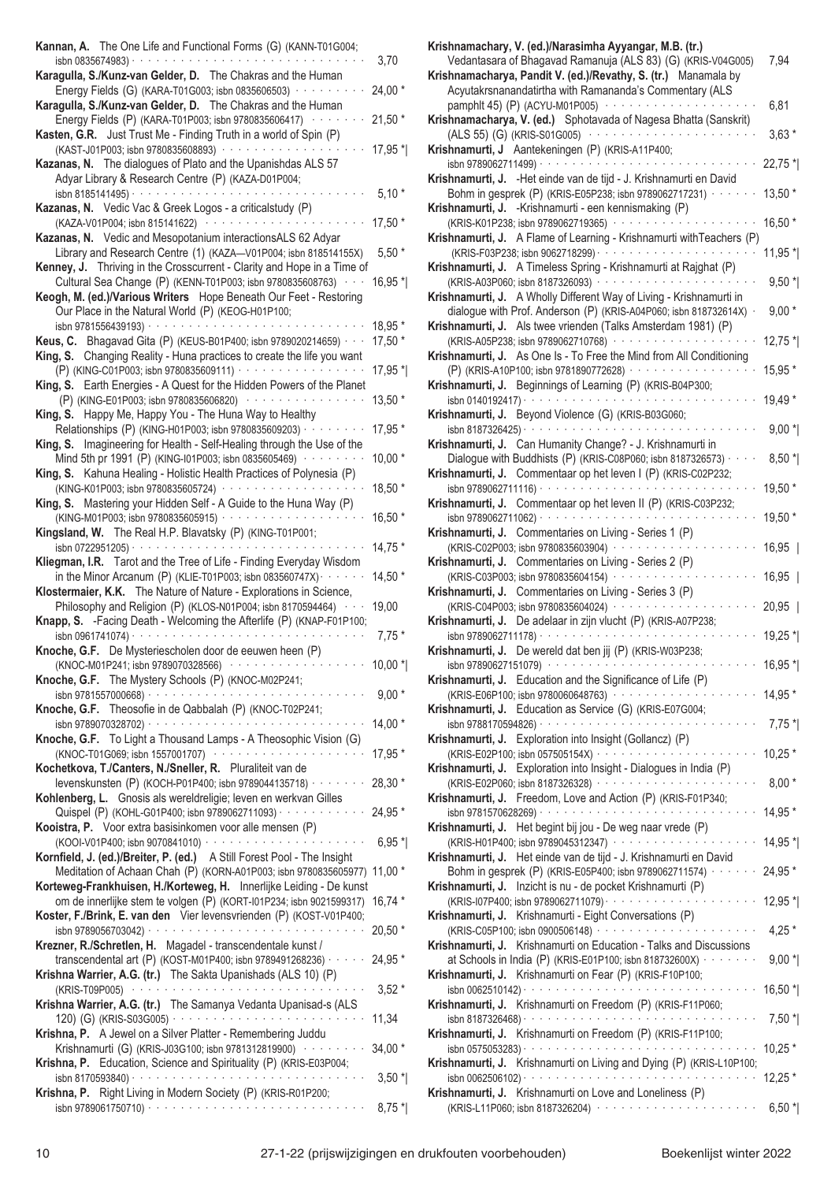| Kannan, A. The One Life and Functional Forms (G) (KANN-T01G004;                                                                                                                                                            | 3,70                |
|----------------------------------------------------------------------------------------------------------------------------------------------------------------------------------------------------------------------------|---------------------|
| Karagulla, S./Kunz-van Gelder, D. The Chakras and the Human<br>Energy Fields (G) (KARA-T01G003; isbn 0835606503) ··········                                                                                                | 24,00 *             |
| Karagulla, S./Kunz-van Gelder, D. The Chakras and the Human<br>Energy Fields (P) (KARA-T01P003; isbn 9780835606417) ········                                                                                               | $21,50*$            |
| Kasten, G.R. Just Trust Me - Finding Truth in a world of Spin (P)<br>(KAST-J01P003; isbn 9780835608893) ·····················                                                                                              | $17,95*$            |
| Kazanas, N. The dialogues of Plato and the Upanishdas ALS 57<br>Adyar Library & Research Centre (P) (KAZA-D01P004;                                                                                                         |                     |
|                                                                                                                                                                                                                            | $5,10*$             |
| Kazanas, N. Vedic Vac & Greek Logos - a criticalstudy (P)<br>(KAZA-V01P004; isbn 815141622) ·······················                                                                                                        | 17,50 *             |
| Kazanas, N. Vedic and Mesopotanium interactionsALS 62 Adyar<br>Library and Research Centre (1) (KAZA-V01P004; isbn 818514155X)                                                                                             | $5,50*$             |
| Kenney, J. Thriving in the Crosscurrent - Clarity and Hope in a Time of<br>Cultural Sea Change (P) (KENN-T01P003; isbn 9780835608763) · · ·                                                                                | $16,95*$            |
| Keogh, M. (ed.)/Various Writers Hope Beneath Our Feet - Restoring<br>Our Place in the Natural World (P) (KEOG-H01P100;                                                                                                     |                     |
| Keus, C. Bhagavad Gita (P) (KEUS-B01P400; isbn 9789020214659) · · ·                                                                                                                                                        | 18,95 *<br>$17,50*$ |
| King, S. Changing Reality - Huna practices to create the life you want                                                                                                                                                     | 17,95 *             |
| King, S. Earth Energies - A Quest for the Hidden Powers of the Planet<br>(P) (KING-E01P003; isbn 9780835606820) ·················                                                                                          | 13,50 *             |
| King, S. Happy Me, Happy You - The Huna Way to Healthy<br>Relationships (P) (KING-H01P003; isbn 9780835609203) · · · · · · · · ·                                                                                           | 17,95 *             |
| King, S. Imagineering for Health - Self-Healing through the Use of the                                                                                                                                                     |                     |
| Mind 5th pr 1991 (P) (KING-I01P003; isbn 0835605469) ········<br>King, S. Kahuna Healing - Holistic Health Practices of Polynesia (P)                                                                                      | $10,00*$            |
| (KING-K01P003; isbn 9780835605724) ···················<br>King, S. Mastering your Hidden Self - A Guide to the Huna Way (P)                                                                                                | 18,50 *             |
| (KING-M01P003; isbn 9780835605915) · · · · · · · · · · · · · ·<br>Kingsland, W. The Real H.P. Blavatsky (P) (KING-T01P001;                                                                                                 | $16,50*$            |
| isbn 0722951205) $\cdot \cdot \cdot \cdot \cdot \cdot \cdot \cdot \cdot \cdot \cdot \cdot \cdot \cdot \cdot \cdot \cdot \cdot \cdot$<br>Kliegman, I.R. Tarot and the Tree of Life - Finding Everyday Wisdom                | $14,75*$            |
| in the Minor Arcanum (P) (KLIE-T01P003; isbn 083560747X) $\cdots$                                                                                                                                                          | $14,50*$            |
| Klostermaier, K.K. The Nature of Nature - Explorations in Science,<br>Philosophy and Religion (P) (KLOS-N01P004; isbn 8170594464) · · ·                                                                                    | 19,00               |
| Knapp, S. - Facing Death - Welcoming the Afterlife (P) (KNAP-F01P100;<br>isbn 0961741074) $\cdots$                                                                                                                         | $7,75*$             |
| Knoche, G.F. De Mysteriescholen door de eeuwen heen (P)<br>(KNOC-M01P241; isbn 9789070328566)                                                                                                                              | $10,00*$            |
| Knoche, G.F. The Mystery Schools (P) (KNOC-M02P241;                                                                                                                                                                        | $9,00*$             |
| Knoche, G.F. Theosofie in de Qabbalah (P) (KNOC-T02P241;                                                                                                                                                                   |                     |
| Knoche, G.F. To Light a Thousand Lamps - A Theosophic Vision (G)                                                                                                                                                           | $14,00*$            |
| (KNOC-T01G069; isbn 1557001707) ·····················<br>Kochetkova, T./Canters, N./Sneller, R. Pluraliteit van de                                                                                                         | 17,95 *             |
| levenskunsten (P) (KOCH-P01P400; isbn 9789044135718) · · · · · · ·<br>Kohlenberg, L. Gnosis als wereldreligie; leven en werkvan Gilles                                                                                     | 28,30 *             |
| Quispel (P) (KOHL-G01P400; isbn 9789062711093) · · · · · · · · · · · · ·<br>Kooistra, P. Voor extra basisinkomen voor alle mensen (P)                                                                                      | 24,95 *             |
|                                                                                                                                                                                                                            | $6,95*$             |
| Kornfield, J. (ed.)/Breiter, P. (ed.) A Still Forest Pool - The Insight<br>Meditation of Achaan Chah (P) (KORN-A01P003; isbn 9780835605977) 11,00 *<br>Korteweg-Frankhuisen, H./Korteweg, H. Innerlijke Leiding - De kunst |                     |
| om de innerlijke stem te volgen (P) (KORT-I01P234; isbn 9021599317)<br>Koster, F./Brink, E. van den Vier levensvrienden (P) (KOST-V01P400;                                                                                 | $16,74*$            |
|                                                                                                                                                                                                                            | 20,50 *             |
| Krezner, R./Schretlen, H. Magadel - transcendentale kunst /<br>transcendental art (P) (KOST-M01P400; isbn 9789491268236) · · · · · ·<br>Krishna Warrier, A.G. (tr.) The Sakta Upanishads (ALS 10) (P)                      | 24,95 *             |
|                                                                                                                                                                                                                            | $3,52*$             |
| Krishna Warrier, A.G. (tr.) The Samanya Vedanta Upanisad-s (ALS<br>Krishna, P. A Jewel on a Silver Platter - Remembering Juddu                                                                                             | 11,34               |
| Krishnamurti (G) (KRIS-J03G100; isbn 9781312819900) ·········<br>Krishna, P. Education, Science and Spirituality (P) (KRIS-E03P004;                                                                                        | $34,00*$            |
| Krishna, P. Right Living in Modern Society (P) (KRIS-R01P200;                                                                                                                                                              | $3,50$ $^*$         |
|                                                                                                                                                                                                                            | $8,75*$             |

| Krishnamachary, V. (ed.)/Narasimha Ayyangar, M.B. (tr.)                                                                        |             |
|--------------------------------------------------------------------------------------------------------------------------------|-------------|
| Vedantasara of Bhagavad Ramanuja (ALS 83) (G) (KRIS-V04G005)<br>Krishnamacharya, Pandit V. (ed.)/Revathy, S. (tr.) Manamala by | 7,94        |
| Acyutakrsnanandatirtha with Ramananda's Commentary (ALS                                                                        |             |
| pamphlt 45) (P) (ACYU-M01P005) ············                                                                                    | 6,81        |
| Krishnamacharya, V. (ed.) Sphotavada of Nagesa Bhatta (Sanskrit)                                                               |             |
| (ALS 55) (G) (KRIS-S01G005)                                                                                                    | $3,63*$     |
| Krishnamurti, J Aantekeningen (P) (KRIS-A11P400;                                                                               |             |
| isbn 9789062711499) · · · · · · · · · · · ·<br>Krishnamurti, J. - Het einde van de tijd - J. Krishnamurti en David             | 22,75 *     |
| Bohm in gesprek (P) (KRIS-E05P238; isbn 9789062717231) · · · ·                                                                 | 13,50 *     |
| Krishnamurti, J. -Krishnamurti - een kennismaking (P)                                                                          |             |
| (KRIS-K01P238; isbn 9789062719365) · · · · · · · · ·                                                                           | $16,50*$    |
| Krishnamurti, J. A Flame of Learning - Krishnamurti with Teachers (P)                                                          |             |
|                                                                                                                                | $11,95$ *   |
| Krishnamurti, J. A Timeless Spring - Krishnamurti at Rajghat (P)                                                               |             |
| Krishnamurti, J. A Wholly Different Way of Living - Krishnamurti in                                                            | $9,50*$     |
| dialogue with Prof. Anderson (P) (KRIS-A04P060; isbn 818732614X) ·                                                             | $9,00*$     |
| Krishnamurti, J. Als twee vrienden (Talks Amsterdam 1981) (P)                                                                  |             |
| (KRIS-A05P238; isbn 9789062710768) ·············                                                                               | $12,75$ $*$ |
| Krishnamurti, J. As One Is - To Free the Mind from All Conditioning                                                            |             |
| (P) (KRIS-A10P100; isbn 9781890772628) ············                                                                            | 15,95 *     |
| Krishnamurti, J. Beginnings of Learning (P) (KRIS-B04P300;                                                                     |             |
| isbn 0140192417) $\cdots$<br>Krishnamurti, J. Beyond Violence (G) (KRIS-B03G060;                                               | 19,49 *     |
| والمتعاط والمتعاط والمتعاط والمتعاط والمتعاط والمتعاط والمتعاط<br>isbn 8187326425) ·                                           | $9,00*$     |
| Krishnamurti, J. Can Humanity Change? - J. Krishnamurti in                                                                     |             |
| Dialogue with Buddhists (P) (KRIS-C08P060; isbn 8187326573) · ·                                                                | $8,50*$     |
| Krishnamurti, J. Commentaar op het leven I (P) (KRIS-C02P232;                                                                  |             |
| isbn 9789062711116) $\cdots$                                                                                                   | 19,50 *     |
| Krishnamurti, J. Commentaar op het leven II (P) (KRIS-C03P232;                                                                 |             |
| isbn 9789062711062) · · · · · · ·                                                                                              | 19,50 *     |
| Krishnamurti, J. Commentaries on Living - Series 1 (P)<br>(KRIS-C02P003; isbn 9780835603904) ············                      |             |
| Krishnamurti, J. Commentaries on Living - Series 2 (P)                                                                         | $16,95$     |
| (KRIS-C03P003; isbn 9780835604154) ···········                                                                                 | $16,95$     |
| Krishnamurti, J. Commentaries on Living - Series 3 (P)                                                                         |             |
| (KRIS-C04P003; isbn 9780835604024) · · · · · · · · ·                                                                           | $20,95$     |
| Krishnamurti, J. De adelaar in zijn vlucht (P) (KRIS-A07P238;                                                                  |             |
| isbn 9789062711178) · · · · · · · · · · ·                                                                                      | $19,25$ *   |
| Krishnamurti, J. De wereld dat ben jij (P) (KRIS-W03P238;                                                                      |             |
| isbn 97890627151079) · · · · · · ·<br>Krishnamurti, J. Education and the Significance of Life (P)                              | $16,95*$    |
| (KRIS-E06P100; isbn 9780060648763) ·····················                                                                       | 14,95 *     |
| Krishnamurti, J. Education as Service (G) (KRIS-E07G004;                                                                       |             |
|                                                                                                                                | $7,75$ *    |
| Krishnamurti, J. Exploration into Insight (Gollancz) (P)                                                                       |             |
| (KRIS-E02P100; isbn 057505154X) · · · · · · · · · · · · · · · · ·                                                              | $10,25$ *   |
| Krishnamurti, J. Exploration into Insight - Dialogues in India (P)                                                             |             |
| Krishnamurti, J. Freedom, Love and Action (P) (KRIS-F01P340;                                                                   | $8,00*$     |
|                                                                                                                                | 14,95 *     |
| Krishnamurti, J. Het begint bij jou - De weg naar vrede (P)                                                                    |             |
| (KRIS-H01P400; isbn 9789045312347) ·····················                                                                       | 14,95 *     |
| Krishnamurti, J. Het einde van de tijd - J. Krishnamurti en David                                                              |             |
| Bohm in gesprek (P) (KRIS-E05P400; isbn 9789062711574) · · · · · ·                                                             | 24,95 *     |
| Krishnamurti, J. Inzicht is nu - de pocket Krishnamurti (P)                                                                    |             |
| Krishnamurti, J. Krishnamurti - Eight Conversations (P)                                                                        | 12,95 *     |
| (KRIS-C05P100; isbn 0900506148) ·······················                                                                        | $4,25*$     |
| Krishnamurti, J. Krishnamurti on Education - Talks and Discussions                                                             |             |
| at Schools in India (P) (KRIS-E01P100; isbn 818732600X) · · · · · · · ·                                                        | $9,00*$     |
| Krishnamurti, J. Krishnamurti on Fear (P) (KRIS-F10P100;                                                                       |             |
|                                                                                                                                | $16,50$ *   |
| Krishnamurti, J. Krishnamurti on Freedom (P) (KRIS-F11P060;                                                                    |             |
|                                                                                                                                | $7,50$ *    |
| Krishnamurti, J. Krishnamurti on Freedom (P) (KRIS-F11P100;                                                                    | $10,25$ *   |
| Krishnamurti, J. Krishnamurti on Living and Dying (P) (KRIS-L10P100;                                                           |             |
|                                                                                                                                | $12,25*$    |
| Krishnamurti, J. Krishnamurti on Love and Loneliness (P)                                                                       |             |
| (KRIS-L11P060; isbn 8187326204) ·······················                                                                        | $6,50*$     |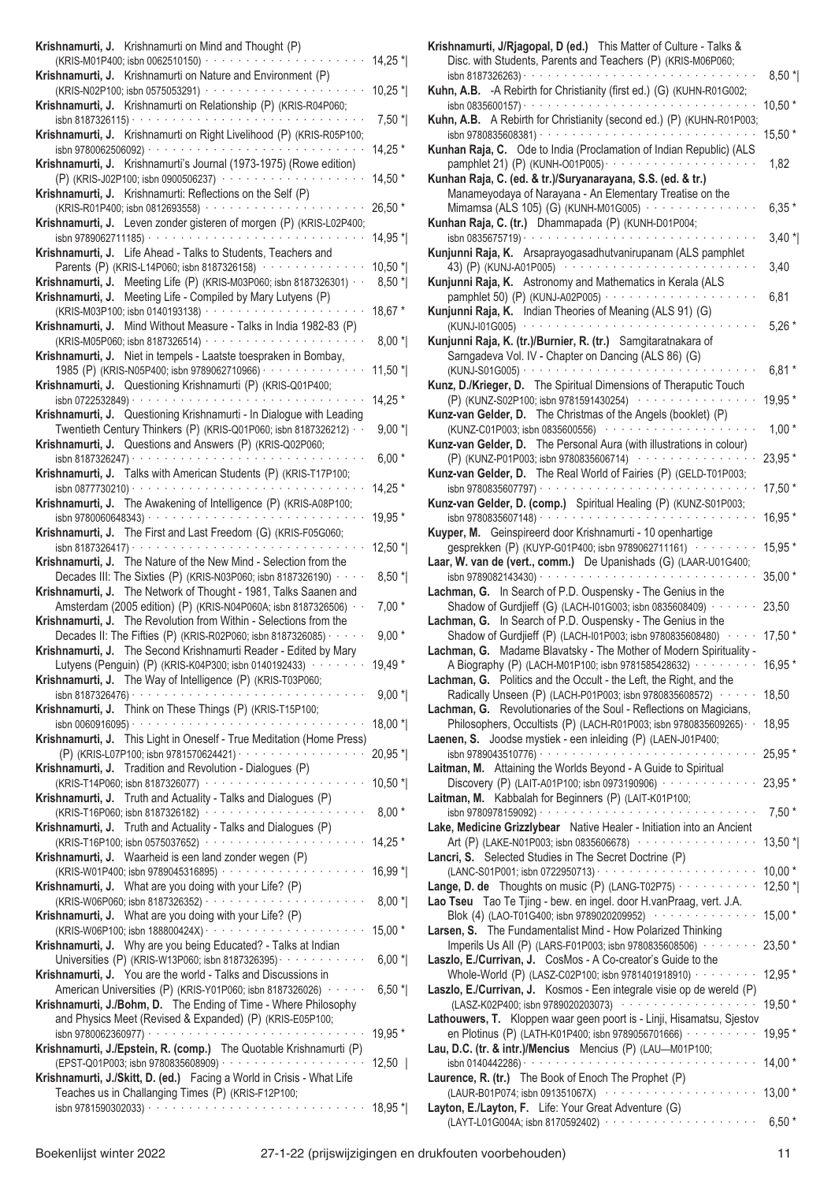| Krishnamurti, J. Krishnamurti on Mind and Thought (P)                                                                                     |           |
|-------------------------------------------------------------------------------------------------------------------------------------------|-----------|
| (KRIS-M01P400; isbn 0062510150) · · · · · · · · · · ·                                                                                     | 14,25 *   |
| Krishnamurti on Nature and Environment (P)<br>Krishnamurti, J.<br>and a state<br>(KRIS-N02P100; isbn 0575053291) · · · ·                  | $10,25$ * |
| Krishnamurti on Relationship (P) (KRIS-R04P060;<br>Krishnamurti, J.                                                                       |           |
| and a series of<br>isbn 8187326115) ·                                                                                                     | $7,50$ *  |
| Krishnamurti on Right Livelihood (P) (KRIS-R05P100;<br>Krishnamurti, J.<br>and a series and a series of<br>isbn 9780062506092) · · · ·    | 14,25 *   |
| Krishnamurti, J. Krishnamurti's Journal (1973-1975) (Rowe edition)                                                                        |           |
| (P) (KRIS-J02P100; isbn 0900506237) · · · · · · · · · ·<br>Krishnamurti: Reflections on the Self (P)<br>Krishnamurti, J.                  | $14,50*$  |
| (KRIS-R01P400; isbn 0812693558) · · · · · · · · · · ·                                                                                     | $26,50*$  |
| Leven zonder gisteren of morgen (P) (KRIS-L02P400;<br>Krishnamurti, J.<br>isbn 9789062711185) ·<br>والمناولة والمناورة                    |           |
| Krishnamurti, J. Life Ahead - Talks to Students, Teachers and                                                                             | 14,95 *   |
| Parents (P) (KRIS-L14P060; isbn 8187326158) · · ·                                                                                         | $10,50*$  |
| Meeting Life (P) (KRIS-M03P060; isbn 8187326301) ·<br>Krishnamurti, J.<br>Meeting Life - Compiled by Mary Lutyens (P)<br>Krishnamurti, J. | $8,50*$   |
| (KRIS-M03P100; isbn 0140193138) · · · · · · · · · · · · · · ·                                                                             | 18,67 *   |
| Mind Without Measure - Talks in India 1982-83 (P)<br>Krishnamurti, J.<br>(KRIS-M05P060; isbn 8187326514) ·                                | $8,00*$   |
| Krishnamurti, J.<br>Niet in tempels - Laatste toespraken in Bombay,                                                                       |           |
| 1985 (P) (KRIS-N05P400; isbn 9789062710966) · · · · · · · · · ·                                                                           | 11,50 *   |
| Questioning Krishnamurti (P) (KRIS-Q01P400;<br>Krishnamurti, J.<br>isbn 0722532849) · ·                                                   | 14,25 *   |
| Questioning Krishnamurti - In Dialogue with Leading<br>Krishnamurti, J.                                                                   |           |
| Twentieth Century Thinkers (P) (KRIS-Q01P060; isbn 8187326212) · ·<br>Questions and Answers (P) (KRIS-Q02P060;<br>Krishnamurti, J.        | $9,00*$   |
| isbn 8187326247) ·                                                                                                                        | $6,00*$   |
| Talks with American Students (P) (KRIS-T17P100;<br>Krishnamurti, J.<br>والمتمام والمتمام والمتمام والمتمام والمتمام والمتمار              |           |
| isbn 0877730210) ·<br>The Awakening of Intelligence (P) (KRIS-A08P100;<br>Krishnamurti, J.                                                | $14,25*$  |
| isbn 9780060648343) · · · · · · · · · · · · · · ·                                                                                         | 19,95 *   |
| The First and Last Freedom (G) (KRIS-F05G060;<br>Krishnamurti, J.<br>والمتحدث والمتحدث والمحارب<br>isbn 8187326417) ·                     | 12,50 *   |
| The Nature of the New Mind - Selection from the<br>Krishnamurti, J.                                                                       |           |
| Decades III: The Sixties (P) (KRIS-N03P060; isbn 8187326190) ·<br>The Network of Thought - 1981, Talks Saanen and<br>Krishnamurti, J.     | $8,50*$   |
| Amsterdam (2005 edition) (P) (KRIS-N04P060A; isbn 8187326506) · ·                                                                         | $7,00*$   |
| Krishnamurti, J.<br>The Revolution from Within - Selections from the<br>Decades II: The Fifties (P) (KRIS-R02P060; isbn 8187326085) ·     | $9,00*$   |
| Krishnamurti, J. The Second Krishnamurti Reader - Edited by Mary                                                                          |           |
| Lutyens (Penguin) (P) (KRIS-K04P300; isbn 0140192433) · · · · · · ·                                                                       | 19,49 *   |
| Krishnamurti, J. The Way of Intelligence (P) (KRIS-T03P060;                                                                               | $9,00*$   |
| Krishnamurti, J. Think on These Things (P) (KRIS-T15P100;                                                                                 |           |
| Krishnamurti, J. This Light in Oneself - True Meditation (Home Press)                                                                     | 18,00 *   |
|                                                                                                                                           | 20,95 *   |
| Krishnamurti, J. Tradition and Revolution - Dialogues (P)<br>(KRIS-T14P060; isbn 8187326077) ·····················                        | $10,50$ * |
| Krishnamurti, J. Truth and Actuality - Talks and Dialogues (P)                                                                            |           |
| Krishnamurti, J. Truth and Actuality - Talks and Dialogues (P)                                                                            | $8,00*$   |
| (KRIS-T16P100; isbn 0575037652) · · · · · · · · · · · · · · · ·                                                                           | 14,25 *   |
| Krishnamurti, J. Waarheid is een land zonder wegen (P)                                                                                    |           |
| Krishnamurti, J. What are you doing with your Life? (P)                                                                                   | 16,99 *   |
|                                                                                                                                           | $8,00*$   |
| Krishnamurti, J. What are you doing with your Life? (P)                                                                                   | 15,00 *   |
| Krishnamurti, J. Why are you being Educated? - Talks at Indian                                                                            |           |
| Universities (P) (KRIS-W13P060; isbn 8187326395) · · · · · · · · · ·<br>Krishnamurti, J. You are the world - Talks and Discussions in     | $6,00*$   |
| American Universities (P) (KRIS-Y01P060; isbn 8187326026) · · · · ·                                                                       | $6,50*$   |
| Krishnamurti, J./Bohm, D. The Ending of Time - Where Philosophy<br>and Physics Meet (Revised & Expanded) (P) (KRIS-E05P100;               |           |
|                                                                                                                                           | 19,95 *   |
| Krishnamurti, J./Epstein, R. (comp.) The Quotable Krishnamurti (P)                                                                        |           |
| Krishnamurti, J./Skitt, D. (ed.) Facing a World in Crisis - What Life                                                                     | $12,50$   |
| Teaches us in Challanging Times (P) (KRIS-F12P100;                                                                                        |           |
|                                                                                                                                           | 18,95 *   |

| Krishnamurti, J/Rjagopal, D (ed.) This Matter of Culture - Talks &<br>Disc. with Students, Parents and Teachers (P) (KRIS-M06P060;                                               |                  |
|----------------------------------------------------------------------------------------------------------------------------------------------------------------------------------|------------------|
| Kuhn, A.B. - A Rebirth for Christianity (first ed.) (G) (KUHN-R01G002;                                                                                                           | $8,50$ *         |
| Kuhn, A.B. A Rebirth for Christianity (second ed.) (P) (KUHN-R01P003;                                                                                                            | $10,50*$         |
| Kunhan Raja, C. Ode to India (Proclamation of Indian Republic) (ALS                                                                                                              | $15,50*$<br>1,82 |
| Kunhan Raja, C. (ed. & tr.)/Suryanarayana, S.S. (ed. & tr.)                                                                                                                      |                  |
| Manameyodaya of Narayana - An Elementary Treatise on the<br>Mimamsa (ALS 105) (G) (KUNH-M01G005) ············<br>Kunhan Raja, C. (tr.) Dhammapada (P) (KUNH-D01P004;             | $6,35*$          |
| $\sin 0835675719)$<br>Kunjunni Raja, K. Arsaprayogasadhutvanirupanam (ALS pamphlet                                                                                               | $3,40$ *         |
| 43) (P) (KUNJ-A01P005)                                                                                                                                                           | 3,40             |
| Kunjunni Raja, K. Astronomy and Mathematics in Kerala (ALS<br>pamphlet 50) (P) (KUNJ-A02P005) ·····················<br>Kunjunni Raja, K. Indian Theories of Meaning (ALS 91) (G) | 6,81             |
|                                                                                                                                                                                  | $5,26*$          |
| Kunjunni Raja, K. (tr.)/Burnier, R. (tr.) Samgitaratnakara of<br>Sarngadeva Vol. IV - Chapter on Dancing (ALS 86) (G)                                                            | $6,81*$          |
| Kunz, D./Krieger, D. The Spiritual Dimensions of Theraputic Touch                                                                                                                |                  |
| (P) (KUNZ-S02P100; isbn 9781591430254) ················<br>Kunz-van Gelder, D. The Christmas of the Angels (booklet) (P)                                                         | 19,95 *          |
| Kunz-van Gelder, D. The Personal Aura (with illustrations in colour)                                                                                                             | $1,00*$          |
| (P) (KUNZ-P01P003; isbn 9780835606714) ················                                                                                                                          | 23,95 *          |
| Kunz-van Gelder, D. The Real World of Fairies (P) (GELD-T01P003;                                                                                                                 | 17,50 *          |
| Kunz-van Gelder, D. (comp.) Spiritual Healing (P) (KUNZ-S01P003;                                                                                                                 | 16,95 *          |
| Kuyper, M. Geinspireerd door Krishnamurti - 10 openhartige                                                                                                                       |                  |
| gesprekken (P) (KUYP-G01P400; isbn 9789062711161) ······<br>Laar, W. van de (vert., comm.) De Upanishads (G) (LAAR-U01G400;                                                      | 15,95 *          |
| Lachman, G. In Search of P.D. Ouspensky - The Genius in the                                                                                                                      | 35,00 *          |
| Shadow of Gurdjieff (G) (LACH-I01G003; isbn 0835608409) · · · · · · ·<br>Lachman, G. In Search of P.D. Ouspensky - The Genius in the                                             | 23,50            |
| Shadow of Gurdjieff (P) (LACH-I01P003; isbn 9780835608480) · · · · ·<br>Lachman, G. Madame Blavatsky - The Mother of Modern Spirituality -                                       | $17,50*$         |
| A Biography (P) (LACH-M01P100; isbn 9781585428632) $\cdots$                                                                                                                      | 16,95            |
| Lachman, G. Politics and the Occult - the Left, the Right, and the<br>Radically Unseen (P) (LACH-P01P003; isbn 9780835608572) · · · · · ·                                        | 18,50            |
| Lachman, G. Revolutionaries of the Soul - Reflections on Magicians,<br>Philosophers, Occultists (P) (LACH-R01P003; isbn 9780835609265) · ·                                       | 18,95            |
| Laenen, S. Joodse mystiek - een inleiding (P) (LAEN-J01P400;                                                                                                                     |                  |
| Laitman, M. Attaining the Worlds Beyond - A Guide to Spiritual                                                                                                                   | 25,95 *          |
| Discovery (P) (LAIT-A01P100; isbn 0973190906) · · · · · · · · · · · · · ·<br>Laitman, M. Kabbalah for Beginners (P) (LAIT-K01P100;                                               | 23,95 *          |
|                                                                                                                                                                                  | $7,50*$          |
| Lake, Medicine Grizzlybear Native Healer - Initiation into an Ancient<br>Art (P) (LAKE-N01P003; isbn 0835606678) ················                                                | $13,50$ *        |
| Lancri, S. Selected Studies in The Secret Doctrine (P)                                                                                                                           | $10,00*$         |
| <b>Lange, D. de</b> Thoughts on music (P) (LANG-T02P75) $\cdots$                                                                                                                 | 12,50 $*$        |
| Lao Tseu Tao Te Tjing - bew. en ingel. door H.vanPraag, vert. J.A.<br>Blok (4) (LAO-T01G400; isbn 9789020209952) ···············                                                 | 15,00 *          |
| Larsen, S. The Fundamentalist Mind - How Polarized Thinking<br>Imperils Us All (P) (LARS-F01P003; isbn 9780835608506) · · · · · · · ·                                            | 23,50 *          |
| Laszlo, E./Currivan, J. CosMos - A Co-creator's Guide to the<br>Whole-World (P) (LASZ-C02P100; isbn 9781401918910) · · · · · · · · ·                                             | 12,95 *          |
| Laszlo, E./Currivan, J. Kosmos - Een integrale visie op de wereld (P)<br>(LASZ-K02P400; isbn 9789020203073) ···················                                                  | 19,50 *          |
| Lathouwers, T. Kloppen waar geen poort is - Linji, Hisamatsu, Sjestov                                                                                                            |                  |
| en Plotinus (P) (LATH-K01P400; isbn 9789056701666) ··········<br>Lau, D.C. (tr. & intr.)/Mencius Mencius (P) (LAU-M01P100;                                                       | 19,95 *          |
| Laurence, R. (tr.) The Book of Enoch The Prophet (P)                                                                                                                             | $14,00*$         |
| والمتحدث والمتحادية<br>(LAUR-B01P074; isbn 091351067X) ··········<br>Layton, E./Layton, F. Life: Your Great Adventure (G)                                                        | $13,00*$         |
| (LAYT-L01G004A; isbn 8170592402) ························                                                                                                                        | $6,50*$          |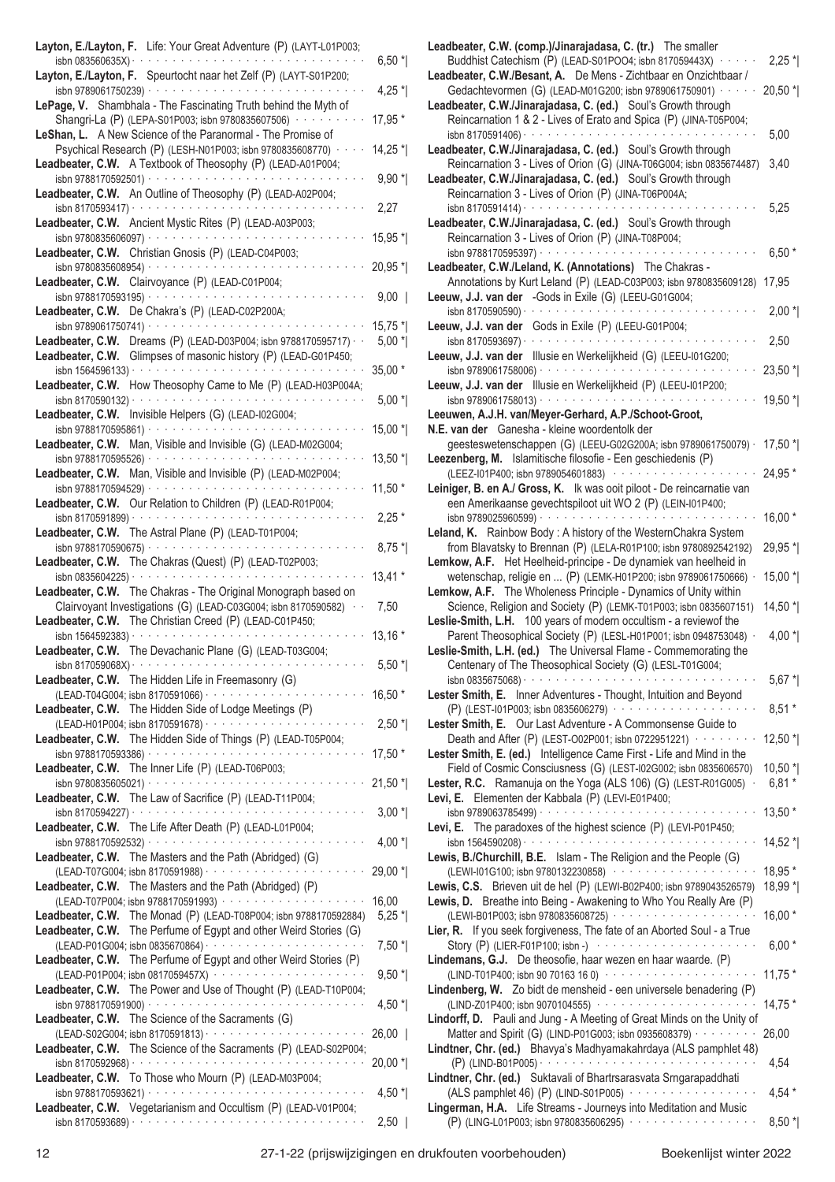| Layton, E./Layton, F. Life: Your Great Adventure (P) (LAYT-L01P003;                                                                                                                     |           |
|-----------------------------------------------------------------------------------------------------------------------------------------------------------------------------------------|-----------|
| isbn 083560635X) ·                                                                                                                                                                      | $6,50*$   |
| Layton, E./Layton, F. Speurtocht naar het Zelf (P) (LAYT-S01P200;                                                                                                                       |           |
| isbn 9789061750239) ·                                                                                                                                                                   | $4,25$ *  |
| Shambhala - The Fascinating Truth behind the Myth of<br>LePage, V.                                                                                                                      |           |
| Shangri-La (P) (LEPA-S01P003; isbn 9780835607506)                                                                                                                                       | 17,95 *   |
| LeShan, L. A New Science of the Paranormal - The Promise of                                                                                                                             |           |
| Psychical Research (P) (LESH-N01P003; isbn 9780835608770)<br>Leadbeater, C.W. A Textbook of Theosophy (P) (LEAD-A01P004;                                                                | 14,25 *   |
| أعابيته والمتواز<br>isbn 9788170592501) · · ·                                                                                                                                           | $9,90*$   |
| An Outline of Theosophy (P) (LEAD-A02P004;<br>Leadbeater, C.W.                                                                                                                          |           |
| isbn 8170593417) ·                                                                                                                                                                      | 2,27      |
| Ancient Mystic Rites (P) (LEAD-A03P003;<br>Leadbeater, C.W.                                                                                                                             |           |
| isbn 9780835606097)<br>and a series and a series                                                                                                                                        | 15,95 *   |
| Christian Gnosis (P) (LEAD-C04P003;<br>Leadbeater, C.W.                                                                                                                                 |           |
| isbn 9780835608954) · · · ·                                                                                                                                                             | 20,95 *   |
| Leadbeater, C.W.<br>Clairvoyance (P) (LEAD-C01P004;<br>isbn 9788170593195) · · · · · · · · · · · ·                                                                                      |           |
| De Chakra's (P) (LEAD-C02P200A;<br>Leadbeater, C.W.                                                                                                                                     | $9,00$    |
| isbn 9789061750741) ·<br>$\sim$ $\sim$ $\sim$                                                                                                                                           | 15,75 *   |
| Dreams (P) (LEAD-D03P004; isbn 9788170595717) ·<br>Leadbeater, C.W.                                                                                                                     | $5,00*$   |
| Leadbeater, C.W.<br>Glimpses of masonic history (P) (LEAD-G01P450;                                                                                                                      |           |
| isbn 1564596133)                                                                                                                                                                        | $35,00*$  |
| Leadbeater, C.W.<br>How Theosophy Came to Me (P) (LEAD-H03P004A;                                                                                                                        |           |
| and a resource and a resource of the<br>isbn 8170590132) ·                                                                                                                              | $5,00*$   |
| Invisible Helpers (G) (LEAD-102G004;<br>Leadbeater, C.W.                                                                                                                                |           |
| and a straightful state of the state of the<br>isbn 9788170595861) · · ·                                                                                                                | 15,00 *   |
| Man, Visible and Invisible (G) (LEAD-M02G004;<br>Leadbeater, C.W.<br>isbn 9788170595526) ·<br>and a series of the control                                                               | 13,50 *   |
| Man, Visible and Invisible (P) (LEAD-M02P004;<br>Leadbeater, C.W.                                                                                                                       |           |
| and a series and a series of the<br>isbn 9788170594529) · ·                                                                                                                             | $11,50*$  |
| Our Relation to Children (P) (LEAD-R01P004;<br>Leadbeater, C.W.                                                                                                                         |           |
| and a series and a series and<br>isbn 8170591899) ·                                                                                                                                     | $2,25*$   |
| The Astral Plane (P) (LEAD-T01P004;<br>Leadbeater, C.W.                                                                                                                                 |           |
| isbn 9788170590675) · · · ·                                                                                                                                                             | $8,75*$   |
| The Chakras (Quest) (P) (LEAD-T02P003;<br>Leadbeater, C.W.                                                                                                                              |           |
| isbn 0835604225) ·                                                                                                                                                                      | $13,41*$  |
| The Chakras - The Original Monograph based on<br>Leadbeater, C.W.<br>Clairvoyant Investigations (G) (LEAD-C03G004; isbn 8170590582)                                                     | 7,50      |
|                                                                                                                                                                                         |           |
|                                                                                                                                                                                         |           |
| The Christian Creed (P) (LEAD-C01P450;<br>Leadbeater, C.W.                                                                                                                              |           |
| isbn 1564592383) ·                                                                                                                                                                      | 13,16 *   |
| Leadbeater, C.W.<br>The Devachanic Plane (G) (LEAD-T03G004;<br>isbn 817059068X) $\cdot \cdot \cdot \cdot \cdot \cdot \cdot \cdot \cdot \cdot \cdot \cdot \cdot \cdot \cdot \cdot \cdot$ | $5,50$ *  |
| Leadbeater, C.W. The Hidden Life in Freemasonry (G)                                                                                                                                     |           |
| (LEAD-T04G004; isbn 8170591066) · · · · · · · · · · · · ·                                                                                                                               | 16,50 *   |
| Leadbeater, C.W. The Hidden Side of Lodge Meetings (P)                                                                                                                                  |           |
|                                                                                                                                                                                         | $2,50$ *  |
| Leadbeater, C.W. The Hidden Side of Things (P) (LEAD-T05P004;                                                                                                                           |           |
|                                                                                                                                                                                         | 17,50 *   |
| The Inner Life (P) (LEAD-T06P003;<br>Leadbeater, C.W.                                                                                                                                   |           |
| Leadbeater, C.W.                                                                                                                                                                        | $21,50$ * |
| The Law of Sacrifice (P) (LEAD-T11P004;                                                                                                                                                 | $3,00*$   |
| The Life After Death (P) (LEAD-L01P004;<br>Leadbeater, C.W.                                                                                                                             |           |
|                                                                                                                                                                                         | 4,00 $^*$ |
| Leadbeater, C.W. The Masters and the Path (Abridged) (G)                                                                                                                                |           |
|                                                                                                                                                                                         | 29,00 *   |
| The Masters and the Path (Abridged) (P)<br>Leadbeater, C.W.                                                                                                                             |           |
|                                                                                                                                                                                         | 16,00     |
| Leadbeater, C.W. The Monad (P) (LEAD-T08P004; isbn 9788170592884)                                                                                                                       | $5,25$ *  |
| The Perfume of Egypt and other Weird Stories (G)<br>Leadbeater, C.W.                                                                                                                    | $7,50$ *  |
| Leadbeater, C.W. The Perfume of Egypt and other Weird Stories (P)                                                                                                                       |           |
| (LEAD-P01P004; isbn 0817059457X) ·····················                                                                                                                                  | $9,50*$   |
| The Power and Use of Thought (P) (LEAD-T10P004;<br>Leadbeater, C.W.                                                                                                                     |           |
|                                                                                                                                                                                         | $4,50$ *  |
| The Science of the Sacraments (G)<br>Leadbeater, C.W.                                                                                                                                   |           |
|                                                                                                                                                                                         | $26,00$   |
| The Science of the Sacraments (P) (LEAD-S02P004;<br>Leadbeater, C.W.                                                                                                                    |           |
|                                                                                                                                                                                         | $20,00*$  |
| Leadbeater, C.W. To Those who Mourn (P) (LEAD-M03P004;                                                                                                                                  | $4,50*$   |
| Vegetarianism and Occultism (P) (LEAD-V01P004;<br>Leadbeater, C.W.                                                                                                                      |           |

| Leadbeater, C.W. (comp.)/Jinarajadasa, C. (tr.) The smaller                                                                                                                                                                                                                                          |                      |
|------------------------------------------------------------------------------------------------------------------------------------------------------------------------------------------------------------------------------------------------------------------------------------------------------|----------------------|
| Buddhist Catechism (P) (LEAD-S01POO4; isbn 817059443X) · · · · ·<br>Leadbeater, C.W./Besant, A. De Mens - Zichtbaar en Onzichtbaar /                                                                                                                                                                 | $2,25$ *             |
| Gedachtevormen (G) (LEAD-M01G200; isbn 9789061750901) · · · · · ·                                                                                                                                                                                                                                    | 20,50 *              |
| Leadbeater, C.W./Jinarajadasa, C. (ed.) Soul's Growth through<br>Reincarnation 1 & 2 - Lives of Erato and Spica (P) (JINA-T05P004;                                                                                                                                                                   |                      |
| isbn 8170591406) $\cdots$                                                                                                                                                                                                                                                                            | 5,00                 |
| Leadbeater, C.W./Jinarajadasa, C. (ed.) Soul's Growth through<br>Reincarnation 3 - Lives of Orion (G) (JINA-T06G004; isbn 0835674487)                                                                                                                                                                | 3,40                 |
| Leadbeater, C.W./Jinarajadasa, C. (ed.) Soul's Growth through                                                                                                                                                                                                                                        |                      |
| Reincarnation 3 - Lives of Orion (P) (JINA-T06P004A;                                                                                                                                                                                                                                                 | 5,25                 |
| Leadbeater, C.W./Jinarajadasa, C. (ed.) Soul's Growth through                                                                                                                                                                                                                                        |                      |
| Reincarnation 3 - Lives of Orion (P) (JINA-T08P004;                                                                                                                                                                                                                                                  | $6,50*$              |
| Leadbeater, C.W./Leland, K. (Annotations) The Chakras -                                                                                                                                                                                                                                              |                      |
| Annotations by Kurt Leland (P) (LEAD-C03P003; isbn 9780835609128)<br>Leeuw, J.J. van der - Gods in Exile (G) (LEEU-G01G004;                                                                                                                                                                          | 17,95                |
|                                                                                                                                                                                                                                                                                                      | $2,00*$              |
| Leeuw, J.J. van der Gods in Exile (P) (LEEU-G01P004;                                                                                                                                                                                                                                                 | 2,50                 |
| Leeuw, J.J. van der Illusie en Werkelijkheid (G) (LEEU-101G200;                                                                                                                                                                                                                                      | $23,50$ *            |
| Leeuw, J.J. van der Illusie en Werkelijkheid (P) (LEEU-101P200;<br>isbn 9789061758013) · · · · · · · · · · · · · · · · · ·                                                                                                                                                                           |                      |
| Leeuwen, A.J.H. van/Meyer-Gerhard, A.P./Schoot-Groot,                                                                                                                                                                                                                                                | 19,50 *              |
| N.E. van der Ganesha - kleine woordentolk der                                                                                                                                                                                                                                                        |                      |
| geesteswetenschappen (G) (LEEU-G02G200A; isbn 9789061750079) ·<br>Leezenberg, M. Islamitische filosofie - Een geschiedenis (P)                                                                                                                                                                       | 17,50 *              |
| (LEEZ-101P400; isbn 9789054601883) ···················                                                                                                                                                                                                                                               | 24,95 *              |
| Leiniger, B. en A./ Gross, K. Ik was ooit piloot - De reincarnatie van<br>een Amerikaanse gevechtspiloot uit WO 2 (P) (LEIN-I01P400;                                                                                                                                                                 |                      |
| isbn 9789025960599) · · · · · · · · · · · · · · · ·                                                                                                                                                                                                                                                  | 16,00 *              |
| Leland, K. Rainbow Body: A history of the WesternChakra System<br>from Blavatsky to Brennan (P) (LELA-R01P100; isbn 9780892542192)                                                                                                                                                                   | 29,95 *              |
| Lemkow, A.F. Het Heelheid-principe - De dynamiek van heelheid in                                                                                                                                                                                                                                     |                      |
| wetenschap, religie en  (P) (LEMK-H01P200; isbn 9789061750666) ·<br>Lemkow, A.F. The Wholeness Principle - Dynamics of Unity within                                                                                                                                                                  | 15,00 *              |
| Science, Religion and Society (P) (LEMK-T01P003; isbn 0835607151)                                                                                                                                                                                                                                    | 14,50 *              |
| Leslie-Smith, L.H. 100 years of modern occultism - a reviewof the<br>Parent Theosophical Society (P) (LESL-H01P001; isbn 0948753048) ·                                                                                                                                                               | 4,00 $^*$            |
| Leslie-Smith, L.H. (ed.) The Universal Flame - Commemorating the                                                                                                                                                                                                                                     |                      |
| Centenary of The Theosophical Society (G) (LESL-T01G004;                                                                                                                                                                                                                                             | $5,67$ *             |
| Lester Smith, E. Inner Adventures - Thought, Intuition and Beyond                                                                                                                                                                                                                                    |                      |
| (P) (LEST-101P003; isbn 0835606279) ····················<br>Lester Smith, E. Our Last Adventure - A Commonsense Guide to                                                                                                                                                                             | $8,51*$              |
| Death and After (P) (LEST-O02P001; isbn 0722951221) $\cdots \cdots$                                                                                                                                                                                                                                  | $12,50$ *            |
| Lester Smith, E. (ed.) Intelligence Came First - Life and Mind in the                                                                                                                                                                                                                                |                      |
| Field of Cosmic Consciusness (G) (LEST-I02G002; isbn 0835606570)<br>Lester, R.C. Ramanuja on the Yoga (ALS 106) (G) (LEST-R01G005) ·                                                                                                                                                                 | $10,50$ *<br>$6,81*$ |
| Levi, E. Elementen der Kabbala (P) (LEVI-E01P400;                                                                                                                                                                                                                                                    |                      |
| Levi, E. The paradoxes of the highest science (P) (LEVI-P01P450;                                                                                                                                                                                                                                     | $13,50*$             |
|                                                                                                                                                                                                                                                                                                      | 14,52 *              |
| Lewis, B./Churchill, B.E. Islam - The Religion and the People (G)<br>(LEWI-I01G100; isbn 9780132230858) ····················                                                                                                                                                                         | 18,95 *              |
| Lewis, C.S. Brieven uit de hel (P) (LEWI-B02P400; isbn 9789043526579)                                                                                                                                                                                                                                | 18,99 *              |
| Lewis, D. Breathe into Being - Awakening to Who You Really Are (P)                                                                                                                                                                                                                                   | 16,00 *              |
| Lier, R. If you seek forgiveness, The fate of an Aborted Soul - a True                                                                                                                                                                                                                               |                      |
| Story (P) (LIER-F01P100; isbn -) ·······················<br>Lindemans, G.J. De theosofie, haar wezen en haar waarde. (P)                                                                                                                                                                             | $6,00*$              |
| (LIND-T01P400; isbn 90 70163 16 0) ·····················                                                                                                                                                                                                                                             | $11,75*$             |
| Lindenberg, W. Zo bidt de mensheid - een universele benadering (P)<br>(LIND-Z01P400; isbn 9070104555) (and the state of the state of the state of the state of the state of the state of the state of the state of the state of the state of the state of the state of the state of the state of the | $14,75*$             |
| Lindorff, D. Pauli and Jung - A Meeting of Great Minds on the Unity of                                                                                                                                                                                                                               |                      |
| Matter and Spirit (G) (LIND-P01G003; isbn 0935608379) · · · · · · · · ·                                                                                                                                                                                                                              | 26,00                |
| Lindtner, Chr. (ed.) Bhavya's Madhyamakahrdaya (ALS pamphlet 48)                                                                                                                                                                                                                                     | 4,54                 |
| Lindtner, Chr. (ed.) Suktavali of Bhartrsarasvata Srngarapaddhati                                                                                                                                                                                                                                    |                      |
| (ALS pamphlet 46) (P) (LIND-S01P005)<br>Lingerman, H.A. Life Streams - Journeys into Meditation and Music                                                                                                                                                                                            | 4,54 $*$             |
| (P) (LING-L01P003; isbn 9780835606295) ··················                                                                                                                                                                                                                                            | $8,50*$              |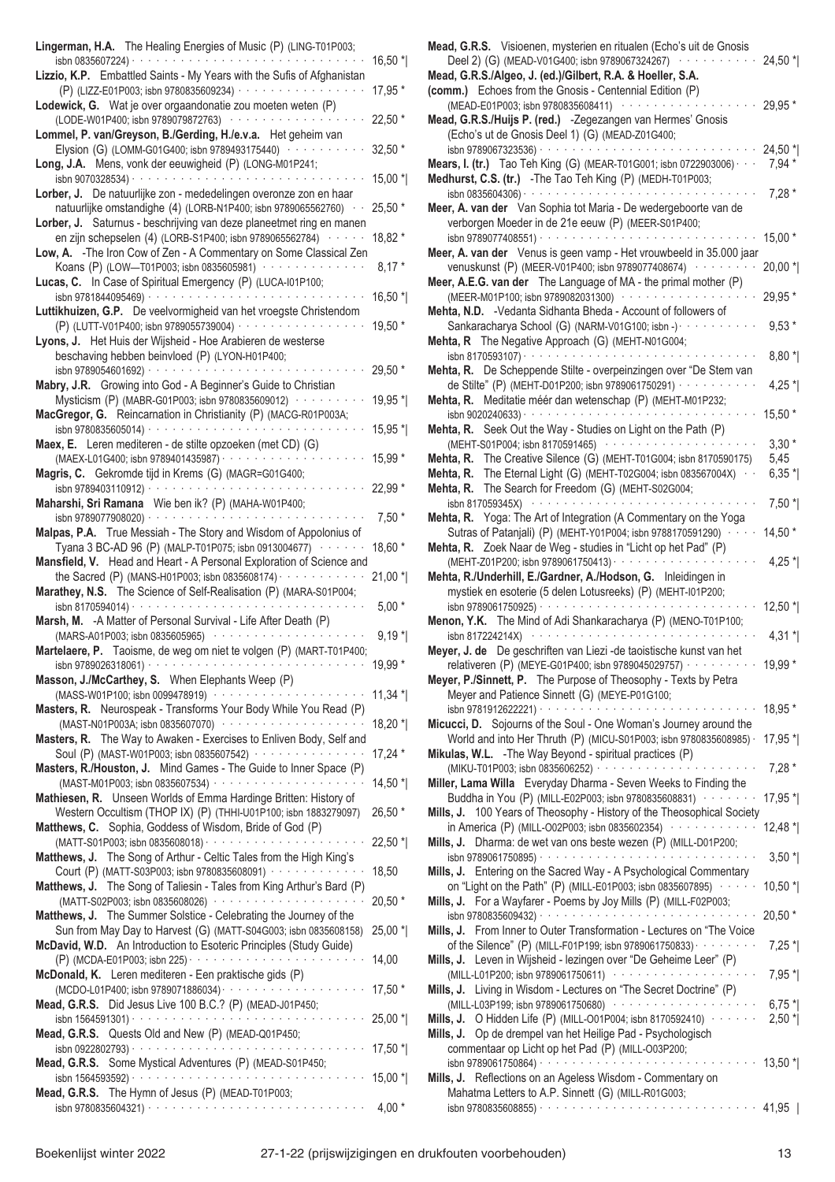| Lingerman, H.A. The Healing Energies of Music (P) (LING-T01P003;                                                                                                           | 16,50 *   |
|----------------------------------------------------------------------------------------------------------------------------------------------------------------------------|-----------|
| Lizzio, K.P. Embattled Saints - My Years with the Sufis of Afghanistan<br>(P) (LIZZ-E01P003; isbn 9780835609234) ···················                                       | 17,95 *   |
| Lodewick, G. Wat je over orgaandonatie zou moeten weten (P)<br>(LODE-W01P400; isbn 9789079872763) ················                                                         | 22,50 *   |
| Lommel, P. van/Greyson, B./Gerding, H./e.v.a. Het geheim van<br>Elysion (G) (LOMM-G01G400; isbn 9789493175440) ··········                                                  | 32,50 *   |
| Long, J.A. Mens, vonk der eeuwigheid (P) (LONG-M01P241;                                                                                                                    | 15,00 *   |
| Lorber, J. De natuurlijke zon - mededelingen overonze zon en haar<br>natuurlijke omstandighe (4) (LORB-N1P400; isbn 9789065562760) · ·                                     | 25,50 *   |
| Lorber, J. Saturnus - beschrijving van deze planeetmet ring en manen                                                                                                       |           |
| en zijn schepselen (4) (LORB-S1P400; isbn 9789065562784) ······<br>Low, A. - The Iron Cow of Zen - A Commentary on Some Classical Zen                                      | 18,82 *   |
| Koans (P) (LOW-T01P003; isbn 0835605981) ··············<br>Lucas, C. In Case of Spiritual Emergency (P) (LUCA-I01P100;                                                     | $8,17*$   |
| Luttikhuizen, G.P. De veelvormigheid van het vroegste Christendom                                                                                                          | 16,50 *   |
| (P) (LUTT-V01P400; isbn 9789055739004) ··················<br>Lyons, J. Het Huis der Wijsheid - Hoe Arabieren de westerse<br>beschaving hebben beinvloed (P) (LYON-H01P400; | 19,50 *   |
| Mabry, J.R. Growing into God - A Beginner's Guide to Christian                                                                                                             | 29,50 *   |
| Mysticism (P) (MABR-G01P003; isbn 9780835609012) · · · · ·                                                                                                                 | 19,95 *   |
| MacGregor, G. Reincarnation in Christianity (P) (MACG-R01P003A;                                                                                                            | 15,95 *   |
| Maex, E. Leren mediteren - de stilte opzoeken (met CD) (G)<br>(MAEX-L01G400; isbn 9789401435987) · · · · · · · · · · · · · · ·                                             | 15,99 *   |
| Magris, C. Gekromde tijd in Krems (G) (MAGR=G01G400;                                                                                                                       | 22,99 *   |
| Maharshi, Sri Ramana Wie ben ik? (P) (MAHA-W01P400;<br>isbn 9789077908020) $\cdots$                                                                                        | $7,50*$   |
| Malpas, P.A. True Messiah - The Story and Wisdom of Appolonius of<br>Tyana 3 BC-AD 96 (P) (MALP-T01P075; isbn 0913004677) ·······                                          | 18,60 *   |
| Mansfield, V. Head and Heart - A Personal Exploration of Science and<br>the Sacred (P) (MANS-H01P003; isbn 0835608174) $\cdots$                                            | $21,00*$  |
| Marathey, N.S. The Science of Self-Realisation (P) (MARA-S01P004;                                                                                                          | $5,00*$   |
| Marsh, M. - A Matter of Personal Survival - Life After Death (P)<br>(MARS-A01P003; isbn 0835605965) ··········                                                             | $9,19*$   |
| Martelaere, P. Taoisme, de weg om niet te volgen (P) (MART-T01P400;<br>isbn 9789026318061) $\cdots$                                                                        | 19,99 *   |
| Masson, J./McCarthey, S. When Elephants Weep (P)<br>(MASS-W01P100; isbn 0099478919) ·····················                                                                  | $11,34$ * |
| Masters, R. Neurospeak - Transforms Your Body While You Read (P)<br>(MAST-N01P003A; isbn 0835607070) ···················                                                   | $18,20$ * |
| Masters, R. The Way to Awaken - Exercises to Enliven Body, Self and<br>Soul (P) (MAST-W01P003; isbn 0835607542) ················                                           | $17,24*$  |
| Masters, R./Houston, J. Mind Games - The Guide to Inner Space (P)                                                                                                          | $14,50$ * |
| Mathiesen, R. Unseen Worlds of Emma Hardinge Britten: History of<br>Western Occultism (THOP IX) (P) (THHI-U01P100; isbn 1883279097)                                        | 26,50 *   |
| Matthews, C. Sophia, Goddess of Wisdom, Bride of God (P)                                                                                                                   | $22,50$ * |
| Matthews, J. The Song of Arthur - Celtic Tales from the High King's                                                                                                        |           |
| Court (P) (MATT-S03P003; isbn 9780835608091) · · · · · · · · · · · · · ·<br>Matthews, J. The Song of Taliesin - Tales from King Arthur's Bard (P)                          | 18,50     |
| (MATT-S02P003; isbn 0835608026) ·····················<br>Matthews, J. The Summer Solstice - Celebrating the Journey of the                                                 | 20,50 *   |
| Sun from May Day to Harvest (G) (MATT-S04G003; isbn 0835608158)<br>McDavid, W.D. An Introduction to Esoteric Principles (Study Guide)                                      | 25,00 *   |
| McDonald, K. Leren mediteren - Een praktische gids (P)                                                                                                                     | 14,00     |
| Mead, G.R.S. Did Jesus Live 100 B.C.? (P) (MEAD-J01P450;                                                                                                                   | 17,50 *   |
| Mead, G.R.S. Quests Old and New (P) (MEAD-Q01P450;                                                                                                                         | 25,00 *   |
| Mead, G.R.S. Some Mystical Adventures (P) (MEAD-S01P450;                                                                                                                   | $17,50$ * |
| Mead, G.R.S. The Hymn of Jesus (P) (MEAD-T01P003;                                                                                                                          | $15,00$ * |
|                                                                                                                                                                            | $4,00*$   |

| Mead, G.R.S. Visioenen, mysterien en ritualen (Echo's uit de Gnosis<br>Deel 2) (G) (MEAD-V01G400; isbn 9789067324267)<br>Mead, G.R.S./Algeo, J. (ed.)/Gilbert, R.A. & Hoeller, S.A.                                                                                                                | $24,50$ *                     |
|----------------------------------------------------------------------------------------------------------------------------------------------------------------------------------------------------------------------------------------------------------------------------------------------------|-------------------------------|
| (comm.) Echoes from the Gnosis - Centennial Edition (P)<br>(MEAD-E01P003; isbn 9780835608411) ·············<br>Mead, G.R.S./Huijs P. (red.) -Zegezangen van Hermes' Gnosis<br>(Echo's ut de Gnosis Deel 1) (G) (MEAD-Z01G400;                                                                      | 29,95 *                       |
| isbn 9789067323536) · · · · · · · · · · · · · · ·<br><b>Mears, I. (tr.)</b> Tao Teh King (G) (MEAR-T01G001; isbn 0722903006) $\cdot$<br>Medhurst, C.S. (tr.) - The Tao Teh King (P) (MEDH-T01P003;<br>isbn 0835604306) $\cdots$                                                                    | 24,50 *<br>$7,94*$<br>$7,28*$ |
| Meer, A. van der Van Sophia tot Maria - De wedergeboorte van de<br>verborgen Moeder in de 21e eeuw (P) (MEER-S01P400;                                                                                                                                                                              | $15,00*$                      |
| Meer, A. van der Venus is geen vamp - Het vrouwbeeld in 35.000 jaar<br>venuskunst (P) (MEER-V01P400; isbn 9789077408674) ·········                                                                                                                                                                 | $20,00*$                      |
| Meer, A.E.G. van der The Language of MA - the primal mother (P)<br>(MEER-M01P100; isbn 9789082031300) ··················<br>Mehta, N.D. - Vedanta Sidhanta Bheda - Account of followers of                                                                                                         | 29,95 *                       |
| Sankaracharya School (G) (NARM-V01G100; isbn -) · · · · · · · · · · ·<br>Mehta, R The Negative Approach (G) (MEHT-N01G004;                                                                                                                                                                         | $9,53*$                       |
| Mehta, R. De Scheppende Stilte - overpeinzingen over "De Stem van                                                                                                                                                                                                                                  | $8,80*$                       |
| de Stilte" (P) (MEHT-D01P200; isbn 9789061750291) ···········<br>Mehta, R. Meditatie méér dan wetenschap (P) (MEHT-M01P232;                                                                                                                                                                        | 4,25 $^*$<br>15,50 *          |
| Mehta, R. Seek Out the Way - Studies on Light on the Path (P)<br>(MEHT-S01P004; isbn 8170591465) ·····················                                                                                                                                                                             | $3,30*$                       |
| Mehta, R. The Creative Silence (G) (MEHT-T01G004; isbn 8170590175)<br>Mehta, R. The Eternal Light (G) (MEHT-T02G004; isbn 083567004X) · ·<br>Mehta, R. The Search for Freedom (G) (MEHT-S02G004;                                                                                                   | 5,45<br>$6,35*$               |
| isbn 817059345X) (and contact the contact of the state of the state of the state of the state of the state of the state of the state of the state of the state of the state of the state of the state of the state of the stat<br>Mehta, R. Yoga: The Art of Integration (A Commentary on the Yoga | $7,50*$                       |
| Sutras of Patanjali) (P) (MEHT-Y01P004; isbn 9788170591290) · · · ·<br>Mehta, R. Zoek Naar de Weg - studies in "Licht op het Pad" (P)                                                                                                                                                              | $14,50*$                      |
| Mehta, R./Underhill, E./Gardner, A./Hodson, G. Inleidingen in<br>mystiek en esoterie (5 delen Lotusreeks) (P) (MEHT-I01P200;                                                                                                                                                                       | 4,25 $^*$                     |
| Menon, Y.K. The Mind of Adi Shankaracharya (P) (MENO-T01P100;<br>isbn 817224214X) $\cdots$                                                                                                                                                                                                         | $12,50$ *                     |
| Meyer, J. de De geschriften van Liezi - de taoistische kunst van het<br>relativeren (P) (MEYE-G01P400; isbn 9789045029757) · · · · · · · · · ·                                                                                                                                                     | $4,31*$<br>19,99 *            |
| Meyer, P./Sinnett, P. The Purpose of Theosophy - Texts by Petra<br>Meyer and Patience Sinnett (G) (MEYE-P01G100;                                                                                                                                                                                   | 18,95 *                       |
| Micucci, D. Sojourns of the Soul - One Woman's Journey around the<br>World and into Her Thruth (P) (MICU-S01P003; isbn 9780835608985) ·                                                                                                                                                            | $17,95$ *                     |
| Mikulas, W.L. - The Way Beyond - spiritual practices (P)                                                                                                                                                                                                                                           | $7,28*$                       |
| Miller, Lama Willa Everyday Dharma - Seven Weeks to Finding the<br>Buddha in You (P) (MILL-E02P003; isbn 9780835608831) ········<br>Mills, J. 100 Years of Theosophy - History of the Theosophical Society                                                                                         | 17,95 *                       |
| in America (P) (MILL-002P003; isbn 0835602354) ············<br>Mills, J. Dharma: de wet van ons beste wezen (P) (MILL-D01P200;                                                                                                                                                                     | $12,48$ *                     |
| Mills, J. Entering on the Sacred Way - A Psychological Commentary                                                                                                                                                                                                                                  | $3,50$ *                      |
| on "Light on the Path" (P) (MILL-E01P003; isbn 0835607895) $\cdots$<br>Mills, J. For a Wayfarer - Poems by Joy Mills (P) (MILL-F02P003;                                                                                                                                                            | $10,50$ *                     |
| Mills, J. From Inner to Outer Transformation - Lectures on "The Voice<br>of the Silence" (P) (MILL-F01P199; isbn 9789061750833) · · · · · · · · ·                                                                                                                                                  | $20,50*$<br>$7,25$ $^*$       |
| Mills, J. Leven in Wijsheid - lezingen over "De Geheime Leer" (P)<br>(MILL-L01P200; isbn 9789061750611) ····················                                                                                                                                                                       | $7,95*$                       |
| Mills, J. Living in Wisdom - Lectures on "The Secret Doctrine" (P)<br>(MILL-L03P199; isbn 9789061750680) ·····················<br>Mills, J. O Hidden Life (P) (MILL-001P004; isbn 8170592410) · · · · · · ·                                                                                        | $6,75*$<br>$2,50$ *           |
| Mills, J. Op de drempel van het Heilige Pad - Psychologisch<br>commentaar op Licht op het Pad (P) (MILL-003P200;<br>Mills, J. Reflections on an Ageless Wisdom - Commentary on                                                                                                                     |                               |
| Mahatma Letters to A.P. Sinnett (G) (MILL-R01G003;                                                                                                                                                                                                                                                 |                               |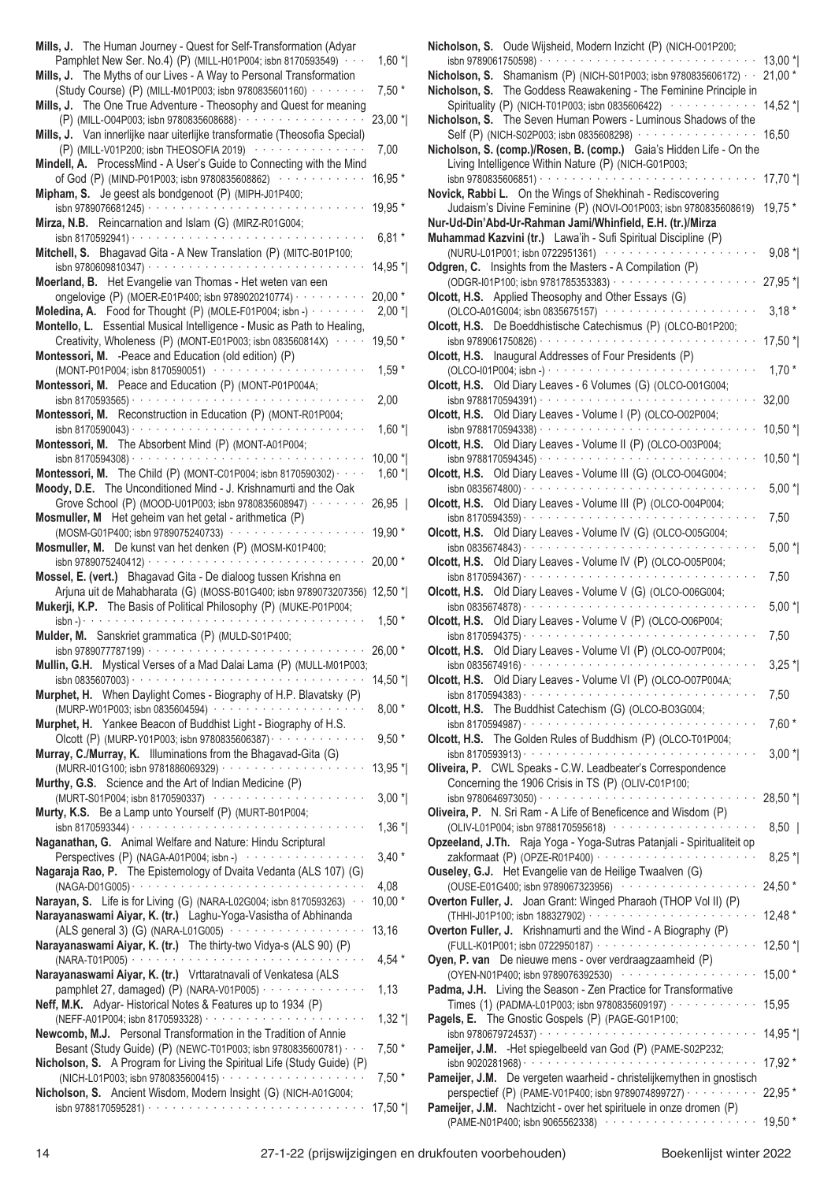| Mills, J. The Human Journey - Quest for Self-Transformation (Adyar                                                                                                                                                                                                                       |                     |
|------------------------------------------------------------------------------------------------------------------------------------------------------------------------------------------------------------------------------------------------------------------------------------------|---------------------|
| Pamphlet New Ser. No.4) (P) (MILL-H01P004; isbn 8170593549) · · ·<br>Mills, J. The Myths of our Lives - A Way to Personal Transformation                                                                                                                                                 | $1,60$ *            |
| (Study Course) (P) (MILL-M01P003; isbn 9780835601160) · · · · · · · ·                                                                                                                                                                                                                    | $7,50*$             |
| Mills, J. The One True Adventure - Theosophy and Quest for meaning<br>(P) (MILL-004P003; isbn 9780835608688) · · · · · · · · · · · · · · · · · ·                                                                                                                                         | $23,00*$            |
| Mills, J. Van innerlijke naar uiterlijke transformatie (Theosofia Special)                                                                                                                                                                                                               |                     |
| (P) (MILL-V01P200; isbn THEOSOFIA 2019) ···············                                                                                                                                                                                                                                  | 7,00                |
| Mindell, A. ProcessMind - A User's Guide to Connecting with the Mind<br>of God (P) (MIND-P01P003; isbn 9780835608862) ·········                                                                                                                                                          | 16,95 *             |
| Mipham, S. Je geest als bondgenoot (P) (MIPH-J01P400;                                                                                                                                                                                                                                    |                     |
| isbn 9789076681245) · · · · · · · · · · · · · · · ·<br>Mirza, N.B. Reincarnation and Islam (G) (MIRZ-R01G004;                                                                                                                                                                            | 19,95 *             |
|                                                                                                                                                                                                                                                                                          | $6,81*$             |
| Mitchell, S. Bhagavad Gita - A New Translation (P) (MITC-B01P100;                                                                                                                                                                                                                        | 14,95 *             |
| Moerland, B. Het Evangelie van Thomas - Het weten van een                                                                                                                                                                                                                                |                     |
| ongelovige (P) (MOER-E01P400; isbn 9789020210774) · · · · ·<br>Moledina, A. Food for Thought (P) (MOLE-F01P004; isbn -)                                                                                                                                                                  | $20,00*$<br>$2,00*$ |
| Montello, L. Essential Musical Intelligence - Music as Path to Healing,                                                                                                                                                                                                                  |                     |
| Creativity, Wholeness (P) (MONT-E01P003; isbn 083560814X)<br>Montessori, M. - Peace and Education (old edition) (P)                                                                                                                                                                      | 19,50 *             |
| (MONT-P01P004; isbn 8170590051) ··················                                                                                                                                                                                                                                       | $1,59*$             |
| Montessori, M. Peace and Education (P) (MONT-P01P004A;                                                                                                                                                                                                                                   | 2,00                |
| Montessori, M. Reconstruction in Education (P) (MONT-R01P004;                                                                                                                                                                                                                            |                     |
| isbn 8170590043) $\cdots$                                                                                                                                                                                                                                                                | $1,60*$             |
| Montessori, M. The Absorbent Mind (P) (MONT-A01P004;<br>a de la caractería de la caractería de la caractería de la<br>isbn 8170594308) ·                                                                                                                                                 | 10,00 *             |
| Montessori, M. The Child (P) (MONT-C01P004; isbn 8170590302) · · · ·                                                                                                                                                                                                                     | $1,60*$             |
| Moody, D.E. The Unconditioned Mind - J. Krishnamurti and the Oak<br>Grove School (P) (MOOD-U01P003; isbn 9780835608947) · · · · · · · ·                                                                                                                                                  | 26,95               |
| Mosmuller, M Het geheim van het getal - arithmetica (P)                                                                                                                                                                                                                                  |                     |
| (MOSM-G01P400; isbn 9789075240733) ·········<br>Mosmuller, M. De kunst van het denken (P) (MOSM-K01P400;                                                                                                                                                                                 | 19,90 *             |
|                                                                                                                                                                                                                                                                                          | 20,00 *             |
| Mossel, E. (vert.) Bhagavad Gita - De dialoog tussen Krishna en<br>Arjuna uit de Mahabharata (G) (MOSS-B01G400; isbn 9789073207356)                                                                                                                                                      | 12,50 $*$           |
| Mukerji, K.P. The Basis of Political Philosophy (P) (MUKE-P01P004;                                                                                                                                                                                                                       |                     |
| $\sin^{-1}$ $\cos^{-1}$<br>Mulder, M. Sanskriet grammatica (P) (MULD-S01P400;                                                                                                                                                                                                            | $1,50*$             |
| $\frac{1}{15}$ Sbn 9789077787199) $\cdots$                                                                                                                                                                                                                                               | $26,00*$            |
| Mullin, G.H. Mystical Verses of a Mad Dalai Lama (P) (MULL-M01P003;                                                                                                                                                                                                                      | 14,50 *             |
| Murphet, H. When Daylight Comes - Biography of H.P. Blavatsky (P)                                                                                                                                                                                                                        |                     |
| (MURP-W01P003; isbn 0835604594) ······················<br>Murphet, H. Yankee Beacon of Buddhist Light - Biography of H.S.                                                                                                                                                                | $8,00*$             |
| Olcott (P) (MURP-Y01P003; isbn 9780835606387) · · · · · · · · · · · · · ·                                                                                                                                                                                                                | $9,50*$             |
| Murray, C./Murray, K. Illuminations from the Bhagavad-Gita (G)                                                                                                                                                                                                                           | 13,95 *             |
| Murthy, G.S. Science and the Art of Indian Medicine (P)                                                                                                                                                                                                                                  |                     |
| (MURT-S01P004; isbn 8170590337) (and the state of the state of the state of the state of the state of the state of the state of the state of the state of the state of the state of the state of the state of the state of the<br>Murty, K.S. Be a Lamp unto Yourself (P) (MURT-B01P004; | $3,00*$             |
|                                                                                                                                                                                                                                                                                          | $1,36*$             |
| Naganathan, G. Animal Welfare and Nature: Hindu Scriptural<br>Perspectives (P) (NAGA-A01P004; isbn -) ·················                                                                                                                                                                  | $3,40*$             |
| Nagaraja Rao, P. The Epistemology of Dvaita Vedanta (ALS 107) (G)                                                                                                                                                                                                                        |                     |
| Narayan, S. Life is for Living (G) (NARA-L02G004; isbn 8170593263) · ·                                                                                                                                                                                                                   | 4,08                |
| Narayanaswami Aiyar, K. (tr.) Laghu-Yoga-Vasistha of Abhinanda                                                                                                                                                                                                                           | $10,00*$            |
| (ALS general 3) (G) (NARA-L01G005)                                                                                                                                                                                                                                                       | 13,16               |
| Narayanaswami Aiyar, K. (tr.) The thirty-two Vidya-s (ALS 90) (P)                                                                                                                                                                                                                        | 4,54 $*$            |
| Narayanaswami Aiyar, K. (tr.) Vrttaratnavali of Venkatesa (ALS                                                                                                                                                                                                                           |                     |
| pamphlet 27, damaged) (P) (NARA-V01P005) $\cdots$<br>Neff, M.K. Adyar-Historical Notes & Features up to 1934 (P)                                                                                                                                                                         | 1,13                |
|                                                                                                                                                                                                                                                                                          | $1,32*$             |
| Newcomb, M.J. Personal Transformation in the Tradition of Annie<br>Besant (Study Guide) (P) (NEWC-T01P003; isbn 9780835600781) · · ·                                                                                                                                                     | $7,50*$             |
| Nicholson, S. A Program for Living the Spiritual Life (Study Guide) (P)                                                                                                                                                                                                                  |                     |
| Nicholson, S. Ancient Wisdom, Modern Insight (G) (NICH-A01G004;                                                                                                                                                                                                                          | $7,50*$             |
|                                                                                                                                                                                                                                                                                          | 17,50 *             |
|                                                                                                                                                                                                                                                                                          |                     |

|                                                                               | 13,00 *   |
|-------------------------------------------------------------------------------|-----------|
| <b>Nicholson, S.</b> Shamanism (P) (NICH-S01P003; isbn 9780835606172) $\cdot$ | $21,00*$  |
| Nicholson, S. The Goddess Reawakening - The Feminine Principle in             |           |
| Spirituality (P) (NICH-T01P003; isbn 0835606422) ············                 | 14,52 *   |
| Nicholson, S. The Seven Human Powers - Luminous Shadows of the                |           |
| Self (P) (NICH-S02P003; isbn 0835608298) · · · · · · · · · · · · · · · · ·    | 16,50     |
| Nicholson, S. (comp.)/Rosen, B. (comp.) Gaia's Hidden Life - On the           |           |
| Living Intelligence Within Nature (P) (NICH-G01P003;                          |           |
|                                                                               | 17,70 *   |
| Novick, Rabbi L. On the Wings of Shekhinah - Rediscovering                    |           |
| Judaism's Divine Feminine (P) (NOVI-O01P003; isbn 9780835608619)              | 19,75 *   |
| Nur-Ud-Din'Abd-Ur-Rahman Jami/Whinfield, E.H. (tr.)/Mirza                     |           |
| Muhammad Kazvini (tr.) Lawa'ih - Sufi Spiritual Discipline (P)                |           |
|                                                                               |           |
| (NURU-L01P001; isbn 0722951361) ·············                                 | $9,08*$   |
| Odgren, C. Insights from the Masters - A Compilation (P)                      |           |
| (ODGR-I01P100; isbn 9781785353383) · · · · · · · · · ·                        | 27,95 *   |
| Olcott, H.S. Applied Theosophy and Other Essays (G)                           |           |
| (OLCO-A01G004; isbn 0835675157) ··············                                | $3,18*$   |
| Olcott, H.S. De Boeddhistische Catechismus (P) (OLCO-B01P200;                 |           |
|                                                                               | 17,50 *   |
| Olcott, H.S. Inaugural Addresses of Four Presidents (P)                       |           |
| $(OLCO-101P004; isbn-)$                                                       | $1,70*$   |
| Olcott, H.S. Old Diary Leaves - 6 Volumes (G) (OLCO-001G004;                  |           |
|                                                                               |           |
|                                                                               | 32,00     |
| Olcott, H.S. Old Diary Leaves - Volume I (P) (OLCO-O02P004;                   |           |
|                                                                               | $10,50$ * |
| Olcott, H.S. Old Diary Leaves - Volume II (P) (OLCO-O03P004;                  |           |
|                                                                               | $10,50$ * |
| Olcott, H.S. Old Diary Leaves - Volume III (G) (OLCO-O04G004;                 |           |
|                                                                               | $5,00*$   |
| Olcott, H.S. Old Diary Leaves - Volume III (P) (OLCO-O04P004;                 |           |
|                                                                               | 7,50      |
| Olcott, H.S. Old Diary Leaves - Volume IV (G) (OLCO-O05G004;                  |           |
|                                                                               |           |
|                                                                               | $5,00*$   |
| Olcott, H.S. Old Diary Leaves - Volume IV (P) (OLCO-005P004;                  |           |
|                                                                               | 7,50      |
| Olcott, H.S. Old Diary Leaves - Volume V (G) (OLCO-006G004;                   |           |
|                                                                               | $5,00*$   |
| Olcott, H.S. Old Diary Leaves - Volume V (P) (OLCO-006P004;                   |           |
| isbn 8170594375) $\cdots$                                                     | 7,50      |
| Olcott, H.S. Old Diary Leaves - Volume VI (P) (OLCO-O07P004;                  |           |
| isbn 0835674916) · · · · · · · · · · ·                                        | $3,25$ *  |
| Old Diary Leaves - Volume VI (P) (OLCO-O07P004A;<br>Olcott, H.S.              |           |
| $\frac{1}{2}$ isbn 8170594383) $\cdots$                                       |           |
|                                                                               | 7,50      |
| Olcott, H.S. The Buddhist Catechism (G) (OLCO-BO3G004;                        |           |
|                                                                               | $7,60*$   |
| Olcott, H.S. The Golden Rules of Buddhism (P) (OLCO-T01P004;                  |           |
|                                                                               | $3,00*$   |
| Oliveira, P. CWL Speaks - C.W. Leadbeater's Correspondence                    |           |
| Concerning the 1906 Crisis in TS (P) (OLIV-C01P100;                           |           |
|                                                                               | 28,50 *   |
| Oliveira, P. N. Sri Ram - A Life of Beneficence and Wisdom (P)                |           |
| (OLIV-L01P004; isbn 9788170595618) ·····················                      | 8,50      |
| Opzeeland, J.Th. Raja Yoga - Yoga-Sutras Patanjali - Spiritualiteit op        |           |
|                                                                               |           |
|                                                                               | $8,25$ *  |
| Ouseley, G.J. Het Evangelie van de Heilige Twaalven (G)                       |           |
| (OUSE-E01G400; isbn 9789067323956) ···················                        | 24,50 *   |
| Overton Fuller, J. Joan Grant: Winged Pharaoh (THOP Vol II) (P)               |           |
|                                                                               | $12,48*$  |
| Overton Fuller, J. Krishnamurti and the Wind - A Biography (P)                |           |
|                                                                               | $12,50$ * |
| Oyen, P. van De nieuwe mens - over verdraagzaamheid (P)                       |           |
| (OYEN-N01P400; isbn 9789076392530) ···················                        | 15,00 *   |
| Padma, J.H. Living the Season - Zen Practice for Transformative               |           |
| Times (1) (PADMA-L01P003; isbn 9780835609197) · · · · · · · · · · · ·         |           |
|                                                                               | 15,95     |
| Pagels, E. The Gnostic Gospels (P) (PAGE-G01P100;                             |           |
|                                                                               | 14,95 *   |
| Pameijer, J.M. - Het spiegelbeeld van God (P) (PAME-S02P232;                  |           |
|                                                                               | 17,92 *   |
| Pameijer, J.M. De vergeten waarheid - christelijkemythen in gnostisch         |           |
| perspectief (P) (PAME-V01P400; isbn 9789074899727) · · · · · · · · · ·        | 22,95 *   |
| Pameijer, J.M. Nachtzicht - over het spirituele in onze dromen (P)            |           |
| (PAME-N01P400; isbn 9065562338) ·····················                         | $19,50*$  |
|                                                                               |           |
|                                                                               |           |

**Nicholson, S.** Oude Wijsheid, Modern Inzicht (P) (NICH-O01P200;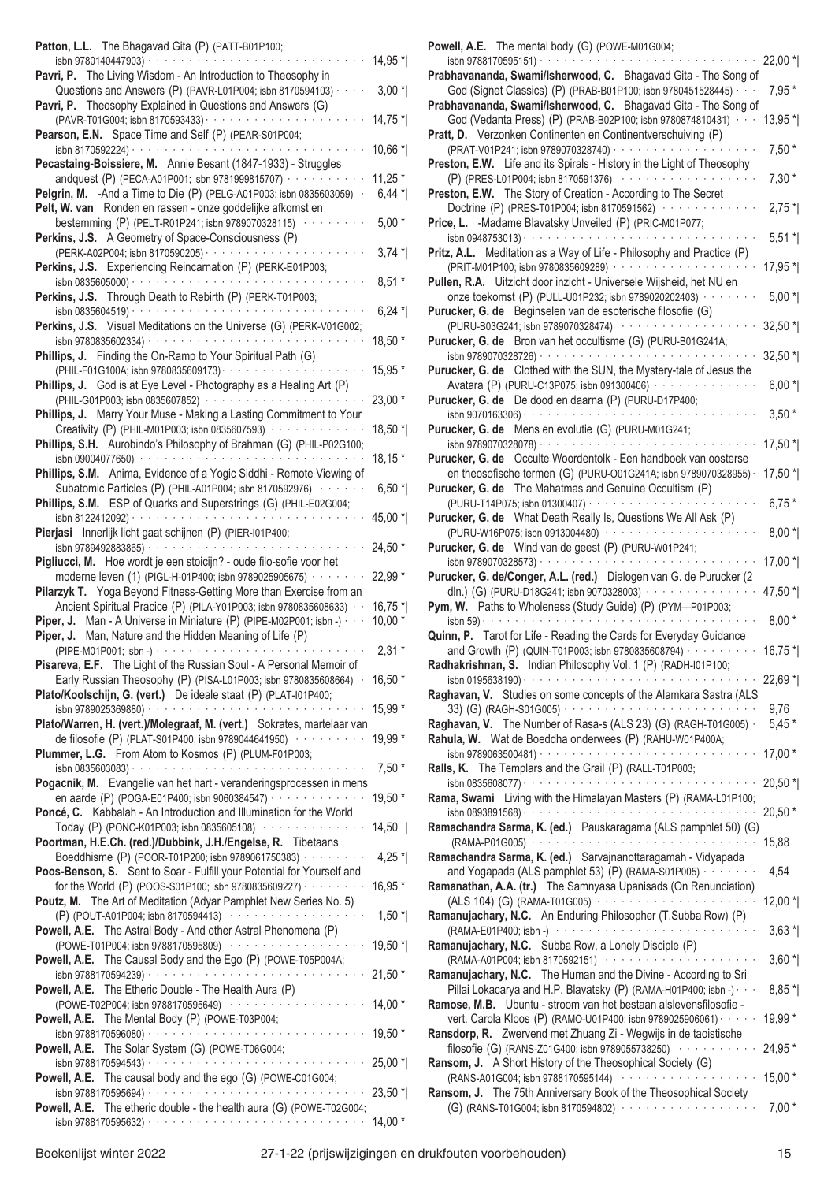| Patton, L.L. The Bhagavad Gita (P) (PATT-B01P100;                                                                                           |             |
|---------------------------------------------------------------------------------------------------------------------------------------------|-------------|
| isbn 9780140447903) · · · · · · · · · · · ·<br>Pavri, P. The Living Wisdom - An Introduction to Theosophy in                                | 14,95 *     |
| Questions and Answers (P) (PAVR-L01P004; isbn 8170594103) · · · ·<br>Pavri, P. Theosophy Explained in Questions and Answers (G)             | $3,00*$     |
| (PAVR-T01G004; isbn 8170593433) · · · · · · · · · · · ·                                                                                     | $14,75$ *   |
| Pearson, E.N. Space Time and Self (P) (PEAR-S01P004;<br>isbn 8170592224) $\cdots$                                                           | $10,66*$    |
| Pecastaing-Boissiere, M. Annie Besant (1847-1933) - Struggles<br>andquest (P) (PECA-A01P001; isbn 9781999815707) · · · · · · · ·            | $11,25*$    |
| Pelgrin, M. - And a Time to Die (P) (PELG-A01P003; isbn 0835603059)                                                                         | $6,44*$     |
| Pelt, W. van Ronden en rassen - onze goddelijke afkomst en                                                                                  |             |
| bestemming (P) (PELT-R01P241; isbn 9789070328115)                                                                                           | $5,00*$     |
| Perkins, J.S. A Geometry of Space-Consciousness (P)<br>(PERK-A02P004; isbn 8170590205) · · · · · · · · · · · · · · · ·                      | $3,74$ $^*$ |
| Perkins, J.S. Experiencing Reincarnation (P) (PERK-E01P003;                                                                                 |             |
|                                                                                                                                             | $8,51*$     |
| Perkins, J.S. Through Death to Rebirth (P) (PERK-T01P003;                                                                                   |             |
| Perkins, J.S. Visual Meditations on the Universe (G) (PERK-V01G002;                                                                         | $6,24*$     |
|                                                                                                                                             | 18,50 *     |
| Phillips, J. Finding the On-Ramp to Your Spiritual Path (G)                                                                                 |             |
| (PHIL-F01G100A; isbn 9780835609173) · · · · · · · · · · · · · ·<br>Phillips, J. God is at Eye Level - Photography as a Healing Art (P)      | 15,95 *     |
| (PHIL-G01P003; isbn 0835607852) ··················                                                                                          | 23,00 *     |
| Phillips, J. Marry Your Muse - Making a Lasting Commitment to Your                                                                          |             |
| Creativity (P) (PHIL-M01P003; isbn 0835607593) · · · · · · · · · · · · · ·                                                                  | 18,50 *     |
| Phillips, S.H. Aurobindo's Philosophy of Brahman (G) (PHIL-P02G100;                                                                         | 18,15 *     |
| Phillips, S.M. Anima, Evidence of a Yogic Siddhi - Remote Viewing of                                                                        |             |
| Subatomic Particles (P) (PHIL-A01P004; isbn 8170592976) ·······                                                                             | $6,50*$     |
| Phillips, S.M. ESP of Quarks and Superstrings (G) (PHIL-E02G004;<br>isbn 8122412092) $\cdots$                                               | 45,00 *     |
| Pierjasi Innerlijk licht gaat schijnen (P) (PIER-I01P400;                                                                                   |             |
| isbn 9789492883865) · · · · · · · · · · · · ·                                                                                               | 24,50 *     |
| Pigliucci, M. Hoe wordt je een stoicijn? - oude filo-sofie voor het                                                                         |             |
| moderne leven (1) (PIGL-H-01P400; isbn 9789025905675) · · · · · · · ·<br>Pilarzyk T. Yoga Beyond Fitness-Getting More than Exercise from an | 22,99 *     |
| Ancient Spiritual Pracice (P) (PILA-Y01P003; isbn 9780835608633) · ·                                                                        | $16,75*$    |
| Piper, J. Man - A Universe in Miniature (P) (PIPE-M02P001; isbn -) $\cdots$                                                                 | $10,00*$    |
| Piper, J. Man, Nature and the Hidden Meaning of Life (P)<br>(PIPE-M01P001; isbn -) · · · · · · · ·                                          | $2,31*$     |
| Pisareva, E.F. The Light of the Russian Soul - A Personal Memoir of                                                                         |             |
| Early Russian Theosophy (P) (PISA-L01P003; isbn 9780835608664)                                                                              | 16,50 *     |
| Plato/Koolschijn, G. (vert.) De ideale staat (P) (PLAT-I01P400;                                                                             |             |
| Plato/Warren, H. (vert.)/Molegraaf, M. (vert.) Sokrates, martelaar van                                                                      | 15,99 *     |
| de filosofie (P) (PLAT-S01P400; isbn 9789044641950) ··········                                                                              | $19,99*$    |
| Plummer, L.G. From Atom to Kosmos (P) (PLUM-F01P003;                                                                                        |             |
| Pogacnik, M. Evangelie van het hart - veranderingsprocessen in mens                                                                         | $7,50*$     |
| en aarde (P) (POGA-E01P400; isbn 9060384547) · · · · · · · · · · · · · ·                                                                    | $19,50*$    |
| Poncé, C. Kabbalah - An Introduction and Illumination for the World                                                                         |             |
| Today (P) (PONC-K01P003; isbn 0835605108) ··············<br>Poortman, H.E.Ch. (red.)/Dubbink, J.H./Engelse, R. Tibetaans                    | $14,50$     |
| Boeddhisme (P) (POOR-T01P200; isbn 9789061750383) · · · · · · · ·                                                                           | 4,25 $^*$   |
| Poos-Benson, S. Sent to Soar - Fulfill your Potential for Yourself and                                                                      |             |
| for the World (P) (POOS-S01P100; isbn 9780835609227) · · · · · · · · ·                                                                      | 16,95 *     |
| Poutz, M. The Art of Meditation (Adyar Pamphlet New Series No. 5)<br>(P) (POUT-A01P004; isbn 8170594413) ···················                | $1,50$ *    |
| Powell, A.E. The Astral Body - And other Astral Phenomena (P)                                                                               |             |
| (POWE-T01P004; isbn 9788170595809) ··················                                                                                       | 19,50 *     |
| Powell, A.E. The Causal Body and the Ego (P) (POWE-T05P004A;                                                                                | $21,50*$    |
| Powell, A.E. The Etheric Double - The Health Aura (P)                                                                                       |             |
| (POWE-T02P004; isbn 9788170595649) ····················                                                                                     | $14,00*$    |
| Powell, A.E. The Mental Body (P) (POWE-T03P004;<br>والمتحدث والمتحدث والمناقب<br>isbn 9788170596080) · · · · · · · · · · · · · · · · ·      | 19,50 *     |
|                                                                                                                                             |             |
|                                                                                                                                             | 25,00 *     |
| Powell, A.E. The causal body and the ego (G) (POWE-C01G004;                                                                                 |             |
| Powell, A.E. The etheric double - the health aura (G) (POWE-T02G004;                                                                        | 23,50 *     |
|                                                                                                                                             | $14,00*$    |
|                                                                                                                                             |             |

| Powell, A.E. The mental body (G) (POWE-M01G004;<br>isbn 9788170595151) · · · · · · · · · · · · · · ·                                                                                                                                                                                                     | $22,00*$            |
|----------------------------------------------------------------------------------------------------------------------------------------------------------------------------------------------------------------------------------------------------------------------------------------------------------|---------------------|
| Prabhavananda, Swami/Isherwood, C. Bhagavad Gita - The Song of                                                                                                                                                                                                                                           |                     |
| God (Signet Classics) (P) (PRAB-B01P100; isbn 9780451528445) · · ·<br>Prabhavananda, Swami/Isherwood, C. Bhagavad Gita - The Song of<br>God (Vedanta Press) (P) (PRAB-B02P100; isbn 9780874810431) · · ·                                                                                                 | $7,95*$             |
| Pratt, D. Verzonken Continenten en Continentverschuiving (P)<br>(PRAT-V01P241; isbn 9789070328740) · · · · · · · · · · · · · · · ·                                                                                                                                                                       | $13,95*$<br>$7,50*$ |
| Preston, E.W. Life and its Spirals - History in the Light of Theosophy<br>(P) (PRES-L01P004; isbn 8170591376) (and contact the control of the control of the control of the control of the control of the control of the control of the control of the control of the control of the control of the cont | $7,30*$             |
| Preston, E.W. The Story of Creation - According to The Secret                                                                                                                                                                                                                                            |                     |
| Doctrine (P) (PRES-T01P004; isbn 8170591562) $\cdots$<br>Price, L. - Madame Blavatsky Unveiled (P) (PRIC-M01P077;                                                                                                                                                                                        | $2,75$ *            |
| Pritz, A.L. Meditation as a Way of Life - Philosophy and Practice (P)                                                                                                                                                                                                                                    | $5,51*$             |
| (PRIT-M01P100; isbn 9780835609289) ····················<br>Pullen, R.A. Uitzicht door inzicht - Universele Wijsheid, het NU en                                                                                                                                                                           | 17,95 *             |
| onze toekomst (P) (PULL-U01P232; isbn 9789020202403) · · · · · · ·<br>Purucker, G. de Beginselen van de esoterische filosofie (G)                                                                                                                                                                        | $5,00*$             |
| (PURU-B03G241; isbn 9789070328474) ··············<br>Purucker, G. de Bron van het occultisme (G) (PURU-B01G241A;                                                                                                                                                                                         | 32,50 *             |
| Purucker, G. de Clothed with the SUN, the Mystery-tale of Jesus the                                                                                                                                                                                                                                      | 32,50 *             |
| Avatara (P) (PURU-C13P075; isbn 091300406) ···············<br>Purucker, G. de De dood en daarna (P) (PURU-D17P400;                                                                                                                                                                                       | $6,00*$             |
|                                                                                                                                                                                                                                                                                                          | $3,50*$             |
| Purucker, G. de Mens en evolutie (G) (PURU-M01G241;                                                                                                                                                                                                                                                      | 17,50 *             |
| Purucker, G. de Occulte Woordentolk - Een handboek van oosterse<br>en theosofische termen (G) (PURU-O01G241A; isbn 9789070328955) ·                                                                                                                                                                      | 17,50 *             |
| Purucker, G. de The Mahatmas and Genuine Occultism (P)                                                                                                                                                                                                                                                   | $6,75*$             |
| Purucker, G. de What Death Really Is, Questions We All Ask (P)<br>(PURU-W16P075; isbn 0913004480) ············                                                                                                                                                                                           | $8,00*$             |
| Purucker, G. de Wind van de geest (P) (PURU-W01P241;                                                                                                                                                                                                                                                     | 17,00 *             |
| Purucker, G. de/Conger, A.L. (red.) Dialogen van G. de Purucker (2<br>dln.) (G) (PURU-D18G241; isbn 9070328003) ················<br>Pym, W. Paths to Wholeness (Study Guide) (P) (PYM-P01P003;                                                                                                           | 47,50 *             |
| $\sin 59$ $\cdots$ $\cdots$ $\cdots$                                                                                                                                                                                                                                                                     | $8,00*$             |
| Quinn, P. Tarot for Life - Reading the Cards for Everyday Guidance<br>and Growth (P) (QUIN-T01P003; isbn 9780835608794)<br>Radhakrishnan, S. Indian Philosophy Vol. 1 (P) (RADH-I01P100;                                                                                                                 | $16,75$ *           |
| Raghavan, V. Studies on some concepts of the Alamkara Sastra (ALS                                                                                                                                                                                                                                        | 22,69 *             |
| 33) (G) (RAGH-S01G005) ·····························                                                                                                                                                                                                                                                     | 9,76                |
| Raghavan, V. The Number of Rasa-s (ALS 23) (G) (RAGH-T01G005) ·<br>Rahula, W. Wat de Boeddha onderwees (P) (RAHU-W01P400A;                                                                                                                                                                               | $5,45*$             |
| Ralls, K. The Templars and the Grail (P) (RALL-T01P003;                                                                                                                                                                                                                                                  | $17,00*$            |
|                                                                                                                                                                                                                                                                                                          | 20,50 *             |
| Rama, Swami Living with the Himalayan Masters (P) (RAMA-L01P100;                                                                                                                                                                                                                                         | $20,50*$            |
| Ramachandra Sarma, K. (ed.) Pauskaragama (ALS pamphlet 50) (G)                                                                                                                                                                                                                                           | 15,88               |
| Ramachandra Sarma, K. (ed.) Sarvajnanottaragamah - Vidyapada<br>and Yogapada (ALS pamphlet 53) (P) (RAMA-S01P005) $\cdots \cdots$                                                                                                                                                                        | 4,54                |
| Ramanathan, A.A. (tr.) The Samnyasa Upanisads (On Renunciation)<br>(ALS 104) (G) (RAMA-T01G005) ······················                                                                                                                                                                                   | 12,00 $*$           |
| Ramanujachary, N.C. An Enduring Philosopher (T.Subba Row) (P)                                                                                                                                                                                                                                            | $3,63*$             |
| Ramanujachary, N.C. Subba Row, a Lonely Disciple (P)<br>(RAMA-A01P004; isbn 8170592151) ·····················                                                                                                                                                                                            | $3,60*$             |
| Ramanujachary, N.C. The Human and the Divine - According to Sri<br>Pillai Lokacarya and H.P. Blavatsky (P) (RAMA-H01P400; isbn -) · · ·                                                                                                                                                                  | $8,85*$             |
| Ramose, M.B. Ubuntu - stroom van het bestaan alslevensfilosofie -<br>vert. Carola Kloos (P) (RAMO-U01P400; isbn 9789025906061) · · · · ·                                                                                                                                                                 | 19,99 *             |
| Ransdorp, R. Zwervend met Zhuang Zi - Wegwijs in de taoistische<br>filosofie (G) (RANS-Z01G400; isbn 9789055738250) ···········                                                                                                                                                                          | 24,95 *             |
| Ransom, J. A Short History of the Theosophical Society (G)<br>(RANS-A01G004; isbn 9788170595144) ····················                                                                                                                                                                                    | $15,00*$            |
| Ransom, J. The 75th Anniversary Book of the Theosophical Society<br>(G) (RANS-T01G004; isbn 8170594802) ··················                                                                                                                                                                               | $7,00*$             |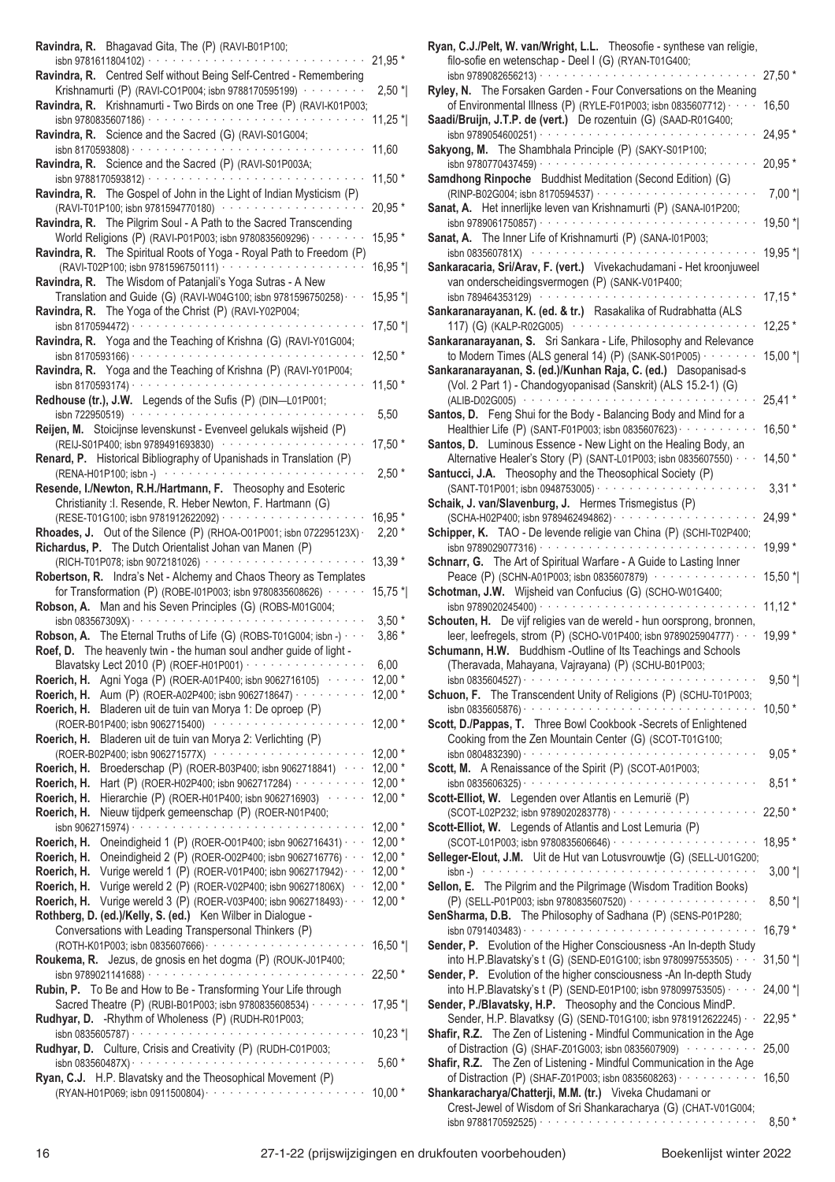| Ravindra, R. Bhagavad Gita, The (P) (RAVI-B01P100;                                                                                                                                                                                                                                                                       |           |
|--------------------------------------------------------------------------------------------------------------------------------------------------------------------------------------------------------------------------------------------------------------------------------------------------------------------------|-----------|
| isbn 9781611804102) · · · · · · · · · ·<br>Ravindra, R. Centred Self without Being Self-Centred - Remembering                                                                                                                                                                                                            | 21,95 *   |
| Krishnamurti (P) (RAVI-CO1P004; isbn 9788170595199) ·········                                                                                                                                                                                                                                                            | $2,50$ *  |
| Ravindra, R. Krishnamurti - Two Birds on one Tree (P) (RAVI-K01P003;                                                                                                                                                                                                                                                     |           |
| isbn 9780835607186) ·<br>and a series of the contract of the contract of the contract of the contract of the contract of the contract of the contract of the contract of the contract of the contract of the contract of the contract of the contract o<br>Ravindra, R. Science and the Sacred (G) (RAVI-S01G004;        | $11,25$ * |
|                                                                                                                                                                                                                                                                                                                          | 11,60     |
| Ravindra, R. Science and the Sacred (P) (RAVI-S01P003A;                                                                                                                                                                                                                                                                  |           |
| isbn 9788170593812) · · · · · · · · · · · · ·                                                                                                                                                                                                                                                                            | $11,50*$  |
| Ravindra, R. The Gospel of John in the Light of Indian Mysticism (P)<br>(RAVI-T01P100; isbn 9781594770180) ····················                                                                                                                                                                                          | 20,95 *   |
| Ravindra, R. The Pilgrim Soul - A Path to the Sacred Transcending                                                                                                                                                                                                                                                        |           |
| World Religions (P) (RAVI-P01P003; isbn 9780835609296) ·                                                                                                                                                                                                                                                                 | 15,95 *   |
| Ravindra, R. The Spiritual Roots of Yoga - Royal Path to Freedom (P)<br>(RAVI-T02P100; isbn 9781596750111) · · · · · · · · · · · · · ·                                                                                                                                                                                   | 16,95 *   |
| Ravindra, R. The Wisdom of Patanjali's Yoga Sutras - A New                                                                                                                                                                                                                                                               |           |
| Translation and Guide (G) (RAVI-W04G100; isbn 9781596750258) · ·<br>Ravindra, R. The Yoga of the Christ (P) (RAVI-Y02P004;                                                                                                                                                                                               | 15,95 *   |
| isbn 8170594472) $\cdots$                                                                                                                                                                                                                                                                                                | 17,50 *   |
| Ravindra, R. Yoga and the Teaching of Krishna (G) (RAVI-Y01G004;                                                                                                                                                                                                                                                         |           |
| Ravindra, R. Yoga and the Teaching of Krishna (P) (RAVI-Y01P004;                                                                                                                                                                                                                                                         | $12,50*$  |
|                                                                                                                                                                                                                                                                                                                          | $11,50*$  |
| Redhouse (tr.), J.W. Legends of the Sufis (P) (DIN-L01P001;                                                                                                                                                                                                                                                              |           |
| isbn 722950519) $\cdots$<br>Reijen, M. Stoicijnse levenskunst - Evenveel gelukals wijsheid (P)                                                                                                                                                                                                                           | 5,50      |
| (REIJ-S01P400; isbn 9789491693830) ················                                                                                                                                                                                                                                                                      | 17,50 *   |
| Renard, P. Historical Bibliography of Upanishads in Translation (P)                                                                                                                                                                                                                                                      |           |
| (RENA-H01P100; isbn -)<br>and a series of the contract of the contract of the contract of the contract of the contract of the contract of the contract of the contract of the contract of the contract of the contract of the contract of the contract o<br>Resende, I./Newton, R.H./Hartmann, F. Theosophy and Esoteric | $2,50*$   |
| Christianity : I. Resende, R. Heber Newton, F. Hartmann (G)                                                                                                                                                                                                                                                              |           |
| (RESE-T01G100; isbn 9781912622092) · · · · · · · · · · · · · · ·                                                                                                                                                                                                                                                         | 16,95 *   |
| Rhoades, J. Out of the Silence (P) (RHOA-O01P001; isbn 072295123X) $\cdot$<br><b>Richardus, P.</b> The Dutch Orientalist Johan van Manen (P)                                                                                                                                                                             | $2,20*$   |
| (RICH-T01P078; isbn 9072181026) ···············                                                                                                                                                                                                                                                                          | 13,39 *   |
| Robertson, R. Indra's Net - Alchemy and Chaos Theory as Templates<br>for Transformation (P) (ROBE-I01P003; isbn 9780835608626) · · · · ·                                                                                                                                                                                 |           |
|                                                                                                                                                                                                                                                                                                                          |           |
| Robson, A. Man and his Seven Principles (G) (ROBS-M01G004;                                                                                                                                                                                                                                                               | $15,75$ * |
| isbn 083567309X) · ·                                                                                                                                                                                                                                                                                                     | $3,50*$   |
| <b>Robson, A.</b> The Eternal Truths of Life (G) (ROBS-T01G004; isbn -) $\cdots$                                                                                                                                                                                                                                         | $3,86*$   |
| Roef, D. The heavenly twin - the human soul andher guide of light -<br>Blavatsky Lect 2010 (P) (ROEF-H01P001) · · · · · · · · · · · · · · · ·                                                                                                                                                                            | 6,00      |
| Agni Yoga (P) (ROER-A01P400; isbn 9062716105) ······<br>Roerich, H.                                                                                                                                                                                                                                                      | $12,00*$  |
| Aum (P) (ROER-A02P400; isbn 9062718647) · · · · · · · · · ·<br>Roerich, H.                                                                                                                                                                                                                                               | $12,00*$  |
| Bladeren uit de tuin van Morya 1: De oproep (P)<br>Roerich, H.<br>(ROER-B01P400; isbn 9062715400) ······················                                                                                                                                                                                                 | $12,00*$  |
| Bladeren uit de tuin van Morya 2: Verlichting (P)<br>Roerich, H.                                                                                                                                                                                                                                                         |           |
| (ROER-B02P400; isbn 906271577X) ·······················<br>Broederschap (P) (ROER-B03P400; isbn 9062718841) · · · 12,00 *<br>Roerich, H.                                                                                                                                                                                 | $12,00*$  |
| Hart (P) (ROER-H02P400; isbn 9062717284) · · · · · · · · · 12,00 *<br>Roerich, H.                                                                                                                                                                                                                                        |           |
| Hierarchie (P) (ROER-H01P400; isbn 9062716903) · · · · · 12,00 *<br>Roerich, H.                                                                                                                                                                                                                                          |           |
| Nieuw tijdperk gemeenschap (P) (ROER-N01P400;<br>Roerich, H.                                                                                                                                                                                                                                                             | $12,00*$  |
| Oneindigheid 1 (P) (ROER-O01P400; isbn 9062716431) · · · 12,00 *<br>Roerich, H.                                                                                                                                                                                                                                          |           |
| Oneindigheid 2 (P) (ROER-O02P400; isbn 9062716776) · · · 12,00 *                                                                                                                                                                                                                                                         |           |
| Vurige wereld 1 (P) (ROER-V01P400; isbn 9062717942) · · · 12,00 *                                                                                                                                                                                                                                                        |           |
| Vurige wereld 2 (P) (ROER-V02P400; isbn 906271806X) · · 12,00 *                                                                                                                                                                                                                                                          |           |
|                                                                                                                                                                                                                                                                                                                          |           |
| Roerich, H.<br>Roerich, H.<br>Roerich, H.<br><b>Roerich, H.</b> Vurige wereld 3 (P) (ROER-V03P400; isbn 9062718493) $\cdots$ 12,00 $*$<br>Rothberg, D. (ed.)/Kelly, S. (ed.) Ken Wilber in Dialogue -<br>Conversations with Leading Transpersonal Thinkers (P)                                                           | $16,50$ * |
| Roukema, R. Jezus, de gnosis en het dogma (P) (ROUK-J01P400;                                                                                                                                                                                                                                                             |           |
|                                                                                                                                                                                                                                                                                                                          | $22,50*$  |
| Rubin, P. To Be and How to Be - Transforming Your Life through<br>Sacred Theatre (P) (RUBI-B01P003; isbn 9780835608534) · · · · · · · ·                                                                                                                                                                                  | $17,95$ * |
| Rudhyar, D. - Rhythm of Wholeness (P) (RUDH-R01P003;                                                                                                                                                                                                                                                                     |           |
|                                                                                                                                                                                                                                                                                                                          | $10,23$ * |
| Rudhyar, D. Culture, Crisis and Creativity (P) (RUDH-C01P003;                                                                                                                                                                                                                                                            | $5,60*$   |
| Ryan, C.J. H.P. Blavatsky and the Theosophical Movement (P)                                                                                                                                                                                                                                                              | $10,00*$  |

| Ryan, C.J./Pelt, W. van/Wright, L.L. Theosofie - synthese van religie,                                                                         |           |
|------------------------------------------------------------------------------------------------------------------------------------------------|-----------|
| filo-sofie en wetenschap - Deel I (G) (RYAN-T01G400;<br>isbn 9789082656213) · · · ·                                                            | 27,50 *   |
| Ryley, N. The Forsaken Garden - Four Conversations on the Meaning                                                                              |           |
| of Environmental Illness (P) (RYLE-F01P003; isbn 0835607712) · · · ·                                                                           | 16,50     |
| Saadi/Bruijn, J.T.P. de (vert.) De rozentuin (G) (SAAD-R01G400;                                                                                |           |
| isbn 9789054600251) · · · · · · · · · · · ·                                                                                                    | 24,95 *   |
| Sakyong, M. The Shambhala Principle (P) (SAKY-S01P100;                                                                                         |           |
| $\alpha$ , and $\alpha$ , and $\alpha$ , and $\alpha$<br>isbn 9780770437459) · ·<br>Samdhong Rinpoche Buddhist Meditation (Second Edition) (G) | 20,95 *   |
|                                                                                                                                                | $7,00*$   |
| Sanat, A. Het innerlijke leven van Krishnamurti (P) (SANA-101P200;                                                                             |           |
|                                                                                                                                                | 19,50 *   |
| Sanat, A. The Inner Life of Krishnamurti (P) (SANA-101P003;                                                                                    |           |
| isbn 083560781X) $\cdots$                                                                                                                      | 19,95 *   |
| Sankaracaria, Sri/Arav, F. (vert.) Vivekachudamani - Het kroonjuweel                                                                           |           |
| van onderscheidingsvermogen (P) (SANK-V01P400;<br>isbn 789464353129)<br>and a series and a series                                              | $17,15*$  |
| Sankaranarayanan, K. (ed. & tr.) Rasakalika of Rudrabhatta (ALS                                                                                |           |
| 117) (G) (KALP-R02G005)<br>and a series and<br><b>Contractor</b>                                                                               | $12,25*$  |
| Sankaranarayanan, S. Sri Sankara - Life, Philosophy and Relevance                                                                              |           |
| to Modern Times (ALS general 14) (P) (SANK-S01P005) · · · · · ·                                                                                | $15,00*$  |
| Sankaranarayanan, S. (ed.)/Kunhan Raja, C. (ed.) Dasopanisad-s                                                                                 |           |
| (Vol. 2 Part 1) - Chandogyopanisad (Sanskrit) (ALS 15.2-1) (G)                                                                                 |           |
| (ALIB-D02G005)<br>Santos, D. Feng Shui for the Body - Balancing Body and Mind for a                                                            | $25,41*$  |
| Healthier Life (P) (SANT-F01P003; isbn 0835607623) · · · · · · · · · ·                                                                         | 16,50 *   |
| Santos, D. Luminous Essence - New Light on the Healing Body, an                                                                                |           |
| Alternative Healer's Story (P) (SANT-L01P003; isbn 0835607550) · · ·                                                                           | 14,50 *   |
| Santucci, J.A. Theosophy and the Theosophical Society (P)                                                                                      |           |
| (SANT-T01P001; isbn 0948753005) · · · · · · · · · · ·                                                                                          | $3,31*$   |
| Schaik, J. van/Slavenburg, J. Hermes Trismegistus (P)                                                                                          |           |
| (SCHA-H02P400; isbn 9789462494862) · · · · · · · · · · · · ·<br>Schipper, K. TAO - De levende religie van China (P) (SCHI-T02P400;             | $24,99*$  |
| والمتمام والمتمام والمتمام والمتمام والمتمام والمتمار<br>isbn 9789029077316) ·                                                                 | 19,99 *   |
| Schnarr, G. The Art of Spiritual Warfare - A Guide to Lasting Inner                                                                            |           |
| Peace (P) (SCHN-A01P003; isbn 0835607879) ···············                                                                                      | 15,50 *   |
| Schotman, J.W. Wijsheid van Confucius (G) (SCHO-W01G400;                                                                                       |           |
| isbn 9789020245400) · · · · · · · · · · · · · · · · · ·<br>Schouten, H. De vijf religies van de wereld - hun oorsprong, bronnen,               | $11,12*$  |
| leer, leefregels, strom (P) (SCHO-V01P400; isbn 9789025904777) · · ·                                                                           | 19,99 *   |
| Schumann, H.W. Buddhism -Outline of Its Teachings and Schools                                                                                  |           |
| (Theravada, Mahayana, Vajrayana) (P) (SCHU-B01P003;                                                                                            |           |
|                                                                                                                                                | $9,50*$   |
| Schuon, F. The Transcendent Unity of Religions (P) (SCHU-T01P003;                                                                              |           |
| isbn 0835605876) · · ·<br>a construction and a construction of the construction                                                                | $10,50*$  |
| Scott, D./Pappas, T. Three Bowl Cookbook -Secrets of Enlightened<br>Cooking from the Zen Mountain Center (G) (SCOT-T01G100;                    |           |
|                                                                                                                                                | $9,05*$   |
| Scott, M. A Renaissance of the Spirit (P) (SCOT-A01P003;                                                                                       |           |
|                                                                                                                                                | $8,51*$   |
| Scott-Elliot, W. Legenden over Atlantis en Lemurië (P)                                                                                         |           |
|                                                                                                                                                | 22,50 *   |
| Scott-Elliot, W. Legends of Atlantis and Lost Lemuria (P)                                                                                      | 18,95 *   |
| Selleger-Elout, J.M. Uit de Hut van Lotusvrouwtje (G) (SELL-U01G200;                                                                           |           |
| $\mathsf{isbn} \rightarrow \cdots \cdots \cdots \cdots \cdots \cdots \cdots \cdots \cdots \cdots$                                              | $3,00*$   |
| Sellon, E. The Pilgrim and the Pilgrimage (Wisdom Tradition Books)                                                                             |           |
| (P) (SELL-P01P003; isbn 9780835607520) ··················                                                                                      | $8,50*$   |
| SenSharma, D.B. The Philosophy of Sadhana (P) (SENS-P01P280;                                                                                   | 16,79 *   |
| Sender, P. Evolution of the Higher Consciousness - An In-depth Study                                                                           |           |
| into H.P.Blavatsky's t (G) (SEND-E01G100; isbn 9780997553505) · · ·                                                                            | $31,50$ * |
| Sender, P. Evolution of the higher consciousness - An In-depth Study                                                                           |           |
| into H.P.Blavatsky's t (P) (SEND-E01P100; isbn 978099753505) · · · ·                                                                           | 24,00 *   |
| Sender, P./Blavatsky, H.P. Theosophy and the Concious MindP.                                                                                   |           |
| Sender, H.P. Blavatksy (G) (SEND-T01G100; isbn 9781912622245) · ·                                                                              | 22,95 *   |
| Shafir, R.Z. The Zen of Listening - Mindful Communication in the Age<br>of Distraction (G) (SHAF-Z01G003; isbn 0835607909)                     | 25,00     |
| Shafir, R.Z. The Zen of Listening - Mindful Communication in the Age                                                                           |           |
| of Distraction (P) (SHAF-Z01P003; isbn 0835608263) · · · · · · · · · · ·                                                                       | 16,50     |
| Shankaracharya/Chatterji, M.M. (tr.) Viveka Chudamani or                                                                                       |           |
| Crest-Jewel of Wisdom of Sri Shankaracharya (G) (CHAT-V01G004;                                                                                 |           |
|                                                                                                                                                | $8,50*$   |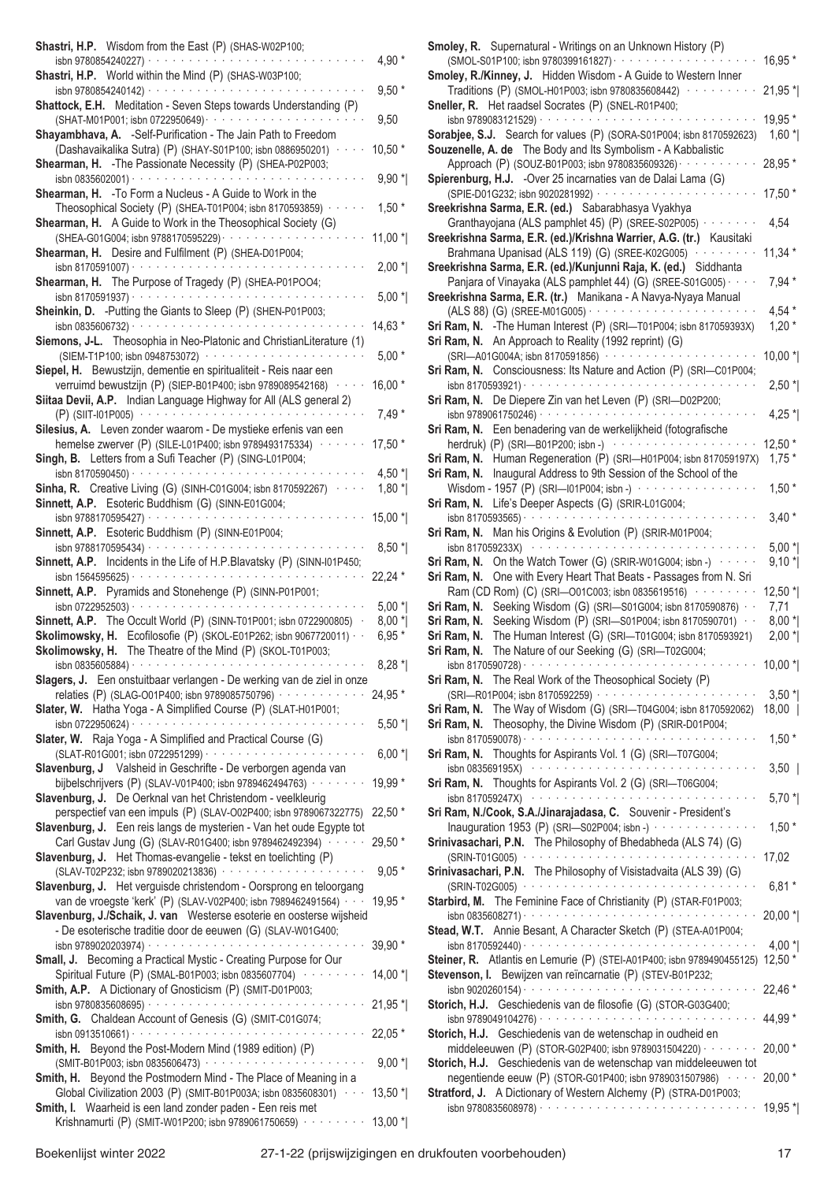| Shastri, H.P. Wisdom from the East (P) (SHAS-W02P100;                                                                                                                                                                                                                                                                                                  |           |
|--------------------------------------------------------------------------------------------------------------------------------------------------------------------------------------------------------------------------------------------------------------------------------------------------------------------------------------------------------|-----------|
| isbn 9780854240227) · · · · · · · · · · · · · · · ·<br>Shastri, H.P. World within the Mind (P) (SHAS-W03P100;                                                                                                                                                                                                                                          | 4,90 *    |
| isbn 9780854240142) $\cdots$<br>$\alpha$ , $\alpha$ , $\alpha$ , $\alpha$ , $\alpha$ ,                                                                                                                                                                                                                                                                 | $9,50*$   |
| Shattock, E.H. Meditation - Seven Steps towards Understanding (P)                                                                                                                                                                                                                                                                                      | 9,50      |
| Shayambhava, A. - Self-Purification - The Jain Path to Freedom<br>(Dashavaikalika Sutra) (P) (SHAY-S01P100; isbn 0886950201)                                                                                                                                                                                                                           | $10,50*$  |
| Shearman, H. - The Passionate Necessity (P) (SHEA-P02P003;<br>isbn 0835602001) $\cdots$                                                                                                                                                                                                                                                                |           |
| Shearman, H. - To Form a Nucleus - A Guide to Work in the                                                                                                                                                                                                                                                                                              | $9,90*$   |
| Theosophical Society (P) (SHEA-T01P004; isbn 8170593859) ·<br>Shearman, H. A Guide to Work in the Theosophical Society (G)                                                                                                                                                                                                                             | $1,50*$   |
| (SHEA-G01G004; isbn 9788170595229) · · · · · · · · · · · · · ·<br>Shearman, H. Desire and Fulfilment (P) (SHEA-D01P004;                                                                                                                                                                                                                                | $11,00*$  |
|                                                                                                                                                                                                                                                                                                                                                        | $2,00*$   |
| Shearman, H. The Purpose of Tragedy (P) (SHEA-P01POO4;                                                                                                                                                                                                                                                                                                 | $5,00*$   |
| Sheinkin, D. - Putting the Giants to Sleep (P) (SHEN-P01P003;                                                                                                                                                                                                                                                                                          |           |
| Siemons, J-L. Theosophia in Neo-Platonic and ChristianLiterature (1)                                                                                                                                                                                                                                                                                   | 14,63 *   |
| (SIEM-T1P100; isbn 0948753072) ····················                                                                                                                                                                                                                                                                                                    | $5,00*$   |
| Siepel, H. Bewustzijn, dementie en spiritualiteit - Reis naar een<br>verruimd bewustzijn (P) (SIEP-B01P400; isbn 9789089542168) · · · · ·                                                                                                                                                                                                              | 16,00 *   |
| Siitaa Devii, A.P. Indian Language Highway for All (ALS general 2)                                                                                                                                                                                                                                                                                     |           |
| $(P)$ (SIIT-101P005) $\cdots$ $\cdots$ $\cdots$ $\cdots$ $\cdots$ $\cdots$ $\cdots$ $\cdots$ $\cdots$<br>Silesius, A. Leven zonder waarom - De mystieke erfenis van een                                                                                                                                                                                | $7,49*$   |
| hemelse zwerver (P) (SILE-L01P400; isbn 9789493175334) · · · ·                                                                                                                                                                                                                                                                                         | 17,50 *   |
| Singh, B. Letters from a Sufi Teacher (P) (SING-L01P004;<br>isbn 8170590450) · · ·                                                                                                                                                                                                                                                                     | 4,50 $*$  |
| Sinha, R. Creative Living (G) (SINH-C01G004; isbn 8170592267) · ·                                                                                                                                                                                                                                                                                      | $1,80*$   |
| Sinnett, A.P. Esoteric Buddhism (G) (SINN-E01G004;<br>isbn 9788170595427) · · · · · · · · · · · · · · · ·                                                                                                                                                                                                                                              | $15,00*$  |
| Sinnett, A.P. Esoteric Buddhism (P) (SINN-E01P004;                                                                                                                                                                                                                                                                                                     |           |
| isbn 9788170595434) · · · · · · · · · · · · · · · · · ·<br>$\alpha$ , and $\alpha$ , and $\alpha$ , and $\alpha$<br>Sinnett, A.P. Incidents in the Life of H.P.Blavatsky (P) (SINN-I01P450;                                                                                                                                                            | $8,50*$   |
| $\mathcal{L}^{\mathcal{A}}(\mathcal{A}^{\mathcal{A}}(\mathcal{A}^{\mathcal{A}}(\mathcal{A}^{\mathcal{A}}(\mathcal{A}^{\mathcal{A}}(\mathcal{A}^{\mathcal{A}}(\mathcal{A}^{\mathcal{A}}(\mathcal{A}^{\mathcal{A}}(\mathcal{A}^{\mathcal{A}}(\mathcal{A}^{\mathcal{A}}(\mathcal{A}^{\mathcal{A}}(\mathcal{A}^{\mathcal{A}})))))))$<br>isbn 1564595625) · | 22,24 *   |
| Sinnett, A.P. Pyramids and Stonehenge (P) (SINN-P01P001;<br>$\alpha$ , and $\alpha$ , and $\alpha$ , and $\alpha$ , and $\alpha$ , and $\alpha$<br>isbn 0722952503) · · ·                                                                                                                                                                              | $5,00*$   |
| Sinnett, A.P. The Occult World (P) (SINN-T01P001; isbn 0722900805)                                                                                                                                                                                                                                                                                     | $8,00*$   |
| Skolimowsky, H. Ecofilosofie (P) (SKOL-E01P262; isbn 9067720011) · ·<br>Skolimowsky, H. The Theatre of the Mind (P) (SKOL-T01P003;                                                                                                                                                                                                                     | $6,95*$   |
|                                                                                                                                                                                                                                                                                                                                                        | $8,28*$   |
| Slagers, J. Een onstuitbaar verlangen - De werking van de ziel in onze<br>relaties (P) (SLAG-001P400; isbn 9789085750796) · · · · · · · · · · · ·                                                                                                                                                                                                      | 24,95 *   |
| Slater, W. Hatha Yoga - A Simplified Course (P) (SLAT-H01P001;                                                                                                                                                                                                                                                                                         |           |
|                                                                                                                                                                                                                                                                                                                                                        | $5,50$ *  |
| Slater, W. Raja Yoga - A Simplified and Practical Course (G)                                                                                                                                                                                                                                                                                           | $6,00*$   |
| Slavenburg, J Valsheid in Geschrifte - De verborgen agenda van                                                                                                                                                                                                                                                                                         |           |
| bijbelschrijvers (P) (SLAV-V01P400; isbn 9789462494763) · · · · · · · ·<br>Slavenburg, J. De Oerknal van het Christendom - veelkleurig                                                                                                                                                                                                                 | 19,99 *   |
| perspectief van een impuls (P) (SLAV-O02P400; isbn 9789067322775)                                                                                                                                                                                                                                                                                      | 22,50 *   |
| Slavenburg, J. Een reis langs de mysterien - Van het oude Egypte tot<br>Carl Gustav Jung (G) (SLAV-R01G400; isbn 9789462492394) · · · · · ·                                                                                                                                                                                                            | $29,50*$  |
| Slavenburg, J. Het Thomas-evangelie - tekst en toelichting (P)                                                                                                                                                                                                                                                                                         |           |
| (SLAV-T02P232; isbn 9789020213836) ·····················<br>Slavenburg, J. Het verguisde christendom - Oorsprong en teloorgang                                                                                                                                                                                                                         | $9,05*$   |
| van de vroegste 'kerk' (P) (SLAV-V02P400; isbn 7989462491564) · · ·                                                                                                                                                                                                                                                                                    | 19,95 *   |
| Slavenburg, J./Schaik, J. van Westerse esoterie en oosterse wijsheid<br>- De esoterische traditie door de eeuwen (G) (SLAV-W01G400;                                                                                                                                                                                                                    |           |
| Small, J. Becoming a Practical Mystic - Creating Purpose for Our                                                                                                                                                                                                                                                                                       | $39,90*$  |
| Spiritual Future (P) (SMAL-B01P003; isbn 0835607704) ·········                                                                                                                                                                                                                                                                                         | $14,00*$  |
| Smith, A.P. A Dictionary of Gnosticism (P) (SMIT-D01P003;                                                                                                                                                                                                                                                                                              | 21,95 *   |
| Smith, G. Chaldean Account of Genesis (G) (SMIT-C01G074;                                                                                                                                                                                                                                                                                               |           |
| Smith, H. Beyond the Post-Modern Mind (1989 edition) (P)                                                                                                                                                                                                                                                                                               | 22,05 *   |
| (SMIT-B01P003; isbn 0835606473) ··················                                                                                                                                                                                                                                                                                                     | $9,00*$   |
| Smith, H. Beyond the Postmodern Mind - The Place of Meaning in a<br>Global Civilization 2003 (P) (SMIT-B01P003A; isbn 0835608301)                                                                                                                                                                                                                      | $13,50$ * |
| Smith, I. Waarheid is een land zonder paden - Een reis met<br>Krishnamurti (P) (SMIT-W01P200; isbn 9789061750659) ········ 13,00 *                                                                                                                                                                                                                     |           |
|                                                                                                                                                                                                                                                                                                                                                        |           |

| Smoley, R. Supernatural - Writings on an Unknown History (P)<br>(SMOL-S01P100; isbn 9780399161827) · · · · · · · · · · · · · ·                                                                                                 | $16,95*$    |
|--------------------------------------------------------------------------------------------------------------------------------------------------------------------------------------------------------------------------------|-------------|
| Smoley, R./Kinney, J. Hidden Wisdom - A Guide to Western Inner                                                                                                                                                                 |             |
| Traditions (P) (SMOL-H01P003; isbn 9780835608442) · · · · · · ·                                                                                                                                                                | $21,95*$    |
| Sneller, R. Het raadsel Socrates (P) (SNEL-R01P400;                                                                                                                                                                            |             |
| isbn 9789083121529) · ·<br>$\alpha$ , and $\alpha$ , and $\alpha$ , and $\alpha$ , and $\alpha$ , and $\alpha$<br>and a series of                                                                                              | 19,95 *     |
| Sorabjee, S.J. Search for values (P) (SORA-S01P004; isbn 8170592623)                                                                                                                                                           | $1,60*$     |
| Souzenelle, A. de The Body and Its Symbolism - A Kabbalistic                                                                                                                                                                   |             |
| Approach (P) (SOUZ-B01P003; isbn 9780835609326) · · · · · ·                                                                                                                                                                    | 28,95 *     |
| Spierenburg, H.J. - Over 25 incarnaties van de Dalai Lama (G)                                                                                                                                                                  |             |
| (SPIE-D01G232; isbn 9020281992) · · · · · · · · · · · ·                                                                                                                                                                        | $17,50*$    |
| Sreekrishna Sarma, E.R. (ed.) Sabarabhasya Vyakhya                                                                                                                                                                             |             |
| Granthayojana (ALS pamphlet 45) (P) (SREE-S02P005) · · · · · · ·                                                                                                                                                               | 4,54        |
| Sreekrishna Sarma, E.R. (ed.)/Krishna Warrier, A.G. (tr.) Kausitaki                                                                                                                                                            |             |
| Brahmana Upanisad (ALS 119) (G) (SREE-K02G005) · · · · · · ·                                                                                                                                                                   | $11,34$ *   |
| Sreekrishna Sarma, E.R. (ed.)/Kunjunni Raja, K. (ed.) Siddhanta                                                                                                                                                                |             |
| Panjara of Vinayaka (ALS pamphlet 44) (G) (SREE-S01G005)                                                                                                                                                                       | $7,94*$     |
| Sreekrishna Sarma, E.R. (tr.) Manikana - A Navya-Nyaya Manual                                                                                                                                                                  |             |
| (ALS 88) (G) (SREE-M01G005) · · · · · · · · · · · · · · · · · ·                                                                                                                                                                | $4,54*$     |
| Sri Ram, N. - The Human Interest (P) (SRI-T01P004; isbn 817059393X)                                                                                                                                                            | $1,20*$     |
| Sri Ram, N. An Approach to Reality (1992 reprint) (G)                                                                                                                                                                          |             |
| (SRI-A01G004A; isbn 8170591856) ··················                                                                                                                                                                             | $10,00*$    |
| Sri Ram, N. Consciousness: Its Nature and Action (P) (SRI-C01P004;                                                                                                                                                             |             |
|                                                                                                                                                                                                                                | $2,50*$     |
| Sri Ram, N. De Diepere Zin van het Leven (P) (SRI-D02P200;                                                                                                                                                                     |             |
| Sri Ram, N. Een benadering van de werkelijkheid (fotografische                                                                                                                                                                 | $4,25*$     |
| herdruk) (P) (SRI-B01P200; isbn -) $\cdots$                                                                                                                                                                                    | $12,50*$    |
| Sri Ram, N. Human Regeneration (P) (SRI-H01P004; isbn 817059197X)                                                                                                                                                              | $1,75*$     |
| Sri Ram, N.<br>Inaugural Address to 9th Session of the School of the                                                                                                                                                           |             |
| Wisdom - 1957 (P) (SRI-01P004; isbn -) · ·<br>$\alpha$ , and $\alpha$ , and $\alpha$ , and $\alpha$ , and $\alpha$                                                                                                             | $1,50*$     |
| Life's Deeper Aspects (G) (SRIR-L01G004;<br>Sri Ram, N.                                                                                                                                                                        |             |
| والمتواط والمتواط والمتواطئة<br>isbn 8170593565) $\cdot \cdot \cdot$                                                                                                                                                           | $3,40*$     |
| Man his Origins & Evolution (P) (SRIR-M01P004;<br>Sri Ram, N.                                                                                                                                                                  |             |
| isbn 817059233X)                                                                                                                                                                                                               | $5,00*$     |
| On the Watch Tower (G) (SRIR-W01G004; isbn -) with an<br>Sri Ram, N.                                                                                                                                                           | $9,10*$     |
| One with Every Heart That Beats - Passages from N. Sri<br>Sri Ram, N.                                                                                                                                                          |             |
| Ram (CD Rom) (C) (SRI-001C003; isbn 0835619516)                                                                                                                                                                                | $12,50$ $*$ |
| Sri Ram, N.<br>Seeking Wisdom (G) (SRI-S01G004; isbn 8170590876) · ·                                                                                                                                                           | 7,71        |
| Seeking Wisdom (P) (SRI-S01P004; isbn 8170590701) · ·<br>Sri Ram, N.                                                                                                                                                           | $8,00*$     |
| The Human Interest (G) (SRI-T01G004; isbn 8170593921)<br>Sri Ram, N.                                                                                                                                                           | $2,00*$     |
| The Nature of our Seeking (G) (SRI-T02G004;<br>Sri Ram, N.                                                                                                                                                                     |             |
|                                                                                                                                                                                                                                | $10,00*$    |
| Sri Ram, N. The Real Work of the Theosophical Society (P)                                                                                                                                                                      |             |
|                                                                                                                                                                                                                                | $3,50$ *    |
| Sri Ram, N. The Way of Wisdom (G) (SRI-T04G004; isbn 8170592062)                                                                                                                                                               | $18,00$     |
| Sri Ram, N. Theosophy, the Divine Wisdom (P) (SRIR-D01P004;                                                                                                                                                                    |             |
|                                                                                                                                                                                                                                | $1,50*$     |
| Sri Ram, N. Thoughts for Aspirants Vol. 1 (G) (SRI-T07G004;                                                                                                                                                                    |             |
| Sri Ram, N. Thoughts for Aspirants Vol. 2 (G) (SRI-T06G004;                                                                                                                                                                    | $3,50$      |
| isbn 817059247X) (and a series of the series of the series of the series of the series of the series of the series of the series of the series of the series of the series of the series of the series of the series of the se | $5,70$ *    |
| Sri Ram, N./Cook, S.A./Jinarajadasa, C. Souvenir - President's                                                                                                                                                                 |             |
| Inauguration 1953 (P) (SRI-S02P004; isbn -)                                                                                                                                                                                    | $1,50*$     |
| Srinivasachari, P.N. The Philosophy of Bhedabheda (ALS 74) (G)                                                                                                                                                                 |             |
|                                                                                                                                                                                                                                | 17,02       |
| Srinivasachari, P.N. The Philosophy of Visistadvaita (ALS 39) (G)                                                                                                                                                              |             |
|                                                                                                                                                                                                                                | $6,81*$     |
| Starbird, M. The Feminine Face of Christianity (P) (STAR-F01P003;                                                                                                                                                              |             |
| isbn 0835608271) $\cdots$                                                                                                                                                                                                      | $20,00*$    |
| Stead, W.T. Annie Besant, A Character Sketch (P) (STEA-A01P004;                                                                                                                                                                |             |
|                                                                                                                                                                                                                                | $4,00*$     |
| Steiner, R. Atlantis en Lemurie (P) (STEI-A01P400; isbn 9789490455125)                                                                                                                                                         | $12,50*$    |
| Stevenson, I. Bewijzen van reïncarnatie (P) (STEV-B01P232;                                                                                                                                                                     |             |
|                                                                                                                                                                                                                                | $22,46*$    |
| Storich, H.J. Geschiedenis van de filosofie (G) (STOR-G03G400;                                                                                                                                                                 |             |
|                                                                                                                                                                                                                                | 44,99 *     |
| Storich, H.J. Geschiedenis van de wetenschap in oudheid en                                                                                                                                                                     |             |
| middeleeuwen (P) (STOR-G02P400; isbn 9789031504220) $\cdots$                                                                                                                                                                   | $20,00*$    |
| Storich, H.J. Geschiedenis van de wetenschap van middeleeuwen tot<br>negentiende eeuw (P) (STOR-G01P400; isbn 9789031507986) ·····                                                                                             | 20,00 *     |
| Stratford, J. A Dictionary of Western Alchemy (P) (STRA-D01P003;                                                                                                                                                               |             |
|                                                                                                                                                                                                                                | 19,95 *     |
|                                                                                                                                                                                                                                |             |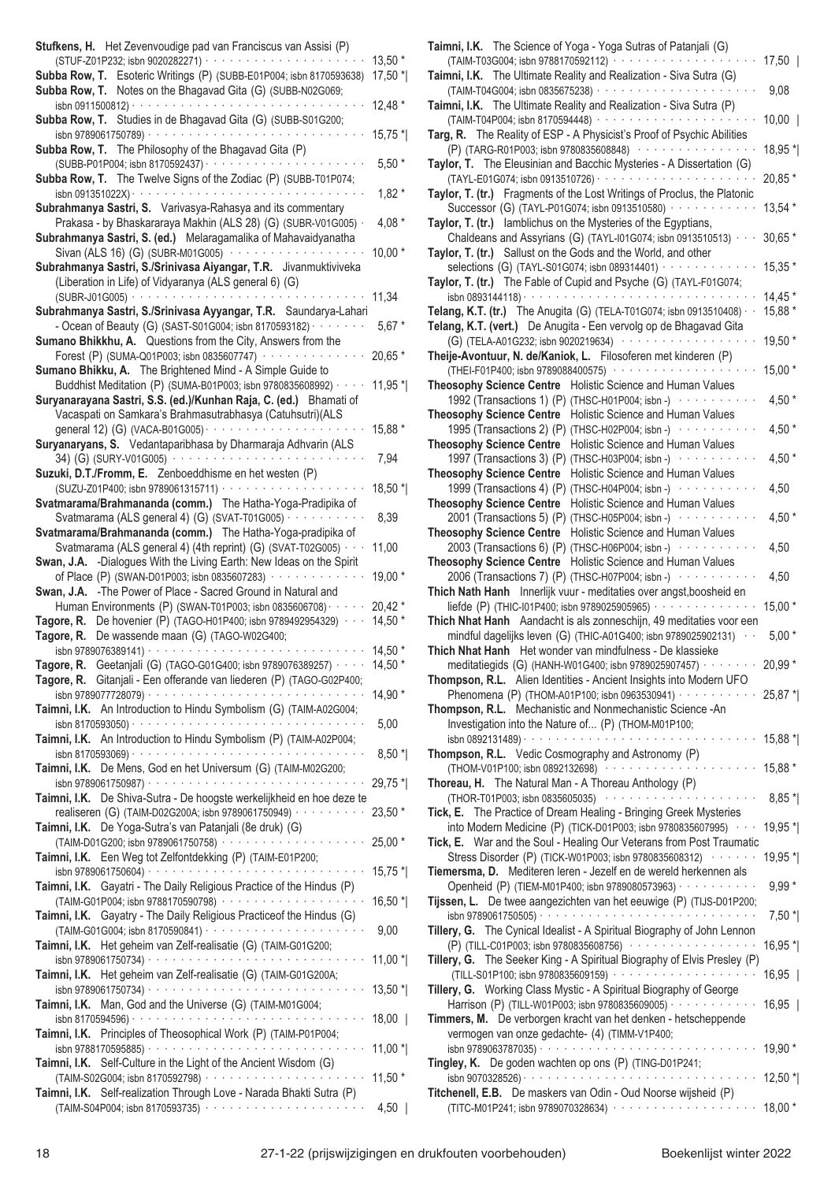| Stufkens, H. Het Zevenvoudige pad van Franciscus van Assisi (P)                                                                                   |                     |
|---------------------------------------------------------------------------------------------------------------------------------------------------|---------------------|
|                                                                                                                                                   | $13,50*$<br>17,50 * |
| Subba Row, T. Esoteric Writings (P) (SUBB-E01P004; isbn 8170593638)<br>Subba Row, T. Notes on the Bhagavad Gita (G) (SUBB-N02G069;                |                     |
|                                                                                                                                                   | 12,48 *             |
| Subba Row, T. Studies in de Bhagavad Gita (G) (SUBB-S01G200;                                                                                      |                     |
| Subba Row, T. The Philosophy of the Bhagavad Gita (P)                                                                                             | $15,75*$            |
| (SUBB-P01P004; isbn 8170592437) · · · · · · · · · · · · · ·                                                                                       | $5,50*$             |
| Subba Row, T. The Twelve Signs of the Zodiac (P) (SUBB-T01P074;                                                                                   |                     |
| Subrahmanya Sastri, S. Varivasya-Rahasya and its commentary                                                                                       | $1,82*$             |
| Prakasa - by Bhaskararaya Makhin (ALS 28) (G) (SUBR-V01G005) ·                                                                                    | 4,08 $*$            |
| Subrahmanya Sastri, S. (ed.) Melaragamalika of Mahavaidyanatha                                                                                    |                     |
| Sivan (ALS 16) (G) (SUBR-M01G005) $\cdots$<br>Subrahmanya Sastri, S./Srinivasa Aiyangar, T.R. Jivanmuktiviveka                                    | $10,00*$            |
| (Liberation in Life) of Vidyaranya (ALS general 6) (G)                                                                                            |                     |
|                                                                                                                                                   | 11,34               |
| Subrahmanya Sastri, S./Srinivasa Ayyangar, T.R. Saundarya-Lahari<br>- Ocean of Beauty (G) (SAST-S01G004; isbn 8170593182) · · · · · · · ·         | $5,67*$             |
| Sumano Bhikkhu, A. Questions from the City, Answers from the                                                                                      |                     |
| Forest (P) (SUMA-Q01P003; isbn 0835607747) ···············                                                                                        | 20,65 *             |
| Sumano Bhikku, A. The Brightened Mind - A Simple Guide to                                                                                         |                     |
| Buddhist Meditation (P) (SUMA-B01P003; isbn 9780835608992) · · · · ·<br>Suryanarayana Sastri, S.S. (ed.)/Kunhan Raja, C. (ed.) Bhamati of         | 11,95 *             |
| Vacaspati on Samkara's Brahmasutrabhasya (Catuhsutri)(ALS                                                                                         |                     |
| general 12) (G) (VACA-B01G005) $\cdots$ $\cdots$ $\cdots$ $\cdots$ $\cdots$                                                                       | 15,88 *             |
| Suryanaryans, S. Vedantaparibhasa by Dharmaraja Adhvarin (ALS<br>34) (G) (SURY-V01G005)                                                           | 7,94                |
| Suzuki, D.T./Fromm, E. Zenboeddhisme en het westen (P)                                                                                            |                     |
|                                                                                                                                                   | 18,50 *             |
| Svatmarama/Brahmananda (comm.) The Hatha-Yoga-Pradipika of<br>Svatmarama (ALS general 4) (G) (SVAT-T01G005) · · · · · · · · · ·                   | 8,39                |
| Svatmarama/Brahmananda (comm.) The Hatha-Yoga-pradipika of                                                                                        |                     |
| Svatmarama (ALS general 4) (4th reprint) (G) (SVAT-T02G005) · · ·                                                                                 | 11,00               |
| Swan, J.A. - Dialogues With the Living Earth: New Ideas on the Spirit<br>of Place (P) (SWAN-D01P003; isbn 0835607283) · · · · · · · · · · · · · · | 19,00 *             |
| Swan, J.A. - The Power of Place - Sacred Ground in Natural and                                                                                    |                     |
| Human Environments (P) (SWAN-T01P003; isbn 0835606708) · · · · ·                                                                                  | $20,42*$            |
| <b>Tagore, R.</b> De hovenier (P) (TAGO-H01P400; isbn 9789492954329) $\cdots$<br>Tagore, R. De wassende maan (G) (TAGO-W02G400;                   | 14,50 *             |
| isbn 9789076389141) · · · · · · · · · · · · · · · · ·                                                                                             | $14,50*$            |
| Tagore, R. Geetanjali (G) (TAGO-G01G400; isbn 9789076389257) · · ·                                                                                | 14,50 *             |
| Tagore, R. Gitanjali - Een offerande van liederen (P) (TAGO-G02P400;                                                                              | $14,90*$            |
| Taimni, I.K. An Introduction to Hindu Symbolism (G) (TAIM-A02G004;                                                                                |                     |
|                                                                                                                                                   | 5,00                |
| Taimni, I.K. An Introduction to Hindu Symbolism (P) (TAIM-A02P004;                                                                                | $8,50*$             |
| Taimni, I.K. De Mens, God en het Universum (G) (TAIM-M02G200;                                                                                     |                     |
|                                                                                                                                                   | 29,75 *             |
| Taimni, I.K. De Shiva-Sutra - De hoogste werkelijkheid en hoe deze te                                                                             |                     |
| realiseren (G) (TAIM-D02G200A; isbn 9789061750949) · · · · · · · · · ·<br>Taimni, I.K. De Yoga-Sutra's van Patanjali (8e druk) (G)                | $23,50*$            |
|                                                                                                                                                   | 25,00 *             |
| Taimni, I.K. Een Weg tot Zelfontdekking (P) (TAIM-E01P200;                                                                                        |                     |
| Taimni, I.K. Gayatri - The Daily Religious Practice of the Hindus (P)                                                                             | $15,75$ *           |
| (TAIM-G01P004; isbn 9788170590798) ····················                                                                                           | 16,50 *             |
| Taimni, I.K. Gayatry - The Daily Religious Practice of the Hindus (G)                                                                             |                     |
| Taimni, I.K. Het geheim van Zelf-realisatie (G) (TAIM-G01G200;                                                                                    | 9,00                |
|                                                                                                                                                   | $11,00*$            |
| Taimni, I.K. Het geheim van Zelf-realisatie (G) (TAIM-G01G200A;                                                                                   |                     |
| Taimni, I.K. Man, God and the Universe (G) (TAIM-M01G004;                                                                                         | $13,50*$            |
|                                                                                                                                                   | $18,00$             |
| Taimni, I.K. Principles of Theosophical Work (P) (TAIM-P01P004;                                                                                   |                     |
| Taimni, I.K. Self-Culture in the Light of the Ancient Wisdom (G)                                                                                  | 11,00 $*$           |
|                                                                                                                                                   | $11,50*$            |
| Taimni, I.K. Self-realization Through Love - Narada Bhakti Sutra (P)<br>(TAIM-S04P004; isbn 8170593735) ·······················                   | $4,50$              |
|                                                                                                                                                   |                     |

| Taimni, I.K. The Science of Yoga - Yoga Sutras of Patanjali (G)                                                                                |                     |
|------------------------------------------------------------------------------------------------------------------------------------------------|---------------------|
| (TAIM-T03G004; isbn 9788170592112) ·····················<br>Taimni, I.K. The Ultimate Reality and Realization - Siva Sutra (G)                 | 17,50               |
|                                                                                                                                                | 9,08                |
| Taimni, I.K. The Ultimate Reality and Realization - Siva Sutra (P)                                                                             |                     |
| (TAIM-T04P004; isbn 8170594448) ·······················<br>Targ, R. The Reality of ESP - A Physicist's Proof of Psychic Abilities              | $10,00$             |
| (P) (TARG-R01P003; isbn 9780835608848) ·················                                                                                       | 18,95 *             |
| Taylor, T. The Eleusinian and Bacchic Mysteries - A Dissertation (G)                                                                           |                     |
| Taylor, T. (tr.) Fragments of the Lost Writings of Proclus, the Platonic                                                                       | 20,85 *             |
| Successor (G) (TAYL-P01G074; isbn 0913510580) ············                                                                                     | 13,54 *             |
| Taylor, T. (tr.) lamblichus on the Mysteries of the Egyptians,                                                                                 |                     |
| Chaldeans and Assyrians (G) (TAYL-101G074; isbn 0913510513) · · ·<br>Taylor, T. (tr.) Sallust on the Gods and the World, and other             | 30,65 *             |
| selections (G) (TAYL-S01G074; isbn 089314401) · · · · · · · · · · · · · ·                                                                      | 15,35 *             |
| Taylor, T. (tr.) The Fable of Cupid and Psyche (G) (TAYL-F01G074;                                                                              |                     |
| Telang, K.T. (tr.) The Anugita (G) (TELA-T01G074; isbn 0913510408) $\cdot$                                                                     | $14,45*$<br>15,88 * |
| Telang, K.T. (vert.) De Anugita - Een vervolg op de Bhagavad Gita                                                                              |                     |
| (G) (TELA-A01G232; isbn 9020219634) ···················                                                                                        | 19,50 *             |
| Theije-Avontuur, N. de/Kaniok, L. Filosoferen met kinderen (P)                                                                                 |                     |
| (THEI-F01P400; isbn 9789088400575) ···················<br>Theosophy Science Centre Holistic Science and Human Values                           | $15,00*$            |
| 1992 (Transactions 1) (P) (THSC-H01P004; isbn -) with the 1992                                                                                 | 4,50 $*$            |
| Theosophy Science Centre Holistic Science and Human Values                                                                                     |                     |
| 1995 (Transactions 2) (P) (THSC-H02P004; isbn -) ···········<br>Theosophy Science Centre Holistic Science and Human Values                     | 4,50 $*$            |
| 1997 (Transactions 3) (P) (THSC-H03P004; isbn -) www.watchingtongledge.com                                                                     | 4,50 $*$            |
| Theosophy Science Centre Holistic Science and Human Values                                                                                     |                     |
| 1999 (Transactions 4) (P) (THSC-H04P004; isbn -) www.wallen.com<br>Theosophy Science Centre Holistic Science and Human Values                  | 4,50                |
| 2001 (Transactions 5) (P) (THSC-H05P004; isbn -) www.com                                                                                       | 4,50 $*$            |
| Theosophy Science Centre Holistic Science and Human Values                                                                                     |                     |
| 2003 (Transactions 6) (P) (THSC-H06P004; isbn -) ···········                                                                                   | 4,50                |
| Theosophy Science Centre Holistic Science and Human Values<br>2006 (Transactions 7) (P) (THSC-H07P004; isbn -) www.wallen.com                  | 4,50                |
| Thich Nath Hanh Innerlijk vuur - meditaties over angst, boosheid en                                                                            |                     |
| liefde (P) (THIC-101P400; isbn 9789025905965) $\cdots$                                                                                         | 15,00 *             |
| Thich Nhat Hanh Aandacht is als zonneschijn, 49 meditaties voor een<br>mindful dagelijks leven (G) (THIC-A01G400; isbn 9789025902131) $\cdots$ | $5,00*$             |
| Thich Nhat Hanh Het wonder van mindfulness - De klassieke                                                                                      |                     |
| meditatiegids (G) (HANH-W01G400; isbn 9789025907457) · · · · · · · ·                                                                           | 20,99 *             |
| Thompson, R.L. Alien Identities - Ancient Insights into Modern UFO<br>Phenomena (P) (THOM-A01P100; isbn 0963530941) · · · · · · · · · · ·      | 25,87 *             |
| Thompson, R.L. Mechanistic and Nonmechanistic Science -An                                                                                      |                     |
| Investigation into the Nature of (P) (THOM-M01P100;                                                                                            |                     |
| Thompson, R.L. Vedic Cosmography and Astronomy (P)                                                                                             | 15,88 *             |
|                                                                                                                                                |                     |
|                                                                                                                                                |                     |
| (THOM-V01P100; isbn 0892132698) ·····················<br>Thoreau, H. The Natural Man - A Thoreau Anthology (P)                                 | 15,88 *             |
| (THOR-T01P003; isbn 0835605035) ······················                                                                                         | $8,85*$             |
| Tick, E. The Practice of Dream Healing - Bringing Greek Mysteries                                                                              |                     |
| into Modern Medicine (P) (TICK-D01P003; isbn 9780835607995) · · ·<br>Tick, E. War and the Soul - Healing Our Veterans from Post Traumatic      | 19,95 *             |
| Stress Disorder (P) (TICK-W01P003; isbn 9780835608312) ·······                                                                                 | 19,95 *             |
| Tiemersma, D. Mediteren leren - Jezelf en de wereld herkennen als                                                                              |                     |
| Openheid (P) (TIEM-M01P400; isbn 9789080573963) · · · · · · · · · · ·<br>Tijssen, L. De twee aangezichten van het eeuwige (P) (TIJS-D01P200;   | $9,99*$             |
|                                                                                                                                                | $7,50*$             |
| Tillery, G. The Cynical Idealist - A Spiritual Biography of John Lennon                                                                        |                     |
| (P) (TILL-C01P003; isbn 9780835608756) ··················<br>Tillery, G. The Seeker King - A Spiritual Biography of Elvis Presley (P)          | 16,95 *             |
| (TILL-S01P100; isbn 9780835609159) ·····················                                                                                       | $16,95$             |
| Tillery, G. Working Class Mystic - A Spiritual Biography of George                                                                             |                     |
| Harrison (P) (TILL-W01P003; isbn 9780835609005) · · · · · · · · · · · · ·<br>Timmers, M. De verborgen kracht van het denken - hetscheppende    | $16,95$             |
| vermogen van onze gedachte- (4) (TIMM-V1P400;                                                                                                  |                     |
|                                                                                                                                                |                     |
| Tingley, K. De goden wachten op ons (P) (TING-D01P241;                                                                                         |                     |
| Titchenell, E.B. De maskers van Odin - Oud Noorse wijsheid (P)<br>(TITC-M01P241; isbn 9789070328634) ····················                      | $18,00*$            |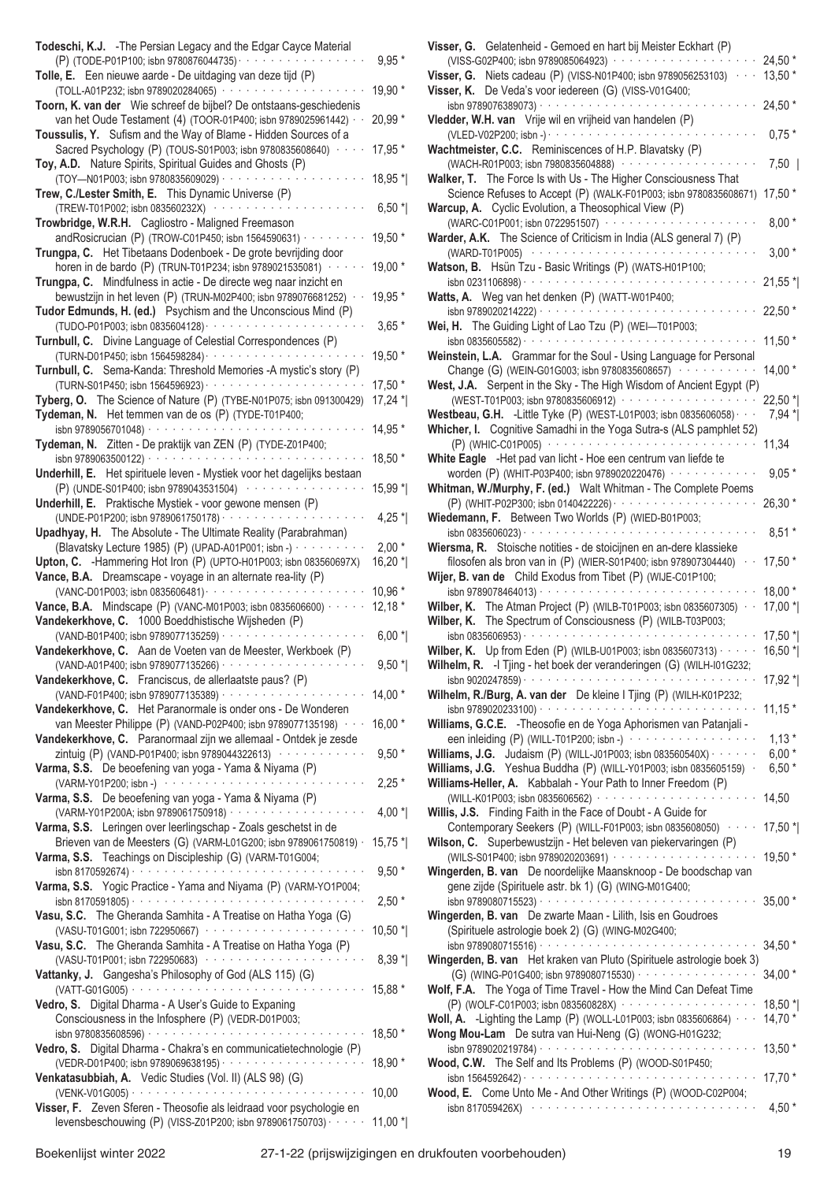| Todeschi, K.J. - The Persian Legacy and the Edgar Cayce Material<br>(P) (TODE-P01P100; isbn 9780876044735) · · · · · · · · · ·                                                   | $9,95*$            |
|----------------------------------------------------------------------------------------------------------------------------------------------------------------------------------|--------------------|
| Tolle, E. Een nieuwe aarde - De uitdaging van deze tijd (P)<br>(TOLL-A01P232; isbn 9789020284065) ··············                                                                 | 19,90 *            |
| Toorn, K. van der Wie schreef de bijbel? De ontstaans-geschiedenis<br>van het Oude Testament (4) (TOOR-01P400; isbn 9789025961442) · ·                                           | 20,99 *            |
| Toussulis, Y. Sufism and the Way of Blame - Hidden Sources of a<br>Sacred Psychology (P) (TOUS-S01P003; isbn 9780835608640) · · · ·                                              | 17,95 *            |
| Toy, A.D. Nature Spirits, Spiritual Guides and Ghosts (P)                                                                                                                        |                    |
| (TOY-N01P003; isbn 9780835609029) · · · · · · · · · ·<br>Trew, C./Lester Smith, E. This Dynamic Universe (P)                                                                     | 18,95 *            |
| (TREW-T01P002; isbn 083560232X) ············<br>Trowbridge, W.R.H. Cagliostro - Maligned Freemason                                                                               | $6,50*$            |
| andRosicrucian (P) (TROW-C01P450; isbn 1564590631) $\cdots$<br>Trungpa, C. Het Tibetaans Dodenboek - De grote bevrijding door                                                    | 19,50 *            |
| horen in de bardo (P) (TRUN-T01P234; isbn 9789021535081) · · ·<br>Trungpa, C. Mindfulness in actie - De directe weg naar inzicht en                                              | 19,00 *            |
| bewustzijn in het leven (P) (TRUN-M02P400; isbn 9789076681252) ·<br>Tudor Edmunds, H. (ed.) Psychism and the Unconscious Mind (P)                                                | 19,95 *            |
| Turnbull, C. Divine Language of Celestial Correspondences (P)                                                                                                                    | $3,65*$            |
| Turnbull, C. Sema-Kanda: Threshold Memories -A mystic's story (P)                                                                                                                | 19,50 *            |
| Tyberg, O. The Science of Nature (P) (TYBE-N01P075; isbn 091300429)                                                                                                              | 17,50 *<br>17,24 * |
| Tydeman, N. Het temmen van de os (P) (TYDE-T01P400;<br>isbn 9789056701048) · · · · · · · · · · · · · · · · ·                                                                     | 14,95 *            |
| Tydeman, N. Zitten - De praktijk van ZEN (P) (TYDE-Z01P400;                                                                                                                      |                    |
| isbn 9789063500122) ·<br>Underhill, E. Het spirituele leven - Mystiek voor het dagelijks bestaan                                                                                 | 18,50 *            |
| (P) (UNDE-S01P400; isbn 9789043531504) ·············<br>Underhill, E. Praktische Mystiek - voor gewone mensen (P)                                                                | 15,99 *            |
| (UNDE-P01P200; isbn 9789061750178) · · · · · · · · · · · · ·<br>Upadhyay, H. The Absolute - The Ultimate Reality (Parabrahman)                                                   | 4,25 $*$           |
| (Blavatsky Lecture 1985) (P) (UPAD-A01P001; isbn -) · · · · · · ·<br>Upton, C. - Hammering Hot Iron (P) (UPTO-H01P003; isbn 083560697X)                                          | $2,00*$<br>16,20 * |
| Vance, B.A. Dreamscape - voyage in an alternate rea-lity (P)                                                                                                                     | 10,96 *            |
| <b>Vance, B.A.</b> Mindscape (P) (VANC-M01P003; isbn 0835606600) $\cdots$<br>Vandekerkhove, C. 1000 Boeddhistische Wijsheden (P)                                                 | $12,18*$           |
| (VAND-B01P400; isbn 9789077135259) · · · · · · · ·<br>Vandekerkhove, C. Aan de Voeten van de Meester, Werkboek (P)                                                               | $6,00*$            |
| (VAND-A01P400; isbn 9789077135266) · · · · · · · · · · · · · · · ·<br>Vandekerkhove, C. Franciscus, de allerlaatste paus? (P)                                                    | $9,50*$            |
| (VAND-F01P400; isbn 9789077135389) · · · · · · · · · · · · ·<br>Vandekerkhove, C. Het Paranormale is onder ons - De Wonderen                                                     | $14,00*$           |
| van Meester Philippe (P) (VAND-P02P400; isbn 9789077135198) · · ·                                                                                                                | 16,00 *            |
| Vandekerkhove, C. Paranormaal zijn we allemaal - Ontdek je zesde<br>zintuig (P) (VAND-P01P400; isbn 9789044322613) ·············                                                 | $9,50*$            |
| Varma, S.S. De beoefening van yoga - Yama & Niyama (P)<br>(VARM-Y01P200; isbn -) ·······························                                                                 | $2,25*$            |
| Varma, S.S. De beoefening van yoga - Yama & Niyama (P)<br>(VARM-Y01P200A; isbn 9789061750918) · · · · · · · · · · · · ·                                                          | $4,00*$            |
| Varma, S.S. Leringen over leerlingschap - Zoals geschetst in de<br>Brieven van de Meesters (G) (VARM-L01G200; isbn 9789061750819) ·                                              | $15,75$ *          |
| Varma, S.S. Teachings on Discipleship (G) (VARM-T01G004;<br>isbn 8170592674) $\cdots$                                                                                            | $9,50*$            |
| Varma, S.S. Yogic Practice - Yama and Niyama (P) (VARM-YO1P004;<br>isbn 8170591805) $\cdots$                                                                                     | $2,50*$            |
| Vasu, S.C. The Gheranda Samhita - A Treatise on Hatha Yoga (G)<br>(VASU-T01G001; isbn 722950667) ·························                                                       | $10,50$ *          |
| Vasu, S.C. The Gheranda Samhita - A Treatise on Hatha Yoga (P)<br>(VASU-T01P001; isbn 722950683) (1999) (1999) (1999) (1999) (1999) (1999) (1999) (1999) (1999) (1999) (1999) (1 | $8,39*$            |
| Vattanky, J. Gangesha's Philosophy of God (ALS 115) (G)                                                                                                                          | 15,88 *            |
| Vedro, S. Digital Dharma - A User's Guide to Expaning<br>Consciousness in the Infosphere (P) (VEDR-D01P003;                                                                      |                    |
| Vedro, S. Digital Dharma - Chakra's en communicatietechnologie (P)                                                                                                               | 18,50 *            |
| Venkatasubbiah, A. Vedic Studies (Vol. II) (ALS 98) (G)                                                                                                                          | 18,90 *            |
| Visser, F. Zeven Sferen - Theosofie als leidraad voor psychologie en                                                                                                             | 10,00              |
| levensbeschouwing (P) (VISS-Z01P200; isbn 9789061750703) · · · · · ·                                                                                                             | $11,00*$           |

|                                                                                                                                                                                                                    | $24,50*$             |
|--------------------------------------------------------------------------------------------------------------------------------------------------------------------------------------------------------------------|----------------------|
| <b>Visser, G.</b> Niets cadeau (P) (VISS-N01P400; isbn 9789056253103) $\cdot$<br>Visser, K. De Veda's voor iedereen (G) (VISS-V01G400;                                                                             | $13,50*$             |
| isbn 9789076389073) · · · · · · · · · · · · · · · ·                                                                                                                                                                | $24,50*$             |
| Vledder, W.H. van Vrije wil en vrijheid van handelen (P)                                                                                                                                                           |                      |
|                                                                                                                                                                                                                    | $0,75*$              |
| Wachtmeister, C.C. Reminiscences of H.P. Blavatsky (P)                                                                                                                                                             |                      |
| (WACH-R01P003; isbn 7980835604888) ············                                                                                                                                                                    | $7,50$               |
| Walker, T. The Force Is with Us - The Higher Consciousness That                                                                                                                                                    |                      |
| Science Refuses to Accept (P) (WALK-F01P003; isbn 9780835608671)                                                                                                                                                   | $17,50*$             |
| Warcup, A. Cyclic Evolution, a Theosophical View (P)                                                                                                                                                               |                      |
| (WARC-C01P001; isbn 0722951507) ·········<br>Warder, A.K. The Science of Criticism in India (ALS general 7) (P)                                                                                                    | $8,00*$              |
|                                                                                                                                                                                                                    | $3,00*$              |
| Watson, B. Hsün Tzu - Basic Writings (P) (WATS-H01P100;                                                                                                                                                            |                      |
| isbn 0231106898) $\cdots$                                                                                                                                                                                          | $21,55$ *            |
| Watts, A. Weg van het denken (P) (WATT-W01P400;                                                                                                                                                                    |                      |
|                                                                                                                                                                                                                    | 22,50 *              |
| Wei, H. The Guiding Light of Lao Tzu (P) (WEI-T01P003;                                                                                                                                                             |                      |
| and a series of a series of the series<br>isbn 0835605582) · · · · · · · · · ·                                                                                                                                     | $11,50*$             |
| Weinstein, L.A. Grammar for the Soul - Using Language for Personal                                                                                                                                                 |                      |
| Change (G) (WEIN-G01G003; isbn 9780835608657)                                                                                                                                                                      | $14,00*$             |
| West, J.A. Serpent in the Sky - The High Wisdom of Ancient Egypt (P)<br>(WEST-T01P003; isbn 9780835606912) ···················                                                                                     |                      |
| Westbeau, G.H. -Little Tyke (P) (WEST-L01P003; isbn 0835606058) $\cdots$                                                                                                                                           | $22,50$ *<br>$7,94*$ |
| Whicher, I. Cognitive Samadhi in the Yoga Sutra-s (ALS pamphlet 52)                                                                                                                                                |                      |
|                                                                                                                                                                                                                    | 11,34                |
| White Eagle -Het pad van licht - Hoe een centrum van liefde te                                                                                                                                                     |                      |
| worden (P) (WHIT-P03P400; isbn 9789020220476) ·············                                                                                                                                                        | $9,05*$              |
| Whitman, W./Murphy, F. (ed.) Walt Whitman - The Complete Poems                                                                                                                                                     |                      |
|                                                                                                                                                                                                                    | $26,30*$             |
| Wiedemann, F. Between Two Worlds (P) (WIED-B01P003;                                                                                                                                                                |                      |
| isbn 0835606023) $\cdots$                                                                                                                                                                                          | $8,51*$              |
| Wiersma, R. Stoische notities - de stoicijnen en an-dere klassieke<br>filosofen als bron van in (P) (WIER-S01P400; isbn 978907304440) $\cdot$                                                                      | $17,50*$             |
| Wijer, B. van de Child Exodus from Tibet (P) (WIJE-C01P100;                                                                                                                                                        |                      |
| $\alpha$ is a second order.<br>isbn 9789078464013) · · · · ·                                                                                                                                                       | $18,00*$             |
| Wilber, K. The Atman Project (P) (WILB-T01P003; isbn 0835607305) · ·                                                                                                                                               | $17,00*$             |
| Wilber, K. The Spectrum of Consciousness (P) (WILB-T03P003;                                                                                                                                                        |                      |
| .<br>isbn 0835606953) $\cdots$                                                                                                                                                                                     | $17,50$ *            |
| <b>Wilber, K.</b> Up from Eden (P) (WILB-U01P003; isbn 0835607313) $\cdots$                                                                                                                                        | $16,50$ *            |
| Wilhelm, R. - I Tjing - het boek der veranderingen (G) (WILH-I01G232;                                                                                                                                              |                      |
|                                                                                                                                                                                                                    |                      |
|                                                                                                                                                                                                                    | 17,92 *              |
| Wilhelm, R./Burg, A. van der De kleine I Tjing (P) (WILH-K01P232;                                                                                                                                                  |                      |
|                                                                                                                                                                                                                    |                      |
| Williams, G.C.E. - Theosofie en de Yoga Aphorismen van Patanjali -                                                                                                                                                 |                      |
| een inleiding (P) (WILL-T01P200; isbn -) · · · · · · · · · · · · · · · · · ·                                                                                                                                       | $1,13*$              |
| <b>Williams, J.G.</b> Judaism (P) (WILL-J01P003; isbn 083560540X) $\cdots$                                                                                                                                         | $6,00*$              |
| Williams, J.G. Yeshua Buddha (P) (WILL-Y01P003; isbn 0835605159) ·<br>Williams-Heller, A. Kabbalah - Your Path to Inner Freedom (P)                                                                                | $6,50*$              |
|                                                                                                                                                                                                                    |                      |
| Willis, J.S. Finding Faith in the Face of Doubt - A Guide for                                                                                                                                                      |                      |
| Contemporary Seekers (P) (WILL-F01P003; isbn 0835608050) · · · · 17,50 *                                                                                                                                           |                      |
| Wilson, C. Superbewustzijn - Het beleven van piekervaringen (P)                                                                                                                                                    |                      |
| (WILS-S01P400; isbn 9789020203691) ······················19,50 *                                                                                                                                                   |                      |
| Wingerden, B. van De noordelijke Maansknoop - De boodschap van                                                                                                                                                     |                      |
| gene zijde (Spirituele astr. bk 1) (G) (WING-M01G400;                                                                                                                                                              |                      |
|                                                                                                                                                                                                                    |                      |
| (Spirituele astrologie boek 2) (G) (WING-M02G400;                                                                                                                                                                  |                      |
|                                                                                                                                                                                                                    | 34,50 *              |
|                                                                                                                                                                                                                    |                      |
| Wingerden, B. van De zwarte Maan - Lilith, Isis en Goudroes<br>Wingerden, B. van Het kraken van Pluto (Spirituele astrologie boek 3)<br>(G) (WING-P01G400; isbn 9789080715530) · · · · · · · · · · · · · · · · · · | $34,00*$             |
|                                                                                                                                                                                                                    |                      |
| Wolf, F.A. The Yoga of Time Travel - How the Mind Can Defeat Time<br>(P) (WOLF-C01P003; isbn 083560828X) ···················                                                                                       | 18,50 *              |
| Woll, A. -Lighting the Lamp (P) (WOLL-L01P003; isbn 0835606864) $\cdots$                                                                                                                                           | $14,70*$             |
|                                                                                                                                                                                                                    |                      |
| Wong Mou-Lam De sutra van Hui-Neng (G) (WONG-H01G232;                                                                                                                                                              | $13,50*$             |
| Wood, C.W. The Self and Its Problems (P) (WOOD-S01P450;                                                                                                                                                            | $17,70*$             |
|                                                                                                                                                                                                                    |                      |
| Wood, E. Come Unto Me - And Other Writings (P) (WOOD-C02P004;<br>isbn 817059426X) · ·                                                                                                                              | 4,50 $*$             |
|                                                                                                                                                                                                                    |                      |

**Visser, G.** Gelatenheid - Gemoed en hart bij Meister Eckhart (P)